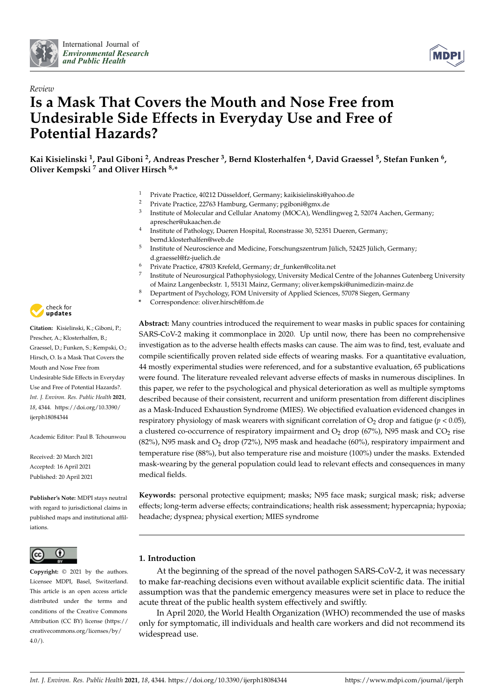



# *Review* **Is a Mask That Covers the Mouth and Nose Free from Undesirable Side Effects in Everyday Use and Free of Potential Hazards?**

**Kai Kisielinski <sup>1</sup> , Paul Giboni <sup>2</sup> , Andreas Prescher <sup>3</sup> , Bernd Klosterhalfen <sup>4</sup> , David Graessel <sup>5</sup> , Stefan Funken <sup>6</sup> , Oliver Kempski <sup>7</sup> and Oliver Hirsch 8,\***

- <sup>1</sup> Private Practice, 40212 Düsseldorf, Germany; kaikisielinski@yahoo.de
- <sup>2</sup> Private Practice, 22763 Hamburg, Germany; pgiboni@gmx.de
- <sup>3</sup> Institute of Molecular and Cellular Anatomy (MOCA), Wendlingweg 2, 52074 Aachen, Germany, aprescher@ukaachen.de
- <sup>4</sup> Institute of Pathology, Dueren Hospital, Roonstrasse 30, 52351 Dueren, Germany; bernd.klosterhalfen@web.de
- 5 Institute of Neuroscience and Medicine, Forschungszentrum Jülich, 52425 Jülich, Germany; d.graessel@fz-juelich.de
- <sup>6</sup> Private Practice, 47803 Krefeld, Germany; dr\_funken@colita.net
- 7 Institute of Neurosurgical Pathophysiology, University Medical Centre of the Johannes Gutenberg University of Mainz Langenbeckstr. 1, 55131 Mainz, Germany; oliver.kempski@unimedizin-mainz.de
- <sup>8</sup> Department of Psychology, FOM University of Applied Sciences, 57078 Siegen, Germany
- **\*** Correspondence: oliver.hirsch@fom.de

**Abstract:** Many countries introduced the requirement to wear masks in public spaces for containing SARS-CoV-2 making it commonplace in 2020. Up until now, there has been no comprehensive investigation as to the adverse health effects masks can cause. The aim was to find, test, evaluate and compile scientifically proven related side effects of wearing masks. For a quantitative evaluation, 44 mostly experimental studies were referenced, and for a substantive evaluation, 65 publications were found. The literature revealed relevant adverse effects of masks in numerous disciplines. In this paper, we refer to the psychological and physical deterioration as well as multiple symptoms described because of their consistent, recurrent and uniform presentation from different disciplines as a Mask-Induced Exhaustion Syndrome (MIES). We objectified evaluation evidenced changes in respiratory physiology of mask wearers with significant correlation of  $O_2$  drop and fatigue ( $p < 0.05$ ), a clustered co-occurrence of respiratory impairment and  $O<sub>2</sub>$  drop (67%), N95 mask and  $CO<sub>2</sub>$  rise  $(82%)$ , N95 mask and  $O<sub>2</sub>$  drop (72%), N95 mask and headache (60%), respiratory impairment and temperature rise (88%), but also temperature rise and moisture (100%) under the masks. Extended mask-wearing by the general population could lead to relevant effects and consequences in many medical fields.

**Keywords:** personal protective equipment; masks; N95 face mask; surgical mask; risk; adverse effects; long-term adverse effects; contraindications; health risk assessment; hypercapnia; hypoxia; headache; dyspnea; physical exertion; MIES syndrome

# **1. Introduction**

At the beginning of the spread of the novel pathogen SARS-CoV-2, it was necessary to make far-reaching decisions even without available explicit scientific data. The initial assumption was that the pandemic emergency measures were set in place to reduce the acute threat of the public health system effectively and swiftly.

In April 2020, the World Health Organization (WHO) recommended the use of masks only for symptomatic, ill individuals and health care workers and did not recommend its widespread use.



**Citation:** Kisielinski, K.; Giboni, P.; Prescher, A.; Klosterhalfen, B.; Graessel, D.; Funken, S.; Kempski, O.; Hirsch, O. Is a Mask That Covers the Mouth and Nose Free from Undesirable Side Effects in Everyday Use and Free of Potential Hazards?. *Int. J. Environ. Res. Public Health* **2021**, *18*, 4344. https://doi.org/10.3390/ ijerph18084344

Academic Editor: Paul B. Tchounwou

Received: 20 March 2021 Accepted: 16 April 2021 Published: 20 April 2021

**Publisher's Note:** MDPI stays neutral with regard to jurisdictional claims in published maps and institutional affiliations.



**Copyright:** © 2021 by the authors. Licensee MDPI, Basel, Switzerland. This article is an open access article distributed under the terms and conditions of the Creative Commons Attribution (CC BY) license (https:// creativecommons.org/licenses/by/  $4.0/$ ).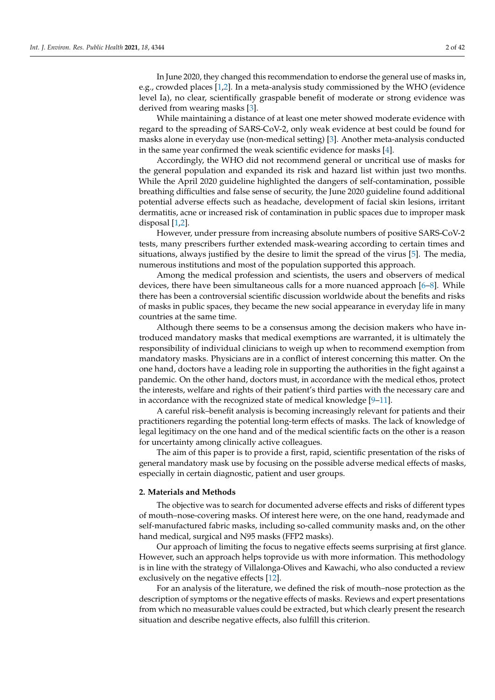In June 2020, they changed this recommendation to endorse the general use of masks in, e.g., crowded places [\[1,](#page-34-0)[2\]](#page-34-1). In a meta-analysis study commissioned by the WHO (evidence level Ia), no clear, scientifically graspable benefit of moderate or strong evidence was derived from wearing masks [\[3\]](#page-34-2).

While maintaining a distance of at least one meter showed moderate evidence with regard to the spreading of SARS-CoV-2, only weak evidence at best could be found for masks alone in everyday use (non-medical setting) [\[3\]](#page-34-2). Another meta-analysis conducted in the same year confirmed the weak scientific evidence for masks [\[4\]](#page-34-3).

Accordingly, the WHO did not recommend general or uncritical use of masks for the general population and expanded its risk and hazard list within just two months. While the April 2020 guideline highlighted the dangers of self-contamination, possible breathing difficulties and false sense of security, the June 2020 guideline found additional potential adverse effects such as headache, development of facial skin lesions, irritant dermatitis, acne or increased risk of contamination in public spaces due to improper mask disposal [\[1](#page-34-0)[,2\]](#page-34-1).

However, under pressure from increasing absolute numbers of positive SARS-CoV-2 tests, many prescribers further extended mask-wearing according to certain times and situations, always justified by the desire to limit the spread of the virus [\[5\]](#page-34-4). The media, numerous institutions and most of the population supported this approach.

Among the medical profession and scientists, the users and observers of medical devices, there have been simultaneous calls for a more nuanced approach [\[6](#page-34-5)[–8\]](#page-35-0). While there has been a controversial scientific discussion worldwide about the benefits and risks of masks in public spaces, they became the new social appearance in everyday life in many countries at the same time.

Although there seems to be a consensus among the decision makers who have introduced mandatory masks that medical exemptions are warranted, it is ultimately the responsibility of individual clinicians to weigh up when to recommend exemption from mandatory masks. Physicians are in a conflict of interest concerning this matter. On the one hand, doctors have a leading role in supporting the authorities in the fight against a pandemic. On the other hand, doctors must, in accordance with the medical ethos, protect the interests, welfare and rights of their patient's third parties with the necessary care and in accordance with the recognized state of medical knowledge [\[9–](#page-35-1)[11\]](#page-35-2).

A careful risk–benefit analysis is becoming increasingly relevant for patients and their practitioners regarding the potential long-term effects of masks. The lack of knowledge of legal legitimacy on the one hand and of the medical scientific facts on the other is a reason for uncertainty among clinically active colleagues.

The aim of this paper is to provide a first, rapid, scientific presentation of the risks of general mandatory mask use by focusing on the possible adverse medical effects of masks, especially in certain diagnostic, patient and user groups.

#### **2. Materials and Methods**

The objective was to search for documented adverse effects and risks of different types of mouth–nose-covering masks. Of interest here were, on the one hand, readymade and self-manufactured fabric masks, including so-called community masks and, on the other hand medical, surgical and N95 masks (FFP2 masks).

Our approach of limiting the focus to negative effects seems surprising at first glance. However, such an approach helps toprovide us with more information. This methodology is in line with the strategy of Villalonga-Olives and Kawachi, who also conducted a review exclusively on the negative effects [\[12\]](#page-35-3).

For an analysis of the literature, we defined the risk of mouth–nose protection as the description of symptoms or the negative effects of masks. Reviews and expert presentations from which no measurable values could be extracted, but which clearly present the research situation and describe negative effects, also fulfill this criterion.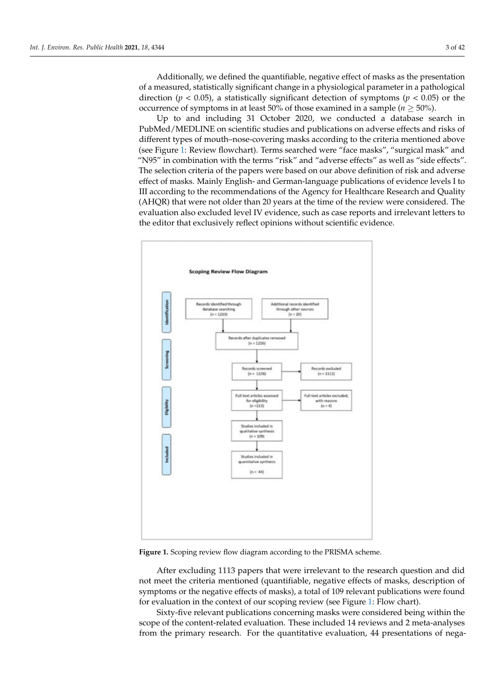Additionally, we defined the quantifiable, negative effect of masks as the presentation of a measured, statistically significant change in a physiological parameter in a pathological direction ( $p < 0.05$ ), a statistically significant detection of symptoms ( $p < 0.05$ ) or the occurrence of symptoms in at least 50% of those examined in a sample ( $n \ge 50\%$ ).

Up to and including 31 October 2020, we conducted a database search in PubMed/MEDLINE on scientific studies and publications on adverse effects and risks of different types of mouth–nose-covering masks according to the criteria mentioned above (see Figure [1:](#page-2-0) Review flowchart). Terms searched were "face masks", "surgical mask" and "N95" in combination with the terms "risk" and "adverse effects" as well as "side effects". The selection criteria of the papers were based on our above definition of risk and adverse effect of masks. Mainly English- and German-language publications of evidence levels I to III according to the recommendations of the Agency for Healthcare Research and Quality (AHQR) that were not older than 20 years at the time of the review were considered. The evaluation also excluded level IV evidence, such as case reports and irrelevant letters to the editor that exclusively reflect opinions without scientific evidence.

<span id="page-2-0"></span>

**Figure 1.** Scoping review flow diagram according to the PRISMA scheme.

After excluding 1113 papers that were irrelevant to the research question and did not meet the criteria mentioned (quantifiable, negative effects of masks, description of symptoms or the negative effects of masks), a total of 109 relevant publications were found for evaluation in the context of our scoping review (see Figure [1:](#page-2-0) Flow chart).

Sixty-five relevant publications concerning masks were considered being within the scope of the content-related evaluation. These included 14 reviews and 2 meta-analyses from the primary research. For the quantitative evaluation, 44 presentations of nega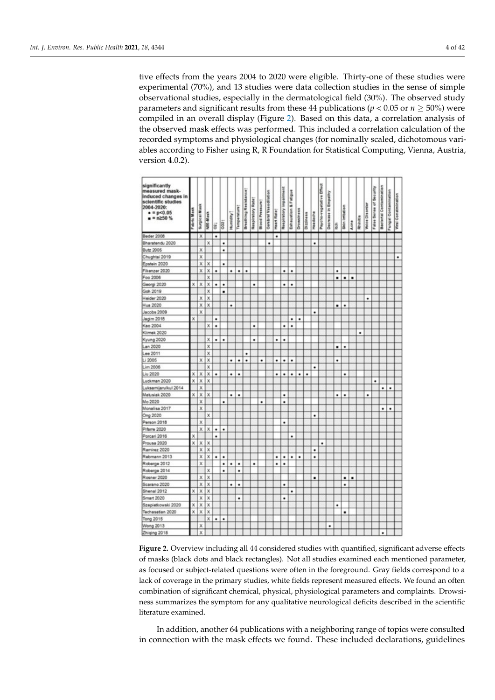tive effects from the years 2004 to 2020 were eligible. Thirty-one of these studies were experimental (70%), and 13 studies were data collection studies in the sense of simple observational studies, especially in the dermatological field (30%). The observed study parameters and significant results from these 44 publications ( $p < 0.05$  or  $n \ge 50\%$ ) were compiled in an overall display (Figure [2\)](#page-3-0). Based on this data, a correlation analysis of the observed mask effects was performed. This included a correlation calculation of the recorded symptoms and physiological changes (for nominally scaled, dichotomous variables according to Fisher using R, R Foundation for Statistical Computing, Vienna, Austria, version 4.0.2).

<span id="page-3-0"></span>

| significantly<br>measured mask-<br>induced changes in<br>scientific studies |            |                    |                         |   |     |           |             |                               |                   |                        |                       |             |                        |                      |            |           |          |                          |                     |      |                  |      |                 |                       |                         |                                |                      |                     |
|-----------------------------------------------------------------------------|------------|--------------------|-------------------------|---|-----|-----------|-------------|-------------------------------|-------------------|------------------------|-----------------------|-------------|------------------------|----------------------|------------|-----------|----------|--------------------------|---------------------|------|------------------|------|-----------------|-----------------------|-------------------------|--------------------------------|----------------------|---------------------|
| 2004-2020:<br>$= p < 0.05$<br>$n = n \ge 50$ %                              | abric Mask | Surgical Mask      | N86-Mask                | ä | coz | Humidity? | Temperature | <b>Breathing Resistance</b> ? | Respiratory Rate: | <b>Blood Pressure!</b> | Cerebral Vasodilation | Heart Rate: | Respiratory impairment | Exhaustion & Fatigue | Drowsiness | Dizziness | Headache | Psycho-vegetative Effect | Decrease in Empathy | ltch | Gloin limitation | Acne | <b>Rhinitis</b> | <b>Voice Disorder</b> | False Sense of Security | <b>Bacterial Contamination</b> | Fungal Contamination | Viral Constmination |
| Beder 2008                                                                  |            | X                  |                         | ٠ |     |           |             |                               |                   |                        |                       | ٠           |                        |                      |            |           |          |                          |                     |      |                  |      |                 |                       |                         |                                |                      |                     |
| Bharatendu 2020                                                             |            |                    | x                       |   | ٠   |           |             |                               |                   |                        | ٠                     |             |                        |                      |            |           | ٠        |                          |                     |      |                  |      |                 |                       |                         |                                |                      |                     |
| <b>Butz 2005</b>                                                            |            | ×                  |                         |   | ٠   |           |             |                               |                   |                        |                       |             |                        |                      |            |           |          |                          |                     |      |                  |      |                 |                       |                         |                                |                      |                     |
| Chughtai 2019                                                               |            | x                  |                         |   |     |           |             |                               |                   |                        |                       |             |                        |                      |            |           |          |                          |                     |      |                  |      |                 |                       |                         |                                |                      | ٠                   |
| Epstein 2020                                                                |            | x                  | x                       |   | ۰   |           |             |                               |                   |                        |                       |             |                        |                      |            |           |          |                          |                     |      |                  |      |                 |                       |                         |                                |                      |                     |
| Fikenzer 2020                                                               |            | $\bar{\mathbf{x}}$ | x                       | ٠ |     | ٠         | ٠           | ٠                             |                   |                        |                       |             | ٠                      | ٠                    |            |           |          |                          |                     | ٠    |                  |      |                 |                       |                         |                                |                      |                     |
| Foo 2006                                                                    |            |                    | ×                       |   |     |           |             |                               |                   |                        |                       |             |                        |                      |            |           |          |                          |                     |      | ٠                | ٠    |                 |                       |                         |                                |                      |                     |
| Georgi 2020                                                                 | x          | x                  | ×                       | ٠ | ٠   |           |             |                               | ٠                 |                        |                       |             | ٠                      | ٠                    |            |           |          |                          |                     |      |                  |      |                 |                       |                         |                                |                      |                     |
| Goh 2019                                                                    |            |                    | ×                       |   | ٠   |           |             |                               |                   |                        |                       |             |                        |                      |            |           |          |                          |                     |      |                  |      |                 |                       |                         |                                |                      |                     |
| Heider 2020                                                                 |            | x                  | x                       |   |     |           |             |                               |                   |                        |                       |             |                        |                      |            |           |          |                          |                     |      |                  |      |                 | ٠                     |                         |                                |                      |                     |
| Hua 2020                                                                    |            | X                  | x                       |   |     | ٠         |             |                               |                   |                        |                       |             |                        |                      |            |           |          |                          |                     | ٠    | ٠                |      |                 |                       |                         |                                |                      |                     |
| Jacobs 2009                                                                 |            | ×                  |                         |   |     |           |             |                               |                   |                        |                       |             |                        |                      |            |           | ٠        |                          |                     |      |                  |      |                 |                       |                         |                                |                      |                     |
| Jagim 2018                                                                  | x          |                    |                         | ٠ |     |           |             |                               |                   |                        |                       |             |                        | ٠                    | ٠          |           |          |                          |                     |      |                  |      |                 |                       |                         |                                |                      |                     |
| Kao 2004                                                                    |            |                    | ×                       | ٠ |     |           |             |                               | ٠                 |                        |                       |             | ٠                      |                      |            |           |          |                          |                     |      |                  |      |                 |                       |                         |                                |                      |                     |
| Klimek 2020                                                                 |            |                    |                         |   |     |           |             |                               |                   |                        |                       |             |                        |                      |            |           |          |                          |                     |      |                  |      | ٠               |                       |                         |                                |                      |                     |
| Kyung 2020                                                                  |            |                    | ×                       | ٠ | ٠   |           |             |                               | ٠                 |                        |                       | ٠           | ٠                      |                      |            |           |          |                          |                     |      |                  |      |                 |                       |                         |                                |                      |                     |
| Lan 2020                                                                    |            |                    | ×                       |   |     |           |             |                               |                   |                        |                       |             |                        |                      |            |           |          |                          |                     | ٠    | ٠                |      |                 |                       |                         |                                |                      |                     |
| Lee 2011                                                                    |            |                    | ×                       |   |     |           |             | ۰                             |                   |                        |                       |             |                        |                      |            |           |          |                          |                     |      |                  |      |                 |                       |                         |                                |                      |                     |
| Li 2005                                                                     |            | X                  | $\overline{\mathbf{x}}$ |   |     | ٠         | ٠           | ٠                             |                   | ٠                      |                       | ۰           | ٠                      | ٠                    |            |           |          |                          |                     | ۰    |                  |      |                 |                       |                         |                                |                      |                     |
| Lim 2006                                                                    |            |                    | ×                       |   |     |           |             |                               |                   |                        |                       |             |                        |                      |            |           | ٠        |                          |                     |      |                  |      |                 |                       |                         |                                |                      |                     |
| Liu 2020                                                                    | ×          | х                  | x                       | ۰ |     | ۰         | ٠           |                               |                   |                        |                       | ٠           | ٠                      | ٠                    | ٠          | ٠         |          |                          |                     |      | ۰                |      |                 |                       |                         |                                |                      |                     |
| Luckman 2020                                                                | x          | x                  | x                       |   |     |           |             |                               |                   |                        |                       |             |                        |                      |            |           |          |                          |                     |      |                  |      |                 |                       | ٠                       |                                |                      |                     |
| Luksamijarulkul 2014                                                        |            | ×                  |                         |   |     |           |             |                               |                   |                        |                       |             |                        |                      |            |           |          |                          |                     |      |                  |      |                 |                       |                         | ۰                              |                      |                     |
| Matusiak 2020                                                               | x          | X                  | x                       |   |     | ٠         | ٠           |                               |                   |                        |                       |             | ٠                      |                      |            |           |          |                          |                     | ٠    | ٠                |      |                 | ۰                     |                         |                                |                      |                     |
| Mo 2020                                                                     |            | X                  |                         |   | ٠   |           |             |                               |                   | ٠                      |                       |             |                        |                      |            |           |          |                          |                     |      |                  |      |                 |                       |                         |                                |                      |                     |
| Monalisa 2017                                                               |            | ×                  |                         |   |     |           |             |                               |                   |                        |                       |             |                        |                      |            |           |          |                          |                     |      |                  |      |                 |                       |                         | ۰                              | ٠                    |                     |
| Ong 2020                                                                    |            |                    | x                       |   |     |           |             |                               |                   |                        |                       |             |                        |                      |            |           | ٠        |                          |                     |      |                  |      |                 |                       |                         |                                |                      |                     |
| Person 2018                                                                 |            | x                  |                         |   |     |           |             |                               |                   |                        |                       |             | ٠                      |                      |            |           |          |                          |                     |      |                  |      |                 |                       |                         |                                |                      |                     |
| Pifarre 2020                                                                |            | X                  | ×                       | ٠ | ٠   |           |             |                               |                   |                        |                       |             |                        |                      |            |           |          |                          |                     |      |                  |      |                 |                       |                         |                                |                      |                     |
| Porcari 2016                                                                | ×          |                    |                         | ٠ |     |           |             |                               |                   |                        |                       |             |                        | ٠                    |            |           |          |                          |                     |      |                  |      |                 |                       |                         |                                |                      |                     |
| Prousa 2020                                                                 | x          | X                  | ×                       |   |     |           |             |                               |                   |                        |                       |             |                        |                      |            |           |          | ٠                        |                     |      |                  |      |                 |                       |                         |                                |                      |                     |
| Ramirez 2020                                                                |            | X                  | ×                       |   |     |           |             |                               |                   |                        |                       |             |                        |                      |            |           | ٠        |                          |                     |      |                  |      |                 |                       |                         |                                |                      |                     |
| Rebmann 2013                                                                |            | ×                  | x                       | ٠ | ٠   |           |             |                               |                   |                        |                       | ٠           | ٠                      | ٠                    | ٠          |           |          |                          |                     |      |                  |      |                 |                       |                         |                                |                      |                     |
| Roberge 2012                                                                |            | x                  |                         |   | ٠   | ٠         | ٠           |                               | ٠                 |                        |                       | ٠           | ٠                      |                      |            |           |          |                          |                     |      |                  |      |                 |                       |                         |                                |                      |                     |
| Roberge 2014                                                                |            |                    | x                       |   | ٠   |           | ٠           |                               |                   |                        |                       |             |                        |                      |            |           |          |                          |                     |      |                  |      |                 |                       |                         |                                |                      |                     |
| Rosner 2020                                                                 |            | X                  | x                       |   |     |           |             |                               |                   |                        |                       |             |                        |                      |            |           | ٠        |                          |                     |      | ٠                |      |                 |                       |                         |                                |                      |                     |
| Scarano 2020                                                                |            | x                  | x                       |   |     | ٠         | ٠           |                               |                   |                        |                       |             | ٠                      |                      |            |           |          |                          |                     |      | ٠                |      |                 |                       |                         |                                |                      |                     |
| Shenal 2012                                                                 | X          | X                  | x                       |   |     |           |             |                               |                   |                        |                       |             |                        | ٠                    |            |           |          |                          |                     |      |                  |      |                 |                       |                         |                                |                      |                     |
| Smart 2020                                                                  |            | X                  | x                       |   |     |           | ٠           |                               |                   |                        |                       |             | ٠                      |                      |            |           |          |                          |                     |      |                  |      |                 |                       |                         |                                |                      |                     |
| Szepietkowski 2020                                                          | X          | X                  | x                       |   |     |           |             |                               |                   |                        |                       |             |                        |                      |            |           |          |                          |                     | ٠    |                  |      |                 |                       |                         |                                |                      |                     |
| Techasatan 2020                                                             | x          | ×                  | x                       |   |     |           |             |                               |                   |                        |                       |             |                        |                      |            |           |          |                          |                     |      | ٠                |      |                 |                       |                         |                                |                      |                     |
|                                                                             |            |                    | x                       | ٠ |     |           |             |                               |                   |                        |                       |             |                        |                      |            |           |          |                          |                     |      |                  |      |                 |                       |                         |                                |                      |                     |
| <b>Tong 2015</b>                                                            |            |                    |                         |   |     |           |             |                               |                   |                        |                       |             |                        |                      |            |           |          |                          |                     |      |                  |      |                 |                       |                         |                                |                      |                     |
| Wong 2013                                                                   |            | x                  |                         |   |     |           |             |                               |                   |                        |                       |             |                        |                      |            |           |          |                          | ٠                   |      |                  |      |                 |                       |                         |                                |                      |                     |

**Figure 2.** Overview including all 44 considered studies with quantified, significant adverse effects of masks (black dots and black rectangles). Not all studies examined each mentioned parameter, as focused or subject-related questions were often in the foreground. Gray fields correspond to a lack of coverage in the primary studies, white fields represent measured effects. We found an often combination of significant chemical, physical, physiological parameters and complaints. Drowsiness summarizes the symptom for any qualitative neurological deficits described in the scientific literature examined.

In addition, another 64 publications with a neighboring range of topics were consulted in connection with the mask effects we found. These included declarations, guidelines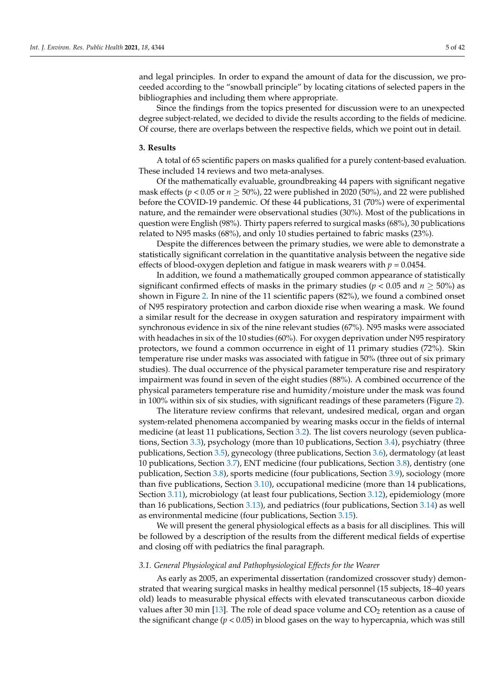and legal principles. In order to expand the amount of data for the discussion, we proceeded according to the "snowball principle" by locating citations of selected papers in the bibliographies and including them where appropriate.

Since the findings from the topics presented for discussion were to an unexpected degree subject-related, we decided to divide the results according to the fields of medicine. Of course, there are overlaps between the respective fields, which we point out in detail.

#### **3. Results**

A total of 65 scientific papers on masks qualified for a purely content-based evaluation. These included 14 reviews and two meta-analyses.

Of the mathematically evaluable, groundbreaking 44 papers with significant negative mask effects ( $p < 0.05$  or  $n \ge 50\%$ ), 22 were published in 2020 (50%), and 22 were published before the COVID-19 pandemic. Of these 44 publications, 31 (70%) were of experimental nature, and the remainder were observational studies (30%). Most of the publications in question were English (98%). Thirty papers referred to surgical masks (68%), 30 publications related to N95 masks (68%), and only 10 studies pertained to fabric masks (23%).

Despite the differences between the primary studies, we were able to demonstrate a statistically significant correlation in the quantitative analysis between the negative side effects of blood-oxygen depletion and fatigue in mask wearers with  $p = 0.0454$ .

In addition, we found a mathematically grouped common appearance of statistically significant confirmed effects of masks in the primary studies ( $p < 0.05$  and  $n \ge 50\%$ ) as shown in Figure [2.](#page-3-0) In nine of the 11 scientific papers (82%), we found a combined onset of N95 respiratory protection and carbon dioxide rise when wearing a mask. We found a similar result for the decrease in oxygen saturation and respiratory impairment with synchronous evidence in six of the nine relevant studies (67%). N95 masks were associated with headaches in six of the 10 studies (60%). For oxygen deprivation under N95 respiratory protectors, we found a common occurrence in eight of 11 primary studies (72%). Skin temperature rise under masks was associated with fatigue in 50% (three out of six primary studies). The dual occurrence of the physical parameter temperature rise and respiratory impairment was found in seven of the eight studies (88%). A combined occurrence of the physical parameters temperature rise and humidity/moisture under the mask was found in 100% within six of six studies, with significant readings of these parameters (Figure [2\)](#page-3-0).

The literature review confirms that relevant, undesired medical, organ and organ system-related phenomena accompanied by wearing masks occur in the fields of internal medicine (at least 11 publications, Section [3.2\)](#page-8-0). The list covers neurology (seven publications, Section [3.3\)](#page-10-0), psychology (more than 10 publications, Section [3.4\)](#page-11-0), psychiatry (three publications, Section [3.5\)](#page-12-0), gynecology (three publications, Section [3.6\)](#page-12-1), dermatology (at least 10 publications, Section [3.7\)](#page-13-0), ENT medicine (four publications, Section [3.8\)](#page-14-0), dentistry (one publication, Section [3.8\)](#page-14-0), sports medicine (four publications, Section [3.9\)](#page-15-0), sociology (more than five publications, Section [3.10\)](#page-16-0), occupational medicine (more than 14 publications, Section [3.11\)](#page-17-0), microbiology (at least four publications, Section [3.12\)](#page-18-0), epidemiology (more than 16 publications, Section [3.13\)](#page-19-0), and pediatrics (four publications, Section [3.14\)](#page-21-0) as well as environmental medicine (four publications, Section [3.15\)](#page-22-0).

We will present the general physiological effects as a basis for all disciplines. This will be followed by a description of the results from the different medical fields of expertise and closing off with pediatrics the final paragraph.

## <span id="page-4-0"></span>*3.1. General Physiological and Pathophysiological Effects for the Wearer*

As early as 2005, an experimental dissertation (randomized crossover study) demonstrated that wearing surgical masks in healthy medical personnel (15 subjects, 18–40 years old) leads to measurable physical effects with elevated transcutaneous carbon dioxide values after 30 min [\[13\]](#page-35-4). The role of dead space volume and  $CO<sub>2</sub>$  retention as a cause of the significant change ( $p < 0.05$ ) in blood gases on the way to hypercapnia, which was still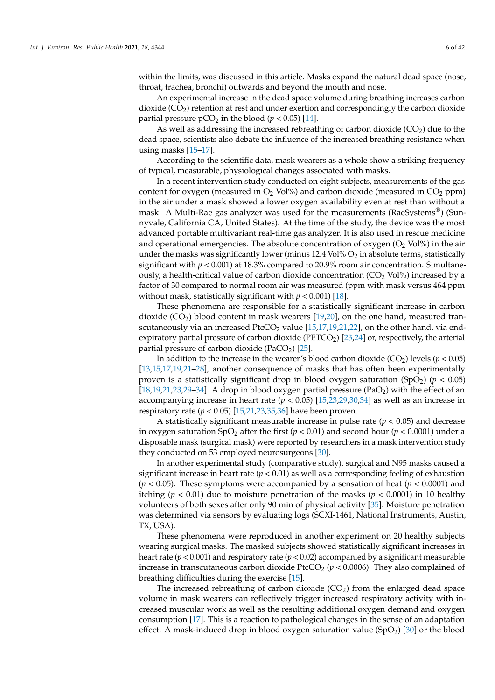within the limits, was discussed in this article. Masks expand the natural dead space (nose, throat, trachea, bronchi) outwards and beyond the mouth and nose.

An experimental increase in the dead space volume during breathing increases carbon dioxide  $(CO<sub>2</sub>)$  retention at rest and under exertion and correspondingly the carbon dioxide partial pressure  $pCO<sub>2</sub>$  in the blood ( $p < 0.05$ ) [\[14\]](#page-35-5).

As well as addressing the increased rebreathing of carbon dioxide  $(CO<sub>2</sub>)$  due to the dead space, scientists also debate the influence of the increased breathing resistance when using masks [\[15–](#page-35-6)[17\]](#page-35-7).

According to the scientific data, mask wearers as a whole show a striking frequency of typical, measurable, physiological changes associated with masks.

In a recent intervention study conducted on eight subjects, measurements of the gas content for oxygen (measured in  $O_2$  Vol%) and carbon dioxide (measured in  $CO_2$  ppm) in the air under a mask showed a lower oxygen availability even at rest than without a mask. A Multi-Rae gas analyzer was used for the measurements (RaeSystems<sup>®</sup>) (Sunnyvale, California CA, United States). At the time of the study, the device was the most advanced portable multivariant real-time gas analyzer. It is also used in rescue medicine and operational emergencies. The absolute concentration of oxygen  $(O_2 \text{ Vol} \%)$  in the air under the masks was significantly lower (minus  $12.4$  Vol%  $O_2$  in absolute terms, statistically significant with  $p < 0.001$ ) at 18.3% compared to 20.9% room air concentration. Simultaneously, a health-critical value of carbon dioxide concentration  $(CO<sub>2</sub> Vol%)$  increased by a factor of 30 compared to normal room air was measured (ppm with mask versus 464 ppm without mask, statistically significant with  $p < 0.001$  [\[18\]](#page-35-8).

These phenomena are responsible for a statistically significant increase in carbon dioxide  $(CO<sub>2</sub>)$  blood content in mask wearers [\[19,](#page-35-9)[20\]](#page-35-10), on the one hand, measured transcutaneously via an increased PtcCO<sub>2</sub> value  $[15,17,19,21,22]$  $[15,17,19,21,22]$  $[15,17,19,21,22]$  $[15,17,19,21,22]$  $[15,17,19,21,22]$ , on the other hand, via endexpiratory partial pressure of carbon dioxide ( $PETCO<sub>2</sub>$ ) [\[23](#page-35-13)[,24\]](#page-35-14) or, respectively, the arterial partial pressure of carbon dioxide (PaCO<sub>2</sub>) [\[25\]](#page-35-15).

In addition to the increase in the wearer's blood carbon dioxide  $(CO_2)$  levels ( $p < 0.05$ ) [\[13,](#page-35-4)[15,](#page-35-6)[17,](#page-35-7)[19,](#page-35-9)[21–](#page-35-11)[28\]](#page-35-16), another consequence of masks that has often been experimentally proven is a statistically significant drop in blood oxygen saturation  $(SpO<sub>2</sub>)$  ( $p < 0.05$ ) [ $18,19,21,23,29-34$  $18,19,21,23,29-34$  $18,19,21,23,29-34$  $18,19,21,23,29-34$  $18,19,21,23,29-34$ ]. A drop in blood oxygen partial pressure ( $PaO<sub>2</sub>$ ) with the effect of an accompanying increase in heart rate  $(p < 0.05)$  [\[15](#page-35-6)[,23](#page-35-13)[,29](#page-35-17)[,30](#page-35-19)[,34\]](#page-35-18) as well as an increase in respiratory rate (*p* < 0.05) [\[15,](#page-35-6)[21,](#page-35-11)[23,](#page-35-13)[35,](#page-35-20)[36\]](#page-35-21) have been proven.

A statistically significant measurable increase in pulse rate  $(p < 0.05)$  and decrease in oxygen saturation  $SpO<sub>2</sub>$  after the first ( $p < 0.01$ ) and second hour ( $p < 0.0001$ ) under a disposable mask (surgical mask) were reported by researchers in a mask intervention study they conducted on 53 employed neurosurgeons [\[30\]](#page-35-19).

In another experimental study (comparative study), surgical and N95 masks caused a significant increase in heart rate ( $p < 0.01$ ) as well as a corresponding feeling of exhaustion (*p* < 0.05). These symptoms were accompanied by a sensation of heat (*p* < 0.0001) and itching ( $p < 0.01$ ) due to moisture penetration of the masks ( $p < 0.0001$ ) in 10 healthy volunteers of both sexes after only 90 min of physical activity [\[35\]](#page-35-20). Moisture penetration was determined via sensors by evaluating logs (SCXI-1461, National Instruments, Austin, TX, USA).

These phenomena were reproduced in another experiment on 20 healthy subjects wearing surgical masks. The masked subjects showed statistically significant increases in heart rate ( $p < 0.001$ ) and respiratory rate ( $p < 0.02$ ) accompanied by a significant measurable increase in transcutaneous carbon dioxide PtcCO<sub>2</sub> ( $p$  < 0.0006). They also complained of breathing difficulties during the exercise [\[15\]](#page-35-6).

The increased rebreathing of carbon dioxide  $(CO<sub>2</sub>)$  from the enlarged dead space volume in mask wearers can reflectively trigger increased respiratory activity with increased muscular work as well as the resulting additional oxygen demand and oxygen consumption [\[17\]](#page-35-7). This is a reaction to pathological changes in the sense of an adaptation effect. A mask-induced drop in blood oxygen saturation value (SpO<sub>2</sub>) [\[30\]](#page-35-19) or the blood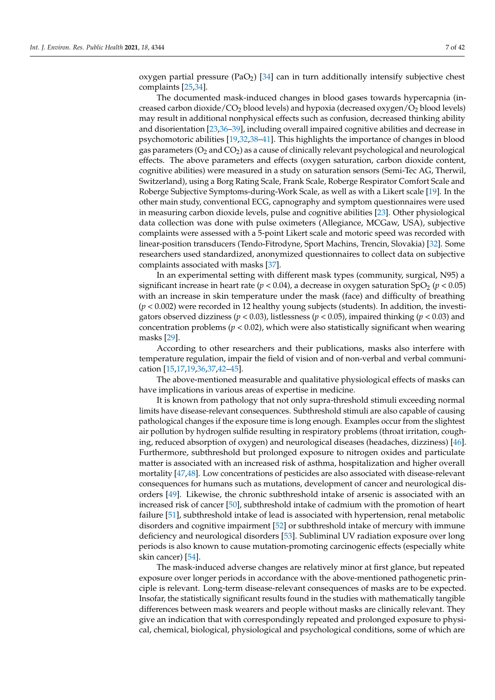oxygen partial pressure (PaO<sub>2</sub>) [\[34\]](#page-35-18) can in turn additionally intensify subjective chest complaints [\[25,](#page-35-15)[34\]](#page-35-18).

The documented mask-induced changes in blood gases towards hypercapnia (increased carbon dioxide/ $CO<sub>2</sub>$  blood levels) and hypoxia (decreased oxygen/ $O<sub>2</sub>$  blood levels) may result in additional nonphysical effects such as confusion, decreased thinking ability and disorientation [\[23](#page-35-13)[,36](#page-35-21)[–39\]](#page-36-0), including overall impaired cognitive abilities and decrease in psychomotoric abilities [\[19,](#page-35-9)[32,](#page-35-22)[38–](#page-36-1)[41\]](#page-36-2). This highlights the importance of changes in blood gas parameters ( $O<sub>2</sub>$  and  $CO<sub>2</sub>$ ) as a cause of clinically relevant psychological and neurological effects. The above parameters and effects (oxygen saturation, carbon dioxide content, cognitive abilities) were measured in a study on saturation sensors (Semi-Tec AG, Therwil, Switzerland), using a Borg Rating Scale, Frank Scale, Roberge Respirator Comfort Scale and Roberge Subjective Symptoms-during-Work Scale, as well as with a Likert scale [\[19\]](#page-35-9). In the other main study, conventional ECG, capnography and symptom questionnaires were used in measuring carbon dioxide levels, pulse and cognitive abilities [\[23\]](#page-35-13). Other physiological data collection was done with pulse oximeters (Allegiance, MCGaw, USA), subjective complaints were assessed with a 5-point Likert scale and motoric speed was recorded with linear-position transducers (Tendo-Fitrodyne, Sport Machins, Trencin, Slovakia) [\[32\]](#page-35-22). Some researchers used standardized, anonymized questionnaires to collect data on subjective complaints associated with masks [\[37\]](#page-36-3).

In an experimental setting with different mask types (community, surgical, N95) a significant increase in heart rate ( $p < 0.04$ ), a decrease in oxygen saturation SpO<sub>2</sub> ( $p < 0.05$ ) with an increase in skin temperature under the mask (face) and difficulty of breathing (*p* < 0.002) were recorded in 12 healthy young subjects (students). In addition, the investigators observed dizziness ( $p < 0.03$ ), listlessness ( $p < 0.05$ ), impaired thinking ( $p < 0.03$ ) and concentration problems ( $p < 0.02$ ), which were also statistically significant when wearing masks [\[29\]](#page-35-17).

According to other researchers and their publications, masks also interfere with temperature regulation, impair the field of vision and of non-verbal and verbal communication [\[15,](#page-35-6)[17](#page-35-7)[,19,](#page-35-9)[36,](#page-35-21)[37,](#page-36-3)[42](#page-36-4)[–45\]](#page-36-5).

The above-mentioned measurable and qualitative physiological effects of masks can have implications in various areas of expertise in medicine.

It is known from pathology that not only supra-threshold stimuli exceeding normal limits have disease-relevant consequences. Subthreshold stimuli are also capable of causing pathological changes if the exposure time is long enough. Examples occur from the slightest air pollution by hydrogen sulfide resulting in respiratory problems (throat irritation, coughing, reduced absorption of oxygen) and neurological diseases (headaches, dizziness) [\[46\]](#page-36-6). Furthermore, subthreshold but prolonged exposure to nitrogen oxides and particulate matter is associated with an increased risk of asthma, hospitalization and higher overall mortality [\[47](#page-36-7)[,48\]](#page-36-8). Low concentrations of pesticides are also associated with disease-relevant consequences for humans such as mutations, development of cancer and neurological disorders [\[49\]](#page-36-9). Likewise, the chronic subthreshold intake of arsenic is associated with an increased risk of cancer [\[50\]](#page-36-10), subthreshold intake of cadmium with the promotion of heart failure [\[51\]](#page-36-11), subthreshold intake of lead is associated with hypertension, renal metabolic disorders and cognitive impairment [\[52\]](#page-36-12) or subthreshold intake of mercury with immune deficiency and neurological disorders [\[53\]](#page-36-13). Subliminal UV radiation exposure over long periods is also known to cause mutation-promoting carcinogenic effects (especially white skin cancer) [\[54\]](#page-36-14).

The mask-induced adverse changes are relatively minor at first glance, but repeated exposure over longer periods in accordance with the above-mentioned pathogenetic principle is relevant. Long-term disease-relevant consequences of masks are to be expected. Insofar, the statistically significant results found in the studies with mathematically tangible differences between mask wearers and people without masks are clinically relevant. They give an indication that with correspondingly repeated and prolonged exposure to physical, chemical, biological, physiological and psychological conditions, some of which are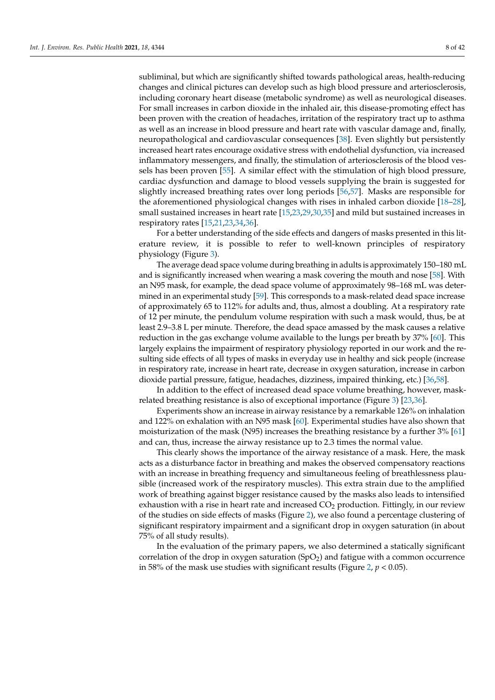subliminal, but which are significantly shifted towards pathological areas, health-reducing changes and clinical pictures can develop such as high blood pressure and arteriosclerosis, including coronary heart disease (metabolic syndrome) as well as neurological diseases. For small increases in carbon dioxide in the inhaled air, this disease-promoting effect has been proven with the creation of headaches, irritation of the respiratory tract up to asthma as well as an increase in blood pressure and heart rate with vascular damage and, finally, neuropathological and cardiovascular consequences [\[38\]](#page-36-1). Even slightly but persistently increased heart rates encourage oxidative stress with endothelial dysfunction, via increased inflammatory messengers, and finally, the stimulation of arteriosclerosis of the blood vessels has been proven [\[55\]](#page-36-15). A similar effect with the stimulation of high blood pressure, cardiac dysfunction and damage to blood vessels supplying the brain is suggested for slightly increased breathing rates over long periods [\[56](#page-36-16)[,57\]](#page-36-17). Masks are responsible for the aforementioned physiological changes with rises in inhaled carbon dioxide [\[18–](#page-35-8)[28\]](#page-35-16), small sustained increases in heart rate [\[15](#page-35-6)[,23](#page-35-13)[,29](#page-35-17)[,30,](#page-35-19)[35\]](#page-35-20) and mild but sustained increases in respiratory rates [\[15](#page-35-6)[,21](#page-35-11)[,23](#page-35-13)[,34](#page-35-18)[,36\]](#page-35-21).

For a better understanding of the side effects and dangers of masks presented in this literature review, it is possible to refer to well-known principles of respiratory physiology (Figure [3\)](#page-8-1).

The average dead space volume during breathing in adults is approximately 150–180 mL and is significantly increased when wearing a mask covering the mouth and nose [\[58\]](#page-36-18). With an N95 mask, for example, the dead space volume of approximately 98–168 mL was determined in an experimental study [\[59\]](#page-36-19). This corresponds to a mask-related dead space increase of approximately 65 to 112% for adults and, thus, almost a doubling. At a respiratory rate of 12 per minute, the pendulum volume respiration with such a mask would, thus, be at least 2.9–3.8 L per minute. Therefore, the dead space amassed by the mask causes a relative reduction in the gas exchange volume available to the lungs per breath by 37% [\[60\]](#page-36-20). This largely explains the impairment of respiratory physiology reported in our work and the resulting side effects of all types of masks in everyday use in healthy and sick people (increase in respiratory rate, increase in heart rate, decrease in oxygen saturation, increase in carbon dioxide partial pressure, fatigue, headaches, dizziness, impaired thinking, etc.) [\[36](#page-35-21)[,58\]](#page-36-18).

In addition to the effect of increased dead space volume breathing, however, maskrelated breathing resistance is also of exceptional importance (Figure [3\)](#page-8-1) [\[23,](#page-35-13)[36\]](#page-35-21).

Experiments show an increase in airway resistance by a remarkable 126% on inhalation and 122% on exhalation with an N95 mask [\[60\]](#page-36-20). Experimental studies have also shown that moisturization of the mask (N95) increases the breathing resistance by a further 3% [\[61\]](#page-36-21) and can, thus, increase the airway resistance up to 2.3 times the normal value.

This clearly shows the importance of the airway resistance of a mask. Here, the mask acts as a disturbance factor in breathing and makes the observed compensatory reactions with an increase in breathing frequency and simultaneous feeling of breathlessness plausible (increased work of the respiratory muscles). This extra strain due to the amplified work of breathing against bigger resistance caused by the masks also leads to intensified exhaustion with a rise in heart rate and increased  $CO<sub>2</sub>$  production. Fittingly, in our review of the studies on side effects of masks (Figure [2\)](#page-3-0), we also found a percentage clustering of significant respiratory impairment and a significant drop in oxygen saturation (in about 75% of all study results).

In the evaluation of the primary papers, we also determined a statically significant correlation of the drop in oxygen saturation  $(SpO<sub>2</sub>)$  and fatigue with a common occurrence in 58% of the mask use studies with significant results (Figure [2,](#page-3-0) *p* < 0.05).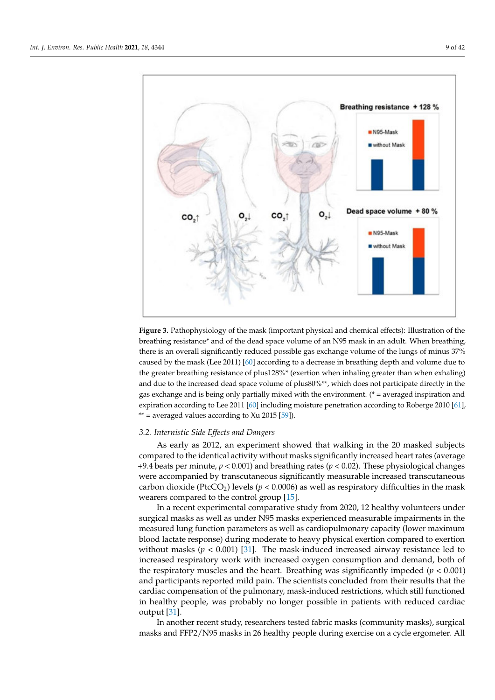<span id="page-8-1"></span>

**Figure 3.** Pathophysiology of the mask (important physical and chemical effects): Illustration of the breathing resistance\* and of the dead space volume of an N95 mask in an adult. When breathing, there is an overall significantly reduced possible gas exchange volume of the lungs of minus 37% caused by the mask (Lee 2011) [\[60\]](#page-36-20) according to a decrease in breathing depth and volume due to the greater breathing resistance of plus128%\* (exertion when inhaling greater than when exhaling) and due to the increased dead space volume of plus80%\*\*, which does not participate directly in the gas exchange and is being only partially mixed with the environment. (\* = averaged inspiration and expiration according to Lee 2011 [\[60\]](#page-36-20) including moisture penetration according to Roberge 2010 [\[61\]](#page-36-21), \*\* = averaged values according to  $Xu$  2015 [\[59\]](#page-36-19)).

#### <span id="page-8-0"></span>*3.2. Internistic Side Effects and Dangers*

As early as 2012, an experiment showed that walking in the 20 masked subjects compared to the identical activity without masks significantly increased heart rates (average +9.4 beats per minute, *p* < 0.001) and breathing rates (*p* < 0.02). These physiological changes were accompanied by transcutaneous significantly measurable increased transcutaneous carbon dioxide (PtcCO<sub>2</sub>) levels ( $p < 0.0006$ ) as well as respiratory difficulties in the mask wearers compared to the control group [\[15\]](#page-35-6).

In a recent experimental comparative study from 2020, 12 healthy volunteers under surgical masks as well as under N95 masks experienced measurable impairments in the measured lung function parameters as well as cardiopulmonary capacity (lower maximum blood lactate response) during moderate to heavy physical exertion compared to exertion without masks  $(p < 0.001)$  [\[31\]](#page-35-23). The mask-induced increased airway resistance led to increased respiratory work with increased oxygen consumption and demand, both of the respiratory muscles and the heart. Breathing was significantly impeded  $(p < 0.001)$ and participants reported mild pain. The scientists concluded from their results that the cardiac compensation of the pulmonary, mask-induced restrictions, which still functioned in healthy people, was probably no longer possible in patients with reduced cardiac output [\[31\]](#page-35-23).

In another recent study, researchers tested fabric masks (community masks), surgical masks and FFP2/N95 masks in 26 healthy people during exercise on a cycle ergometer. All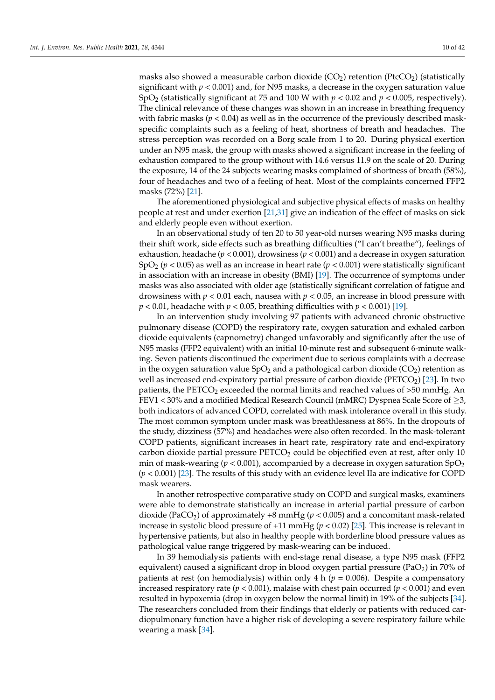masks also showed a measurable carbon dioxide  $(CO_2)$  retention (PtcCO<sub>2</sub>) (statistically significant with  $p < 0.001$  and, for N95 masks, a decrease in the oxygen saturation value SpO<sup>2</sup> (statistically significant at 75 and 100 W with *p* < 0.02 and *p* < 0.005, respectively). The clinical relevance of these changes was shown in an increase in breathing frequency with fabric masks ( $p < 0.04$ ) as well as in the occurrence of the previously described maskspecific complaints such as a feeling of heat, shortness of breath and headaches. The stress perception was recorded on a Borg scale from 1 to 20. During physical exertion under an N95 mask, the group with masks showed a significant increase in the feeling of exhaustion compared to the group without with 14.6 versus 11.9 on the scale of 20. During the exposure, 14 of the 24 subjects wearing masks complained of shortness of breath (58%), four of headaches and two of a feeling of heat. Most of the complaints concerned FFP2 masks (72%) [\[21\]](#page-35-11).

The aforementioned physiological and subjective physical effects of masks on healthy people at rest and under exertion [\[21](#page-35-11)[,31\]](#page-35-23) give an indication of the effect of masks on sick and elderly people even without exertion.

In an observational study of ten 20 to 50 year-old nurses wearing N95 masks during their shift work, side effects such as breathing difficulties ("I can't breathe"), feelings of exhaustion, headache (*p* < 0.001), drowsiness (*p* < 0.001) and a decrease in oxygen saturation SpO<sub>2</sub> ( $p < 0.05$ ) as well as an increase in heart rate ( $p < 0.001$ ) were statistically significant in association with an increase in obesity (BMI) [\[19\]](#page-35-9). The occurrence of symptoms under masks was also associated with older age (statistically significant correlation of fatigue and drowsiness with  $p < 0.01$  each, nausea with  $p < 0.05$ , an increase in blood pressure with  $p < 0.01$ , headache with  $p < 0.05$ , breathing difficulties with  $p < 0.001$  [\[19\]](#page-35-9).

In an intervention study involving 97 patients with advanced chronic obstructive pulmonary disease (COPD) the respiratory rate, oxygen saturation and exhaled carbon dioxide equivalents (capnometry) changed unfavorably and significantly after the use of N95 masks (FFP2 equivalent) with an initial 10-minute rest and subsequent 6-minute walking. Seven patients discontinued the experiment due to serious complaints with a decrease in the oxygen saturation value  $SpO<sub>2</sub>$  and a pathological carbon dioxide (CO<sub>2</sub>) retention as well as increased end-expiratory partial pressure of carbon dioxide ( $PETCO<sub>2</sub>$ ) [\[23\]](#page-35-13). In two patients, the PETCO<sub>2</sub> exceeded the normal limits and reached values of  $>50$  mmHg. An FEV1 < 30% and a modified Medical Research Council (mMRC) Dyspnea Scale Score of  $\geq$ 3, both indicators of advanced COPD, correlated with mask intolerance overall in this study. The most common symptom under mask was breathlessness at 86%. In the dropouts of the study, dizziness (57%) and headaches were also often recorded. In the mask-tolerant COPD patients, significant increases in heart rate, respiratory rate and end-expiratory carbon dioxide partial pressure  $PETCO<sub>2</sub>$  could be objectified even at rest, after only 10 min of mask-wearing ( $p < 0.001$ ), accompanied by a decrease in oxygen saturation SpO<sub>2</sub> (*p* < 0.001) [\[23\]](#page-35-13). The results of this study with an evidence level IIa are indicative for COPD mask wearers.

In another retrospective comparative study on COPD and surgical masks, examiners were able to demonstrate statistically an increase in arterial partial pressure of carbon dioxide (PaCO<sub>2</sub>) of approximately  $+8$  mmHg ( $p < 0.005$ ) and a concomitant mask-related increase in systolic blood pressure of  $+11$  mmHg ( $p < 0.02$ ) [\[25\]](#page-35-15). This increase is relevant in hypertensive patients, but also in healthy people with borderline blood pressure values as pathological value range triggered by mask-wearing can be induced.

In 39 hemodialysis patients with end-stage renal disease, a type N95 mask (FFP2 equivalent) caused a significant drop in blood oxygen partial pressure (PaO<sub>2</sub>) in 70% of patients at rest (on hemodialysis) within only  $4 h (p = 0.006)$ . Despite a compensatory increased respiratory rate ( $p < 0.001$ ), malaise with chest pain occurred ( $p < 0.001$ ) and even resulted in hypoxemia (drop in oxygen below the normal limit) in 19% of the subjects [\[34\]](#page-35-18). The researchers concluded from their findings that elderly or patients with reduced cardiopulmonary function have a higher risk of developing a severe respiratory failure while wearing a mask [\[34\]](#page-35-18).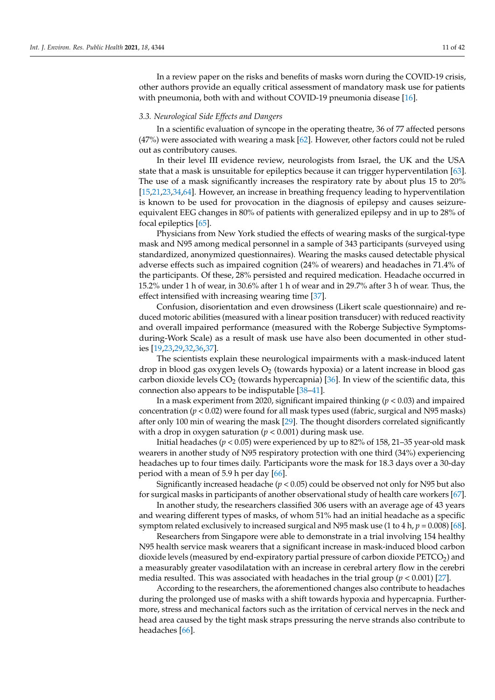In a review paper on the risks and benefits of masks worn during the COVID-19 crisis, other authors provide an equally critical assessment of mandatory mask use for patients with pneumonia, both with and without COVID-19 pneumonia disease [\[16\]](#page-35-24).

#### <span id="page-10-0"></span>*3.3. Neurological Side Effects and Dangers*

In a scientific evaluation of syncope in the operating theatre, 36 of 77 affected persons (47%) were associated with wearing a mask [\[62\]](#page-36-22). However, other factors could not be ruled out as contributory causes.

In their level III evidence review, neurologists from Israel, the UK and the USA state that a mask is unsuitable for epileptics because it can trigger hyperventilation [\[63\]](#page-36-23). The use of a mask significantly increases the respiratory rate by about plus 15 to 20% [\[15,](#page-35-6)[21,](#page-35-11)[23](#page-35-13)[,34](#page-35-18)[,64\]](#page-37-0). However, an increase in breathing frequency leading to hyperventilation is known to be used for provocation in the diagnosis of epilepsy and causes seizureequivalent EEG changes in 80% of patients with generalized epilepsy and in up to 28% of focal epileptics [\[65\]](#page-37-1).

Physicians from New York studied the effects of wearing masks of the surgical-type mask and N95 among medical personnel in a sample of 343 participants (surveyed using standardized, anonymized questionnaires). Wearing the masks caused detectable physical adverse effects such as impaired cognition (24% of wearers) and headaches in 71.4% of the participants. Of these, 28% persisted and required medication. Headache occurred in 15.2% under 1 h of wear, in 30.6% after 1 h of wear and in 29.7% after 3 h of wear. Thus, the effect intensified with increasing wearing time [\[37\]](#page-36-3).

Confusion, disorientation and even drowsiness (Likert scale questionnaire) and reduced motoric abilities (measured with a linear position transducer) with reduced reactivity and overall impaired performance (measured with the Roberge Subjective Symptomsduring-Work Scale) as a result of mask use have also been documented in other studies [\[19](#page-35-9)[,23](#page-35-13)[,29](#page-35-17)[,32](#page-35-22)[,36,](#page-35-21)[37\]](#page-36-3).

The scientists explain these neurological impairments with a mask-induced latent drop in blood gas oxygen levels  $O_2$  (towards hypoxia) or a latent increase in blood gas carbon dioxide levels  $CO<sub>2</sub>$  (towards hypercapnia) [\[36\]](#page-35-21). In view of the scientific data, this connection also appears to be indisputable [\[38](#page-36-1)[–41\]](#page-36-2).

In a mask experiment from 2020, significant impaired thinking (*p* < 0.03) and impaired concentration (*p* < 0.02) were found for all mask types used (fabric, surgical and N95 masks) after only 100 min of wearing the mask [\[29\]](#page-35-17). The thought disorders correlated significantly with a drop in oxygen saturation  $(p < 0.001)$  during mask use.

Initial headaches (*p* < 0.05) were experienced by up to 82% of 158, 21–35 year-old mask wearers in another study of N95 respiratory protection with one third (34%) experiencing headaches up to four times daily. Participants wore the mask for 18.3 days over a 30-day period with a mean of 5.9 h per day [\[66\]](#page-37-2).

Significantly increased headache (*p* < 0.05) could be observed not only for N95 but also for surgical masks in participants of another observational study of health care workers [\[67\]](#page-37-3).

In another study, the researchers classified 306 users with an average age of 43 years and wearing different types of masks, of whom 51% had an initial headache as a specific symptom related exclusively to increased surgical and N95 mask use (1 to 4 h, *p* = 0.008) [\[68\]](#page-37-4).

Researchers from Singapore were able to demonstrate in a trial involving 154 healthy N95 health service mask wearers that a significant increase in mask-induced blood carbon dioxide levels (measured by end-expiratory partial pressure of carbon dioxide  $PETCO<sub>2</sub>$ ) and a measurably greater vasodilatation with an increase in cerebral artery flow in the cerebri media resulted. This was associated with headaches in the trial group  $(p < 0.001)$  [\[27\]](#page-35-25).

According to the researchers, the aforementioned changes also contribute to headaches during the prolonged use of masks with a shift towards hypoxia and hypercapnia. Furthermore, stress and mechanical factors such as the irritation of cervical nerves in the neck and head area caused by the tight mask straps pressuring the nerve strands also contribute to headaches [\[66\]](#page-37-2).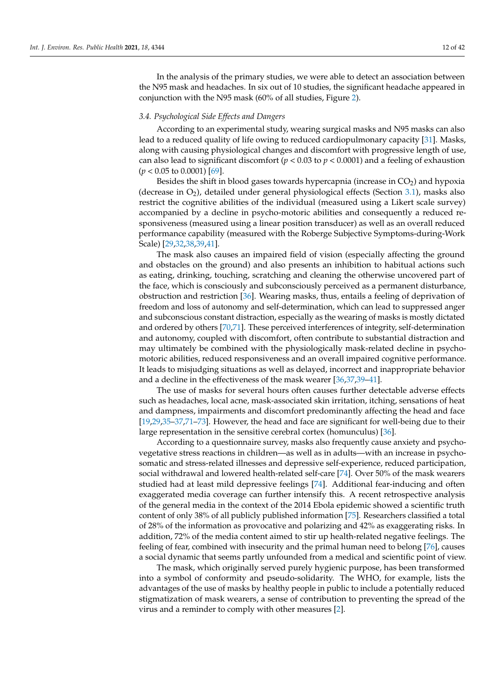In the analysis of the primary studies, we were able to detect an association between the N95 mask and headaches. In six out of 10 studies, the significant headache appeared in conjunction with the N95 mask (60% of all studies, Figure [2\)](#page-3-0).

## <span id="page-11-0"></span>*3.4. Psychological Side Effects and Dangers*

According to an experimental study, wearing surgical masks and N95 masks can also lead to a reduced quality of life owing to reduced cardiopulmonary capacity [\[31\]](#page-35-23). Masks, along with causing physiological changes and discomfort with progressive length of use, can also lead to significant discomfort ( $p < 0.03$  to  $p < 0.0001$ ) and a feeling of exhaustion  $(p < 0.05$  to 0.0001) [\[69\]](#page-37-5).

Besides the shift in blood gases towards hypercapnia (increase in  $CO<sub>2</sub>$ ) and hypoxia (decrease in  $O_2$ ), detailed under general physiological effects (Section [3.1\)](#page-4-0), masks also restrict the cognitive abilities of the individual (measured using a Likert scale survey) accompanied by a decline in psycho-motoric abilities and consequently a reduced responsiveness (measured using a linear position transducer) as well as an overall reduced performance capability (measured with the Roberge Subjective Symptoms-during-Work Scale) [\[29,](#page-35-17)[32,](#page-35-22)[38,](#page-36-1)[39,](#page-36-0)[41\]](#page-36-2).

The mask also causes an impaired field of vision (especially affecting the ground and obstacles on the ground) and also presents an inhibition to habitual actions such as eating, drinking, touching, scratching and cleaning the otherwise uncovered part of the face, which is consciously and subconsciously perceived as a permanent disturbance, obstruction and restriction [\[36\]](#page-35-21). Wearing masks, thus, entails a feeling of deprivation of freedom and loss of autonomy and self-determination, which can lead to suppressed anger and subconscious constant distraction, especially as the wearing of masks is mostly dictated and ordered by others [\[70,](#page-37-6)[71\]](#page-37-7). These perceived interferences of integrity, self-determination and autonomy, coupled with discomfort, often contribute to substantial distraction and may ultimately be combined with the physiologically mask-related decline in psychomotoric abilities, reduced responsiveness and an overall impaired cognitive performance. It leads to misjudging situations as well as delayed, incorrect and inappropriate behavior and a decline in the effectiveness of the mask wearer [\[36,](#page-35-21)[37,](#page-36-3)[39](#page-36-0)[–41\]](#page-36-2).

The use of masks for several hours often causes further detectable adverse effects such as headaches, local acne, mask-associated skin irritation, itching, sensations of heat and dampness, impairments and discomfort predominantly affecting the head and face [\[19,](#page-35-9)[29](#page-35-17)[,35](#page-35-20)[–37,](#page-36-3)[71–](#page-37-7)[73\]](#page-37-8). However, the head and face are significant for well-being due to their large representation in the sensitive cerebral cortex (homunculus) [\[36\]](#page-35-21).

According to a questionnaire survey, masks also frequently cause anxiety and psychovegetative stress reactions in children—as well as in adults—with an increase in psychosomatic and stress-related illnesses and depressive self-experience, reduced participation, social withdrawal and lowered health-related self-care [\[74\]](#page-37-9). Over 50% of the mask wearers studied had at least mild depressive feelings [\[74\]](#page-37-9). Additional fear-inducing and often exaggerated media coverage can further intensify this. A recent retrospective analysis of the general media in the context of the 2014 Ebola epidemic showed a scientific truth content of only 38% of all publicly published information [\[75\]](#page-37-10). Researchers classified a total of 28% of the information as provocative and polarizing and 42% as exaggerating risks. In addition, 72% of the media content aimed to stir up health-related negative feelings. The feeling of fear, combined with insecurity and the primal human need to belong [\[76\]](#page-37-11), causes a social dynamic that seems partly unfounded from a medical and scientific point of view.

The mask, which originally served purely hygienic purpose, has been transformed into a symbol of conformity and pseudo-solidarity. The WHO, for example, lists the advantages of the use of masks by healthy people in public to include a potentially reduced stigmatization of mask wearers, a sense of contribution to preventing the spread of the virus and a reminder to comply with other measures [\[2\]](#page-34-1).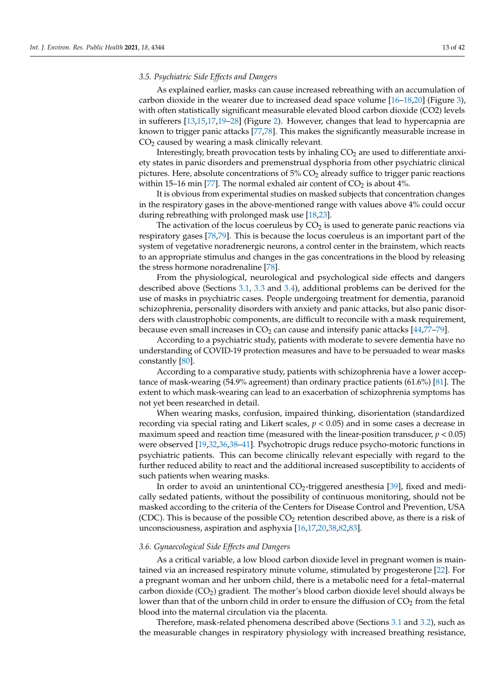## <span id="page-12-0"></span>*3.5. Psychiatric Side Effects and Dangers*

As explained earlier, masks can cause increased rebreathing with an accumulation of carbon dioxide in the wearer due to increased dead space volume  $[16–18,20]$  $[16–18,20]$  $[16–18,20]$  (Figure [3\)](#page-8-1), with often statistically significant measurable elevated blood carbon dioxide (CO2) levels in sufferers [\[13,](#page-35-4)[15,](#page-35-6)[17,](#page-35-7)[19](#page-35-9)[–28\]](#page-35-16) (Figure [2\)](#page-3-0). However, changes that lead to hypercapnia are known to trigger panic attacks [\[77](#page-37-12)[,78\]](#page-37-13). This makes the significantly measurable increase in  $CO<sub>2</sub>$  caused by wearing a mask clinically relevant.

Interestingly, breath provocation tests by inhaling  $CO<sub>2</sub>$  are used to differentiate anxiety states in panic disorders and premenstrual dysphoria from other psychiatric clinical pictures. Here, absolute concentrations of  $5\%$  CO<sub>2</sub> already suffice to trigger panic reactions within 15–16 min [\[77\]](#page-37-12). The normal exhaled air content of  $CO_2$  is about 4%.

It is obvious from experimental studies on masked subjects that concentration changes in the respiratory gases in the above-mentioned range with values above 4% could occur during rebreathing with prolonged mask use [\[18,](#page-35-8)[23\]](#page-35-13).

The activation of the locus coeruleus by  $CO<sub>2</sub>$  is used to generate panic reactions via respiratory gases [\[78](#page-37-13)[,79\]](#page-37-14). This is because the locus coeruleus is an important part of the system of vegetative noradrenergic neurons, a control center in the brainstem, which reacts to an appropriate stimulus and changes in the gas concentrations in the blood by releasing the stress hormone noradrenaline [\[78\]](#page-37-13).

From the physiological, neurological and psychological side effects and dangers described above (Sections [3.1,](#page-4-0) [3.3](#page-10-0) and [3.4\)](#page-11-0), additional problems can be derived for the use of masks in psychiatric cases. People undergoing treatment for dementia, paranoid schizophrenia, personality disorders with anxiety and panic attacks, but also panic disorders with claustrophobic components, are difficult to reconcile with a mask requirement, because even small increases in  $CO<sub>2</sub>$  can cause and intensify panic attacks [\[44](#page-36-24)[,77–](#page-37-12)[79\]](#page-37-14).

According to a psychiatric study, patients with moderate to severe dementia have no understanding of COVID-19 protection measures and have to be persuaded to wear masks constantly [\[80\]](#page-37-15).

According to a comparative study, patients with schizophrenia have a lower acceptance of mask-wearing (54.9% agreement) than ordinary practice patients (61.6%) [\[81\]](#page-37-16). The extent to which mask-wearing can lead to an exacerbation of schizophrenia symptoms has not yet been researched in detail.

When wearing masks, confusion, impaired thinking, disorientation (standardized recording via special rating and Likert scales,  $p < 0.05$ ) and in some cases a decrease in maximum speed and reaction time (measured with the linear-position transducer,  $p < 0.05$ ) were observed [\[19,](#page-35-9)[32,](#page-35-22)[36,](#page-35-21)[38](#page-36-1)[–41\]](#page-36-2). Psychotropic drugs reduce psycho-motoric functions in psychiatric patients. This can become clinically relevant especially with regard to the further reduced ability to react and the additional increased susceptibility to accidents of such patients when wearing masks.

In order to avoid an unintentional  $CO<sub>2</sub>$ -triggered anesthesia [\[39\]](#page-36-0), fixed and medically sedated patients, without the possibility of continuous monitoring, should not be masked according to the criteria of the Centers for Disease Control and Prevention, USA (CDC). This is because of the possible  $CO<sub>2</sub>$  retention described above, as there is a risk of unconsciousness, aspiration and asphyxia [\[16,](#page-35-24)[17](#page-35-7)[,20](#page-35-10)[,38](#page-36-1)[,82](#page-37-17)[,83\]](#page-37-18).

#### <span id="page-12-1"></span>*3.6. Gynaecological Side Effects and Dangers*

As a critical variable, a low blood carbon dioxide level in pregnant women is maintained via an increased respiratory minute volume, stimulated by progesterone [\[22\]](#page-35-12). For a pregnant woman and her unborn child, there is a metabolic need for a fetal–maternal carbon dioxide ( $CO<sub>2</sub>$ ) gradient. The mother's blood carbon dioxide level should always be lower than that of the unborn child in order to ensure the diffusion of  $CO<sub>2</sub>$  from the fetal blood into the maternal circulation via the placenta.

Therefore, mask-related phenomena described above (Sections [3.1](#page-4-0) and [3.2\)](#page-8-0), such as the measurable changes in respiratory physiology with increased breathing resistance,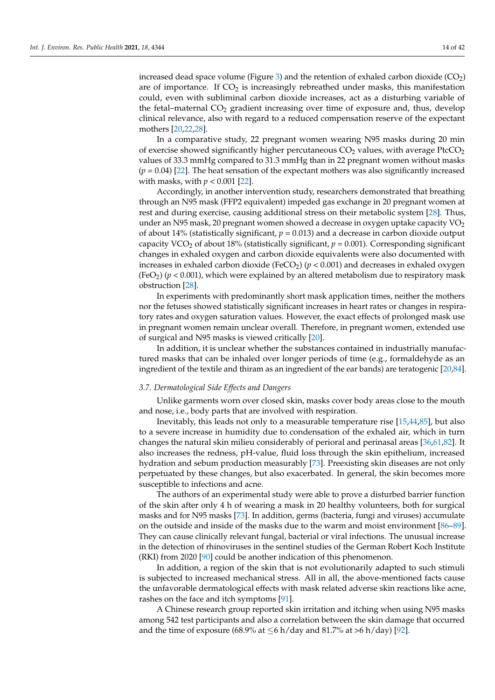increased dead space volume (Figure [3\)](#page-8-1) and the retention of exhaled carbon dioxide  $(CO_2)$ are of importance. If  $CO<sub>2</sub>$  is increasingly rebreathed under masks, this manifestation could, even with subliminal carbon dioxide increases, act as a disturbing variable of the fetal–maternal  $CO<sub>2</sub>$  gradient increasing over time of exposure and, thus, develop clinical relevance, also with regard to a reduced compensation reserve of the expectant mothers [\[20,](#page-35-10)[22,](#page-35-12)[28\]](#page-35-16).

In a comparative study, 22 pregnant women wearing N95 masks during 20 min of exercise showed significantly higher percutaneous  $CO<sub>2</sub>$  values, with average PtcCO<sub>2</sub> values of 33.3 mmHg compared to 31.3 mmHg than in 22 pregnant women without masks  $(p = 0.04)$  [\[22\]](#page-35-12). The heat sensation of the expectant mothers was also significantly increased with masks, with *p* < 0.001 [\[22\]](#page-35-12).

Accordingly, in another intervention study, researchers demonstrated that breathing through an N95 mask (FFP2 equivalent) impeded gas exchange in 20 pregnant women at rest and during exercise, causing additional stress on their metabolic system [\[28\]](#page-35-16). Thus, under an N95 mask, 20 pregnant women showed a decrease in oxygen uptake capacity  $VO<sub>2</sub>$ of about 14% (statistically significant,  $p = 0.013$ ) and a decrease in carbon dioxide output capacity VCO<sub>2</sub> of about 18% (statistically significant,  $p = 0.001$ ). Corresponding significant changes in exhaled oxygen and carbon dioxide equivalents were also documented with increases in exhaled carbon dioxide (FeCO<sub>2</sub>) ( $p < 0.001$ ) and decreases in exhaled oxygen  $(FeO<sub>2</sub>)$  ( $p < 0.001$ ), which were explained by an altered metabolism due to respiratory mask obstruction [\[28\]](#page-35-16).

In experiments with predominantly short mask application times, neither the mothers nor the fetuses showed statistically significant increases in heart rates or changes in respiratory rates and oxygen saturation values. However, the exact effects of prolonged mask use in pregnant women remain unclear overall. Therefore, in pregnant women, extended use of surgical and N95 masks is viewed critically [\[20\]](#page-35-10).

In addition, it is unclear whether the substances contained in industrially manufactured masks that can be inhaled over longer periods of time (e.g., formaldehyde as an ingredient of the textile and thiram as an ingredient of the ear bands) are teratogenic [\[20](#page-35-10)[,84\]](#page-37-19).

## <span id="page-13-0"></span>*3.7. Dermatological Side Effects and Dangers*

Unlike garments worn over closed skin, masks cover body areas close to the mouth and nose, i.e., body parts that are involved with respiration.

Inevitably, this leads not only to a measurable temperature rise [\[15,](#page-35-6)[44,](#page-36-24)[85\]](#page-37-20), but also to a severe increase in humidity due to condensation of the exhaled air, which in turn changes the natural skin milieu considerably of perioral and perinasal areas [\[36,](#page-35-21)[61,](#page-36-21)[82\]](#page-37-17). It also increases the redness, pH-value, fluid loss through the skin epithelium, increased hydration and sebum production measurably [\[73\]](#page-37-8). Preexisting skin diseases are not only perpetuated by these changes, but also exacerbated. In general, the skin becomes more susceptible to infections and acne.

The authors of an experimental study were able to prove a disturbed barrier function of the skin after only 4 h of wearing a mask in 20 healthy volunteers, both for surgical masks and for N95 masks [\[73\]](#page-37-8). In addition, germs (bacteria, fungi and viruses) accumulate on the outside and inside of the masks due to the warm and moist environment [\[86](#page-37-21)[–89\]](#page-37-22). They can cause clinically relevant fungal, bacterial or viral infections. The unusual increase in the detection of rhinoviruses in the sentinel studies of the German Robert Koch Institute (RKI) from 2020 [\[90\]](#page-38-0) could be another indication of this phenomenon.

In addition, a region of the skin that is not evolutionarily adapted to such stimuli is subjected to increased mechanical stress. All in all, the above-mentioned facts cause the unfavorable dermatological effects with mask related adverse skin reactions like acne, rashes on the face and itch symptoms [\[91\]](#page-38-1).

A Chinese research group reported skin irritation and itching when using N95 masks among 542 test participants and also a correlation between the skin damage that occurred and the time of exposure (68.9% at  $\leq$ 6 h/day and 81.7% at >6 h/day) [\[92\]](#page-38-2).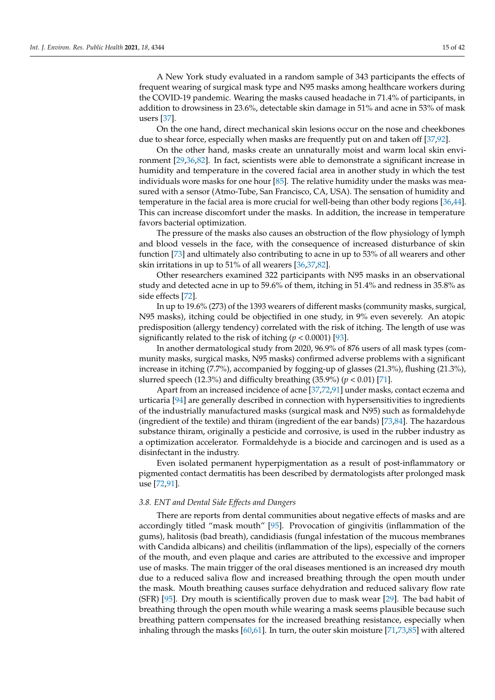A New York study evaluated in a random sample of 343 participants the effects of frequent wearing of surgical mask type and N95 masks among healthcare workers during the COVID-19 pandemic. Wearing the masks caused headache in 71.4% of participants, in addition to drowsiness in 23.6%, detectable skin damage in 51% and acne in 53% of mask users [\[37\]](#page-36-3).

On the one hand, direct mechanical skin lesions occur on the nose and cheekbones due to shear force, especially when masks are frequently put on and taken off [\[37](#page-36-3)[,92\]](#page-38-2).

On the other hand, masks create an unnaturally moist and warm local skin environment [\[29,](#page-35-17)[36](#page-35-21)[,82\]](#page-37-17). In fact, scientists were able to demonstrate a significant increase in humidity and temperature in the covered facial area in another study in which the test individuals wore masks for one hour [\[85\]](#page-37-20). The relative humidity under the masks was measured with a sensor (Atmo-Tube, San Francisco, CA, USA). The sensation of humidity and temperature in the facial area is more crucial for well-being than other body regions [\[36](#page-35-21)[,44\]](#page-36-24). This can increase discomfort under the masks. In addition, the increase in temperature favors bacterial optimization.

The pressure of the masks also causes an obstruction of the flow physiology of lymph and blood vessels in the face, with the consequence of increased disturbance of skin function [\[73\]](#page-37-8) and ultimately also contributing to acne in up to 53% of all wearers and other skin irritations in up to 51% of all wearers [\[36](#page-35-21)[,37](#page-36-3)[,82\]](#page-37-17).

Other researchers examined 322 participants with N95 masks in an observational study and detected acne in up to 59.6% of them, itching in 51.4% and redness in 35.8% as side effects [\[72\]](#page-37-23).

In up to 19.6% (273) of the 1393 wearers of different masks (community masks, surgical, N95 masks), itching could be objectified in one study, in 9% even severely. An atopic predisposition (allergy tendency) correlated with the risk of itching. The length of use was significantly related to the risk of itching (*p* < 0.0001) [\[93\]](#page-38-3).

In another dermatological study from 2020, 96.9% of 876 users of all mask types (community masks, surgical masks, N95 masks) confirmed adverse problems with a significant increase in itching (7.7%), accompanied by fogging-up of glasses (21.3%), flushing (21.3%), slurred speech (12.3%) and difficulty breathing (35.9%) ( $p < 0.01$ ) [\[71\]](#page-37-7).

Apart from an increased incidence of acne [\[37,](#page-36-3)[72](#page-37-23)[,91\]](#page-38-1) under masks, contact eczema and urticaria [\[94\]](#page-38-4) are generally described in connection with hypersensitivities to ingredients of the industrially manufactured masks (surgical mask and N95) such as formaldehyde (ingredient of the textile) and thiram (ingredient of the ear bands) [\[73,](#page-37-8)[84\]](#page-37-19). The hazardous substance thiram, originally a pesticide and corrosive, is used in the rubber industry as a optimization accelerator. Formaldehyde is a biocide and carcinogen and is used as a disinfectant in the industry.

Even isolated permanent hyperpigmentation as a result of post-inflammatory or pigmented contact dermatitis has been described by dermatologists after prolonged mask use [\[72,](#page-37-23)[91\]](#page-38-1).

#### <span id="page-14-0"></span>*3.8. ENT and Dental Side Effects and Dangers*

There are reports from dental communities about negative effects of masks and are accordingly titled "mask mouth" [\[95\]](#page-38-5). Provocation of gingivitis (inflammation of the gums), halitosis (bad breath), candidiasis (fungal infestation of the mucous membranes with Candida albicans) and cheilitis (inflammation of the lips), especially of the corners of the mouth, and even plaque and caries are attributed to the excessive and improper use of masks. The main trigger of the oral diseases mentioned is an increased dry mouth due to a reduced saliva flow and increased breathing through the open mouth under the mask. Mouth breathing causes surface dehydration and reduced salivary flow rate (SFR) [\[95\]](#page-38-5). Dry mouth is scientifically proven due to mask wear [\[29\]](#page-35-17). The bad habit of breathing through the open mouth while wearing a mask seems plausible because such breathing pattern compensates for the increased breathing resistance, especially when inhaling through the masks [\[60](#page-36-20)[,61\]](#page-36-21). In turn, the outer skin moisture [\[71,](#page-37-7)[73](#page-37-8)[,85\]](#page-37-20) with altered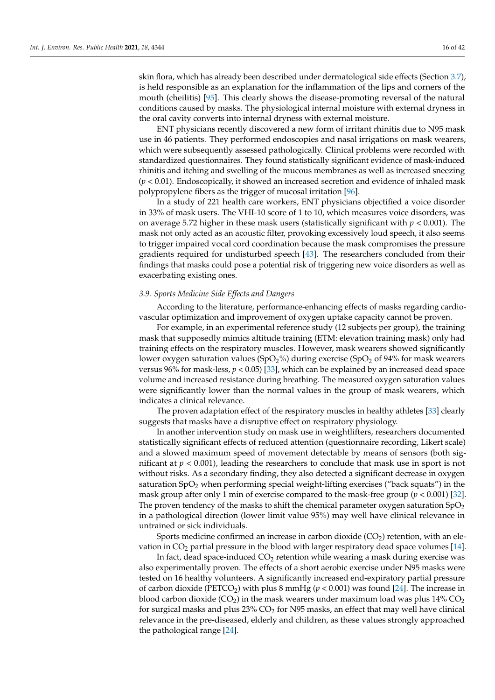skin flora, which has already been described under dermatological side effects (Section [3.7\)](#page-13-0), is held responsible as an explanation for the inflammation of the lips and corners of the mouth (cheilitis) [\[95\]](#page-38-5). This clearly shows the disease-promoting reversal of the natural conditions caused by masks. The physiological internal moisture with external dryness in the oral cavity converts into internal dryness with external moisture.

ENT physicians recently discovered a new form of irritant rhinitis due to N95 mask use in 46 patients. They performed endoscopies and nasal irrigations on mask wearers, which were subsequently assessed pathologically. Clinical problems were recorded with standardized questionnaires. They found statistically significant evidence of mask-induced rhinitis and itching and swelling of the mucous membranes as well as increased sneezing (*p* < 0.01). Endoscopically, it showed an increased secretion and evidence of inhaled mask polypropylene fibers as the trigger of mucosal irritation [\[96\]](#page-38-6).

In a study of 221 health care workers, ENT physicians objectified a voice disorder in 33% of mask users. The VHI-10 score of 1 to 10, which measures voice disorders, was on average 5.72 higher in these mask users (statistically significant with *p* < 0.001). The mask not only acted as an acoustic filter, provoking excessively loud speech, it also seems to trigger impaired vocal cord coordination because the mask compromises the pressure gradients required for undisturbed speech [\[43\]](#page-36-25). The researchers concluded from their findings that masks could pose a potential risk of triggering new voice disorders as well as exacerbating existing ones.

## <span id="page-15-0"></span>*3.9. Sports Medicine Side Effects and Dangers*

According to the literature, performance-enhancing effects of masks regarding cardiovascular optimization and improvement of oxygen uptake capacity cannot be proven.

For example, in an experimental reference study (12 subjects per group), the training mask that supposedly mimics altitude training (ETM: elevation training mask) only had training effects on the respiratory muscles. However, mask wearers showed significantly lower oxygen saturation values (SpO<sub>2</sub>%) during exercise (SpO<sub>2</sub> of 94% for mask wearers versus 96% for mask-less,  $p < 0.05$  [\[33\]](#page-35-26), which can be explained by an increased dead space volume and increased resistance during breathing. The measured oxygen saturation values were significantly lower than the normal values in the group of mask wearers, which indicates a clinical relevance.

The proven adaptation effect of the respiratory muscles in healthy athletes [\[33\]](#page-35-26) clearly suggests that masks have a disruptive effect on respiratory physiology.

In another intervention study on mask use in weightlifters, researchers documented statistically significant effects of reduced attention (questionnaire recording, Likert scale) and a slowed maximum speed of movement detectable by means of sensors (both significant at *p* < 0.001), leading the researchers to conclude that mask use in sport is not without risks. As a secondary finding, they also detected a significant decrease in oxygen saturation  $SpO<sub>2</sub>$  when performing special weight-lifting exercises ("back squats") in the mask group after only 1 min of exercise compared to the mask-free group (*p* < 0.001) [\[32\]](#page-35-22). The proven tendency of the masks to shift the chemical parameter oxygen saturation  $SpO<sub>2</sub>$ in a pathological direction (lower limit value 95%) may well have clinical relevance in untrained or sick individuals.

Sports medicine confirmed an increase in carbon dioxide  $(CO<sub>2</sub>)$  retention, with an elevation in  $CO<sub>2</sub>$  partial pressure in the blood with larger respiratory dead space volumes [\[14\]](#page-35-5).

In fact, dead space-induced  $CO<sub>2</sub>$  retention while wearing a mask during exercise was also experimentally proven. The effects of a short aerobic exercise under N95 masks were tested on 16 healthy volunteers. A significantly increased end-expiratory partial pressure of carbon dioxide (PETCO<sub>2</sub>) with plus 8 mmHg ( $p < 0.001$ ) was found [\[24\]](#page-35-14). The increase in blood carbon dioxide ( $CO<sub>2</sub>$ ) in the mask wearers under maximum load was plus 14%  $CO<sub>2</sub>$ for surgical masks and plus  $23\%$  CO<sub>2</sub> for N95 masks, an effect that may well have clinical relevance in the pre-diseased, elderly and children, as these values strongly approached the pathological range [\[24\]](#page-35-14).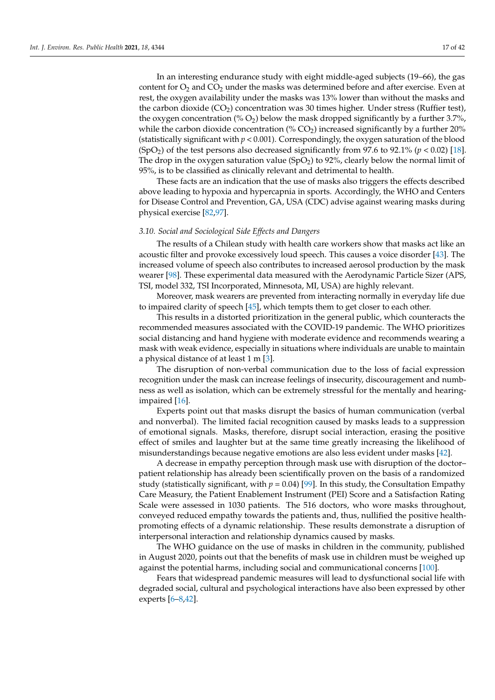In an interesting endurance study with eight middle-aged subjects (19–66), the gas content for  $O<sub>2</sub>$  and  $CO<sub>2</sub>$  under the masks was determined before and after exercise. Even at rest, the oxygen availability under the masks was 13% lower than without the masks and the carbon dioxide  $(CO<sub>2</sub>)$  concentration was 30 times higher. Under stress (Ruffier test), the oxygen concentration (%  $O_2$ ) below the mask dropped significantly by a further 3.7%, while the carbon dioxide concentration (%  $CO<sub>2</sub>$ ) increased significantly by a further 20% (statistically significant with  $p < 0.001$ ). Correspondingly, the oxygen saturation of the blood (SpO<sub>2</sub>) of the test persons also decreased significantly from 97.6 to 92.1% ( $p < 0.02$ ) [\[18\]](#page-35-8). The drop in the oxygen saturation value (SpO<sub>2</sub>) to 92%, clearly below the normal limit of 95%, is to be classified as clinically relevant and detrimental to health.

These facts are an indication that the use of masks also triggers the effects described above leading to hypoxia and hypercapnia in sports. Accordingly, the WHO and Centers for Disease Control and Prevention, GA, USA (CDC) advise against wearing masks during physical exercise [\[82,](#page-37-17)[97\]](#page-38-7).

## <span id="page-16-0"></span>*3.10. Social and Sociological Side Effects and Dangers*

The results of a Chilean study with health care workers show that masks act like an acoustic filter and provoke excessively loud speech. This causes a voice disorder [\[43\]](#page-36-25). The increased volume of speech also contributes to increased aerosol production by the mask wearer [\[98\]](#page-38-8). These experimental data measured with the Aerodynamic Particle Sizer (APS, TSI, model 332, TSI Incorporated, Minnesota, MI, USA) are highly relevant.

Moreover, mask wearers are prevented from interacting normally in everyday life due to impaired clarity of speech [\[45\]](#page-36-5), which tempts them to get closer to each other.

This results in a distorted prioritization in the general public, which counteracts the recommended measures associated with the COVID-19 pandemic. The WHO prioritizes social distancing and hand hygiene with moderate evidence and recommends wearing a mask with weak evidence, especially in situations where individuals are unable to maintain a physical distance of at least 1 m [\[3\]](#page-34-2).

The disruption of non-verbal communication due to the loss of facial expression recognition under the mask can increase feelings of insecurity, discouragement and numbness as well as isolation, which can be extremely stressful for the mentally and hearingimpaired [\[16\]](#page-35-24).

Experts point out that masks disrupt the basics of human communication (verbal and nonverbal). The limited facial recognition caused by masks leads to a suppression of emotional signals. Masks, therefore, disrupt social interaction, erasing the positive effect of smiles and laughter but at the same time greatly increasing the likelihood of misunderstandings because negative emotions are also less evident under masks [\[42\]](#page-36-4).

A decrease in empathy perception through mask use with disruption of the doctor– patient relationship has already been scientifically proven on the basis of a randomized study (statistically significant, with  $p = 0.04$ ) [\[99\]](#page-38-9). In this study, the Consultation Empathy Care Measury, the Patient Enablement Instrument (PEI) Score and a Satisfaction Rating Scale were assessed in 1030 patients. The 516 doctors, who wore masks throughout, conveyed reduced empathy towards the patients and, thus, nullified the positive healthpromoting effects of a dynamic relationship. These results demonstrate a disruption of interpersonal interaction and relationship dynamics caused by masks.

The WHO guidance on the use of masks in children in the community, published in August 2020, points out that the benefits of mask use in children must be weighed up against the potential harms, including social and communicational concerns [\[100\]](#page-38-10).

Fears that widespread pandemic measures will lead to dysfunctional social life with degraded social, cultural and psychological interactions have also been expressed by other experts [\[6](#page-34-5)[–8,](#page-35-0)[42\]](#page-36-4).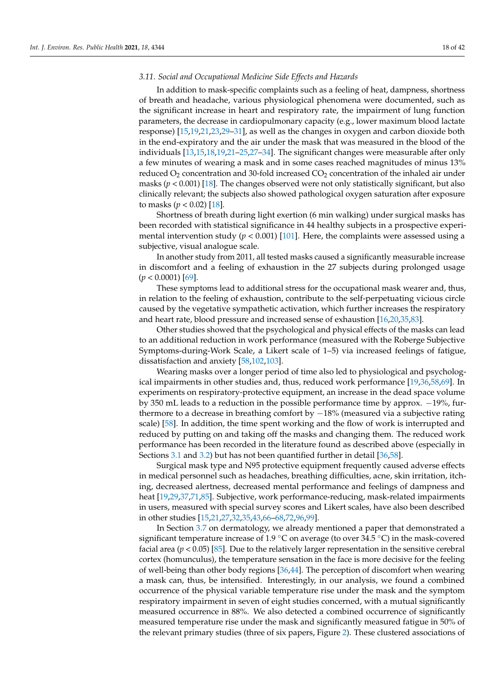## <span id="page-17-0"></span>*3.11. Social and Occupational Medicine Side Effects and Hazards*

In addition to mask-specific complaints such as a feeling of heat, dampness, shortness of breath and headache, various physiological phenomena were documented, such as the significant increase in heart and respiratory rate, the impairment of lung function parameters, the decrease in cardiopulmonary capacity (e.g., lower maximum blood lactate response) [\[15](#page-35-6)[,19](#page-35-9)[,21](#page-35-11)[,23](#page-35-13)[,29–](#page-35-17)[31\]](#page-35-23), as well as the changes in oxygen and carbon dioxide both in the end-expiratory and the air under the mask that was measured in the blood of the individuals [\[13](#page-35-4)[,15](#page-35-6)[,18](#page-35-8)[,19,](#page-35-9)[21](#page-35-11)[–25,](#page-35-15)[27–](#page-35-25)[34\]](#page-35-18). The significant changes were measurable after only a few minutes of wearing a mask and in some cases reached magnitudes of minus 13% reduced  $O_2$  concentration and 30-fold increased  $CO_2$  concentration of the inhaled air under masks  $(p < 0.001)$  [\[18\]](#page-35-8). The changes observed were not only statistically significant, but also clinically relevant; the subjects also showed pathological oxygen saturation after exposure to masks  $(p < 0.02)$  [\[18\]](#page-35-8).

Shortness of breath during light exertion (6 min walking) under surgical masks has been recorded with statistical significance in 44 healthy subjects in a prospective experimental intervention study  $(p < 0.001)$  [\[101\]](#page-38-11). Here, the complaints were assessed using a subjective, visual analogue scale.

In another study from 2011, all tested masks caused a significantly measurable increase in discomfort and a feeling of exhaustion in the 27 subjects during prolonged usage (*p* < 0.0001) [\[69\]](#page-37-5).

These symptoms lead to additional stress for the occupational mask wearer and, thus, in relation to the feeling of exhaustion, contribute to the self-perpetuating vicious circle caused by the vegetative sympathetic activation, which further increases the respiratory and heart rate, blood pressure and increased sense of exhaustion [\[16](#page-35-24)[,20](#page-35-10)[,35,](#page-35-20)[83\]](#page-37-18).

Other studies showed that the psychological and physical effects of the masks can lead to an additional reduction in work performance (measured with the Roberge Subjective Symptoms-during-Work Scale, a Likert scale of 1–5) via increased feelings of fatigue, dissatisfaction and anxiety [\[58,](#page-36-18)[102,](#page-38-12)[103\]](#page-38-13).

Wearing masks over a longer period of time also led to physiological and psychological impairments in other studies and, thus, reduced work performance [\[19](#page-35-9)[,36](#page-35-21)[,58](#page-36-18)[,69\]](#page-37-5). In experiments on respiratory-protective equipment, an increase in the dead space volume by 350 mL leads to a reduction in the possible performance time by approx. −19%, furthermore to a decrease in breathing comfort by −18% (measured via a subjective rating scale) [\[58\]](#page-36-18). In addition, the time spent working and the flow of work is interrupted and reduced by putting on and taking off the masks and changing them. The reduced work performance has been recorded in the literature found as described above (especially in Sections [3.1](#page-4-0) and [3.2\)](#page-8-0) but has not been quantified further in detail [\[36,](#page-35-21)[58\]](#page-36-18).

Surgical mask type and N95 protective equipment frequently caused adverse effects in medical personnel such as headaches, breathing difficulties, acne, skin irritation, itching, decreased alertness, decreased mental performance and feelings of dampness and heat [\[19,](#page-35-9)[29](#page-35-17)[,37](#page-36-3)[,71](#page-37-7)[,85\]](#page-37-20). Subjective, work performance-reducing, mask-related impairments in users, measured with special survey scores and Likert scales, have also been described in other studies [\[15](#page-35-6)[,21](#page-35-11)[,27](#page-35-25)[,32,](#page-35-22)[35,](#page-35-20)[43,](#page-36-25)[66](#page-37-2)[–68,](#page-37-4)[72](#page-37-23)[,96](#page-38-6)[,99\]](#page-38-9).

In Section [3.7](#page-13-0) on dermatology, we already mentioned a paper that demonstrated a significant temperature increase of 1.9 °C on average (to over 34.5 °C) in the mask-covered facial area  $(p < 0.05)$  [\[85\]](#page-37-20). Due to the relatively larger representation in the sensitive cerebral cortex (homunculus), the temperature sensation in the face is more decisive for the feeling of well-being than other body regions [\[36](#page-35-21)[,44\]](#page-36-24). The perception of discomfort when wearing a mask can, thus, be intensified. Interestingly, in our analysis, we found a combined occurrence of the physical variable temperature rise under the mask and the symptom respiratory impairment in seven of eight studies concerned, with a mutual significantly measured occurrence in 88%. We also detected a combined occurrence of significantly measured temperature rise under the mask and significantly measured fatigue in 50% of the relevant primary studies (three of six papers, Figure [2\)](#page-3-0). These clustered associations of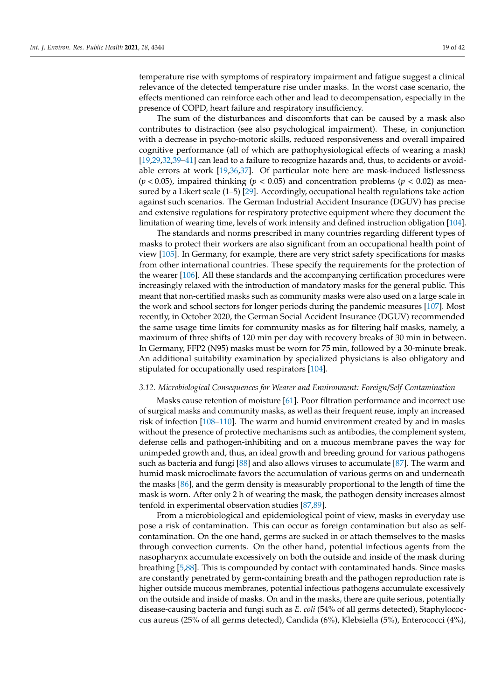temperature rise with symptoms of respiratory impairment and fatigue suggest a clinical relevance of the detected temperature rise under masks. In the worst case scenario, the effects mentioned can reinforce each other and lead to decompensation, especially in the presence of COPD, heart failure and respiratory insufficiency.

The sum of the disturbances and discomforts that can be caused by a mask also contributes to distraction (see also psychological impairment). These, in conjunction with a decrease in psycho-motoric skills, reduced responsiveness and overall impaired cognitive performance (all of which are pathophysiological effects of wearing a mask) [\[19,](#page-35-9)[29](#page-35-17)[,32](#page-35-22)[,39–](#page-36-0)[41\]](#page-36-2) can lead to a failure to recognize hazards and, thus, to accidents or avoidable errors at work [\[19,](#page-35-9)[36,](#page-35-21)[37\]](#page-36-3). Of particular note here are mask-induced listlessness (*p* < 0.05), impaired thinking (*p* < 0.05) and concentration problems (*p* < 0.02) as measured by a Likert scale (1–5) [\[29\]](#page-35-17). Accordingly, occupational health regulations take action against such scenarios. The German Industrial Accident Insurance (DGUV) has precise and extensive regulations for respiratory protective equipment where they document the limitation of wearing time, levels of work intensity and defined instruction obligation [\[104\]](#page-38-14).

The standards and norms prescribed in many countries regarding different types of masks to protect their workers are also significant from an occupational health point of view [\[105\]](#page-38-15). In Germany, for example, there are very strict safety specifications for masks from other international countries. These specify the requirements for the protection of the wearer [\[106\]](#page-38-16). All these standards and the accompanying certification procedures were increasingly relaxed with the introduction of mandatory masks for the general public. This meant that non-certified masks such as community masks were also used on a large scale in the work and school sectors for longer periods during the pandemic measures [\[107\]](#page-38-17). Most recently, in October 2020, the German Social Accident Insurance (DGUV) recommended the same usage time limits for community masks as for filtering half masks, namely, a maximum of three shifts of 120 min per day with recovery breaks of 30 min in between. In Germany, FFP2 (N95) masks must be worn for 75 min, followed by a 30-minute break. An additional suitability examination by specialized physicians is also obligatory and stipulated for occupationally used respirators [\[104\]](#page-38-14).

## <span id="page-18-0"></span>*3.12. Microbiological Consequences for Wearer and Environment: Foreign/Self-Contamination*

Masks cause retention of moisture [\[61\]](#page-36-21). Poor filtration performance and incorrect use of surgical masks and community masks, as well as their frequent reuse, imply an increased risk of infection [\[108–](#page-38-18)[110\]](#page-38-19). The warm and humid environment created by and in masks without the presence of protective mechanisms such as antibodies, the complement system, defense cells and pathogen-inhibiting and on a mucous membrane paves the way for unimpeded growth and, thus, an ideal growth and breeding ground for various pathogens such as bacteria and fungi [\[88\]](#page-37-24) and also allows viruses to accumulate [\[87\]](#page-37-25). The warm and humid mask microclimate favors the accumulation of various germs on and underneath the masks [\[86\]](#page-37-21), and the germ density is measurably proportional to the length of time the mask is worn. After only 2 h of wearing the mask, the pathogen density increases almost tenfold in experimental observation studies [\[87,](#page-37-25)[89\]](#page-37-22).

From a microbiological and epidemiological point of view, masks in everyday use pose a risk of contamination. This can occur as foreign contamination but also as selfcontamination. On the one hand, germs are sucked in or attach themselves to the masks through convection currents. On the other hand, potential infectious agents from the nasopharynx accumulate excessively on both the outside and inside of the mask during breathing [\[5,](#page-34-4)[88\]](#page-37-24). This is compounded by contact with contaminated hands. Since masks are constantly penetrated by germ-containing breath and the pathogen reproduction rate is higher outside mucous membranes, potential infectious pathogens accumulate excessively on the outside and inside of masks. On and in the masks, there are quite serious, potentially disease-causing bacteria and fungi such as *E. coli* (54% of all germs detected), Staphylococcus aureus (25% of all germs detected), Candida (6%), Klebsiella (5%), Enterococci (4%),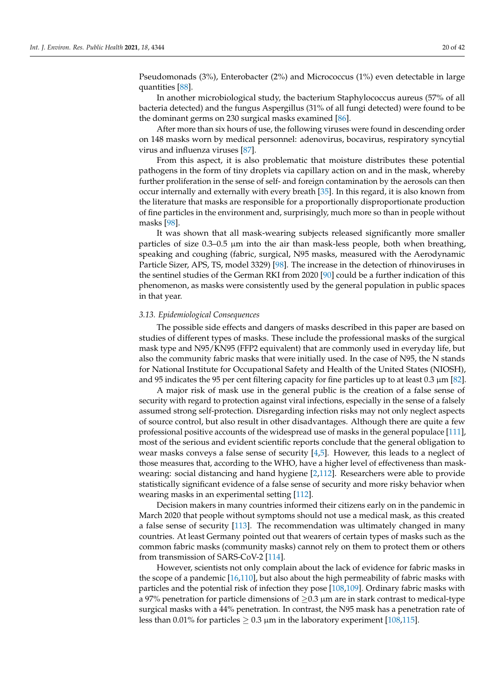Pseudomonads (3%), Enterobacter (2%) and Micrococcus (1%) even detectable in large quantities [\[88\]](#page-37-24).

In another microbiological study, the bacterium Staphylococcus aureus (57% of all bacteria detected) and the fungus Aspergillus (31% of all fungi detected) were found to be the dominant germs on 230 surgical masks examined [\[86\]](#page-37-21).

After more than six hours of use, the following viruses were found in descending order on 148 masks worn by medical personnel: adenovirus, bocavirus, respiratory syncytial virus and influenza viruses [\[87\]](#page-37-25).

From this aspect, it is also problematic that moisture distributes these potential pathogens in the form of tiny droplets via capillary action on and in the mask, whereby further proliferation in the sense of self- and foreign contamination by the aerosols can then occur internally and externally with every breath [\[35\]](#page-35-20). In this regard, it is also known from the literature that masks are responsible for a proportionally disproportionate production of fine particles in the environment and, surprisingly, much more so than in people without masks [\[98\]](#page-38-8).

It was shown that all mask-wearing subjects released significantly more smaller particles of size 0.3–0.5 µm into the air than mask-less people, both when breathing, speaking and coughing (fabric, surgical, N95 masks, measured with the Aerodynamic Particle Sizer, APS, TS, model 3329) [\[98\]](#page-38-8). The increase in the detection of rhinoviruses in the sentinel studies of the German RKI from 2020 [\[90\]](#page-38-0) could be a further indication of this phenomenon, as masks were consistently used by the general population in public spaces in that year.

#### <span id="page-19-0"></span>*3.13. Epidemiological Consequences*

The possible side effects and dangers of masks described in this paper are based on studies of different types of masks. These include the professional masks of the surgical mask type and N95/KN95 (FFP2 equivalent) that are commonly used in everyday life, but also the community fabric masks that were initially used. In the case of N95, the N stands for National Institute for Occupational Safety and Health of the United States (NIOSH), and 95 indicates the 95 per cent filtering capacity for fine particles up to at least 0.3  $\mu$ m [\[82\]](#page-37-17).

A major risk of mask use in the general public is the creation of a false sense of security with regard to protection against viral infections, especially in the sense of a falsely assumed strong self-protection. Disregarding infection risks may not only neglect aspects of source control, but also result in other disadvantages. Although there are quite a few professional positive accounts of the widespread use of masks in the general populace [\[111\]](#page-38-20), most of the serious and evident scientific reports conclude that the general obligation to wear masks conveys a false sense of security [\[4,](#page-34-3)[5\]](#page-34-4). However, this leads to a neglect of those measures that, according to the WHO, have a higher level of effectiveness than maskwearing: social distancing and hand hygiene [\[2,](#page-34-1)[112\]](#page-38-21). Researchers were able to provide statistically significant evidence of a false sense of security and more risky behavior when wearing masks in an experimental setting [\[112\]](#page-38-21).

Decision makers in many countries informed their citizens early on in the pandemic in March 2020 that people without symptoms should not use a medical mask, as this created a false sense of security [\[113\]](#page-38-22). The recommendation was ultimately changed in many countries. At least Germany pointed out that wearers of certain types of masks such as the common fabric masks (community masks) cannot rely on them to protect them or others from transmission of SARS-CoV-2 [\[114\]](#page-38-23).

However, scientists not only complain about the lack of evidence for fabric masks in the scope of a pandemic  $[16,110]$  $[16,110]$ , but also about the high permeability of fabric masks with particles and the potential risk of infection they pose [\[108,](#page-38-18)[109\]](#page-38-24). Ordinary fabric masks with a 97% penetration for particle dimensions of  $>0.3$  µm are in stark contrast to medical-type surgical masks with a 44% penetration. In contrast, the N95 mask has a penetration rate of less than 0.01% for particles  $\geq$  0.3  $\mu$ m in the laboratory experiment [\[108](#page-38-18)[,115\]](#page-39-0).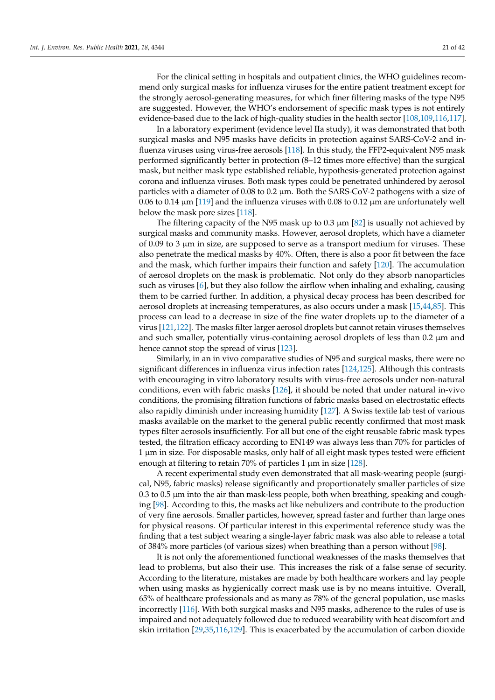For the clinical setting in hospitals and outpatient clinics, the WHO guidelines recommend only surgical masks for influenza viruses for the entire patient treatment except for the strongly aerosol-generating measures, for which finer filtering masks of the type N95 are suggested. However, the WHO's endorsement of specific mask types is not entirely evidence-based due to the lack of high-quality studies in the health sector [\[108,](#page-38-18)[109,](#page-38-24)[116](#page-39-1)[,117\]](#page-39-2).

In a laboratory experiment (evidence level IIa study), it was demonstrated that both surgical masks and N95 masks have deficits in protection against SARS-CoV-2 and influenza viruses using virus-free aerosols [\[118\]](#page-39-3). In this study, the FFP2-equivalent N95 mask performed significantly better in protection (8–12 times more effective) than the surgical mask, but neither mask type established reliable, hypothesis-generated protection against corona and influenza viruses. Both mask types could be penetrated unhindered by aerosol particles with a diameter of 0.08 to 0.2 µm. Both the SARS-CoV-2 pathogens with a size of 0.06 to 0.14  $\mu$ m [\[119\]](#page-39-4) and the influenza viruses with 0.08 to 0.12  $\mu$ m are unfortunately well below the mask pore sizes [\[118\]](#page-39-3).

The filtering capacity of the N95 mask up to 0.3  $\mu$ m [\[82\]](#page-37-17) is usually not achieved by surgical masks and community masks. However, aerosol droplets, which have a diameter of 0.09 to 3  $\mu$ m in size, are supposed to serve as a transport medium for viruses. These also penetrate the medical masks by 40%. Often, there is also a poor fit between the face and the mask, which further impairs their function and safety [\[120\]](#page-39-5). The accumulation of aerosol droplets on the mask is problematic. Not only do they absorb nanoparticles such as viruses [\[6\]](#page-34-5), but they also follow the airflow when inhaling and exhaling, causing them to be carried further. In addition, a physical decay process has been described for aerosol droplets at increasing temperatures, as also occurs under a mask [\[15](#page-35-6)[,44](#page-36-24)[,85\]](#page-37-20). This process can lead to a decrease in size of the fine water droplets up to the diameter of a virus [\[121](#page-39-6)[,122\]](#page-39-7). The masks filter larger aerosol droplets but cannot retain viruses themselves and such smaller, potentially virus-containing aerosol droplets of less than 0.2  $\mu$ m and hence cannot stop the spread of virus [\[123\]](#page-39-8).

Similarly, in an in vivo comparative studies of N95 and surgical masks, there were no significant differences in influenza virus infection rates [\[124,](#page-39-9)[125\]](#page-39-10). Although this contrasts with encouraging in vitro laboratory results with virus-free aerosols under non-natural conditions, even with fabric masks [\[126\]](#page-39-11), it should be noted that under natural in-vivo conditions, the promising filtration functions of fabric masks based on electrostatic effects also rapidly diminish under increasing humidity [\[127\]](#page-39-12). A Swiss textile lab test of various masks available on the market to the general public recently confirmed that most mask types filter aerosols insufficiently. For all but one of the eight reusable fabric mask types tested, the filtration efficacy according to EN149 was always less than 70% for particles of 1 µm in size. For disposable masks, only half of all eight mask types tested were efficient enough at filtering to retain 70% of particles 1  $\mu$ m in size [\[128\]](#page-39-13).

A recent experimental study even demonstrated that all mask-wearing people (surgical, N95, fabric masks) release significantly and proportionately smaller particles of size  $0.3$  to  $0.5$   $\mu$ m into the air than mask-less people, both when breathing, speaking and coughing [\[98\]](#page-38-8). According to this, the masks act like nebulizers and contribute to the production of very fine aerosols. Smaller particles, however, spread faster and further than large ones for physical reasons. Of particular interest in this experimental reference study was the finding that a test subject wearing a single-layer fabric mask was also able to release a total of 384% more particles (of various sizes) when breathing than a person without [\[98\]](#page-38-8).

It is not only the aforementioned functional weaknesses of the masks themselves that lead to problems, but also their use. This increases the risk of a false sense of security. According to the literature, mistakes are made by both healthcare workers and lay people when using masks as hygienically correct mask use is by no means intuitive. Overall, 65% of healthcare professionals and as many as 78% of the general population, use masks incorrectly [\[116\]](#page-39-1). With both surgical masks and N95 masks, adherence to the rules of use is impaired and not adequately followed due to reduced wearability with heat discomfort and skin irritation [\[29,](#page-35-17)[35,](#page-35-20)[116,](#page-39-1)[129\]](#page-39-14). This is exacerbated by the accumulation of carbon dioxide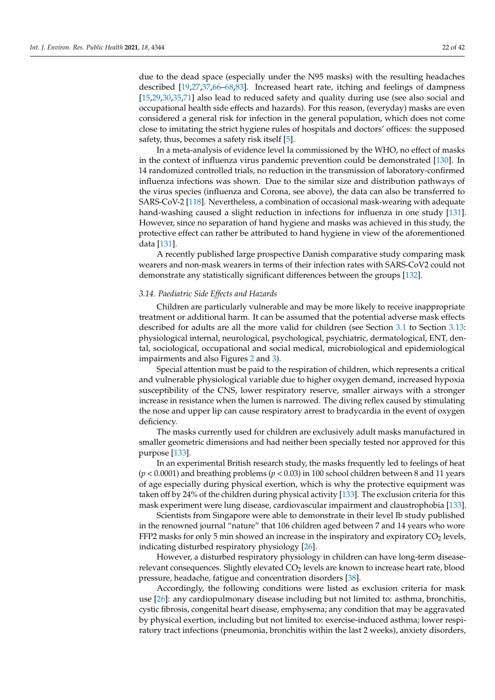due to the dead space (especially under the N95 masks) with the resulting headaches described [\[19,](#page-35-9)[27](#page-35-25)[,37,](#page-36-3)[66–](#page-37-2)[68](#page-37-4)[,83\]](#page-37-18). Increased heart rate, itching and feelings of dampness [\[15,](#page-35-6)[29,](#page-35-17)[30,](#page-35-19)[35,](#page-35-20)[71\]](#page-37-7) also lead to reduced safety and quality during use (see also social and occupational health side effects and hazards). For this reason, (everyday) masks are even considered a general risk for infection in the general population, which does not come close to imitating the strict hygiene rules of hospitals and doctors' offices: the supposed safety, thus, becomes a safety risk itself [\[5\]](#page-34-4).

In a meta-analysis of evidence level Ia commissioned by the WHO, no effect of masks in the context of influenza virus pandemic prevention could be demonstrated [\[130\]](#page-39-15). In 14 randomized controlled trials, no reduction in the transmission of laboratory-confirmed influenza infections was shown. Due to the similar size and distribution pathways of the virus species (influenza and Corona, see above), the data can also be transferred to SARS-CoV-2 [\[118\]](#page-39-3). Nevertheless, a combination of occasional mask-wearing with adequate hand-washing caused a slight reduction in infections for influenza in one study [\[131\]](#page-39-16). However, since no separation of hand hygiene and masks was achieved in this study, the protective effect can rather be attributed to hand hygiene in view of the aforementioned data [\[131\]](#page-39-16).

A recently published large prospective Danish comparative study comparing mask wearers and non-mask wearers in terms of their infection rates with SARS-CoV2 could not demonstrate any statistically significant differences between the groups [\[132\]](#page-39-17).

## <span id="page-21-0"></span>*3.14. Paediatric Side Effects and Hazards*

Children are particularly vulnerable and may be more likely to receive inappropriate treatment or additional harm. It can be assumed that the potential adverse mask effects described for adults are all the more valid for children (see Section [3.1](#page-4-0) to Section [3.13:](#page-19-0) physiological internal, neurological, psychological, psychiatric, dermatological, ENT, dental, sociological, occupational and social medical, microbiological and epidemiological impairments and also Figures [2](#page-3-0) and [3\)](#page-8-1).

Special attention must be paid to the respiration of children, which represents a critical and vulnerable physiological variable due to higher oxygen demand, increased hypoxia susceptibility of the CNS, lower respiratory reserve, smaller airways with a stronger increase in resistance when the lumen is narrowed. The diving reflex caused by stimulating the nose and upper lip can cause respiratory arrest to bradycardia in the event of oxygen deficiency.

The masks currently used for children are exclusively adult masks manufactured in smaller geometric dimensions and had neither been specially tested nor approved for this purpose [\[133\]](#page-39-18).

In an experimental British research study, the masks frequently led to feelings of heat (*p* < 0.0001) and breathing problems (*p* < 0.03) in 100 school children between 8 and 11 years of age especially during physical exertion, which is why the protective equipment was taken off by 24% of the children during physical activity [\[133\]](#page-39-18). The exclusion criteria for this mask experiment were lung disease, cardiovascular impairment and claustrophobia [\[133\]](#page-39-18).

Scientists from Singapore were able to demonstrate in their level Ib study published in the renowned journal "nature" that 106 children aged between 7 and 14 years who wore FFP2 masks for only 5 min showed an increase in the inspiratory and expiratory  $CO<sub>2</sub>$  levels, indicating disturbed respiratory physiology [\[26\]](#page-35-27).

However, a disturbed respiratory physiology in children can have long-term diseaserelevant consequences. Slightly elevated CO<sub>2</sub> levels are known to increase heart rate, blood pressure, headache, fatigue and concentration disorders [\[38\]](#page-36-1).

Accordingly, the following conditions were listed as exclusion criteria for mask use [\[26\]](#page-35-27): any cardiopulmonary disease including but not limited to: asthma, bronchitis, cystic fibrosis, congenital heart disease, emphysema; any condition that may be aggravated by physical exertion, including but not limited to: exercise-induced asthma; lower respiratory tract infections (pneumonia, bronchitis within the last 2 weeks), anxiety disorders,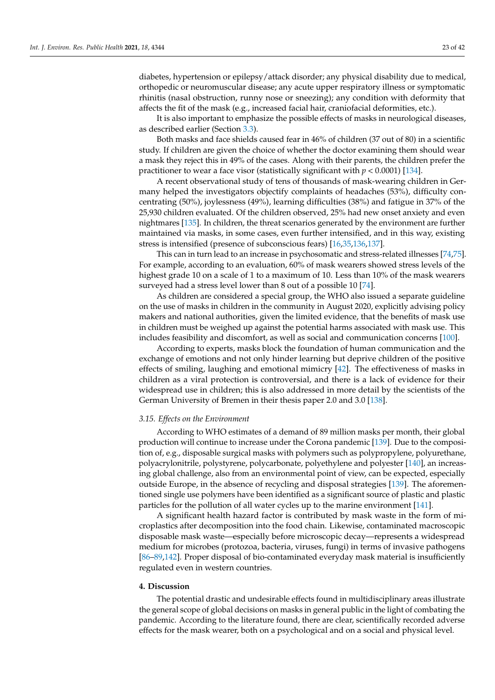diabetes, hypertension or epilepsy/attack disorder; any physical disability due to medical, orthopedic or neuromuscular disease; any acute upper respiratory illness or symptomatic rhinitis (nasal obstruction, runny nose or sneezing); any condition with deformity that affects the fit of the mask (e.g., increased facial hair, craniofacial deformities, etc.).

It is also important to emphasize the possible effects of masks in neurological diseases, as described earlier (Section [3.3\)](#page-10-0).

Both masks and face shields caused fear in 46% of children (37 out of 80) in a scientific study. If children are given the choice of whether the doctor examining them should wear a mask they reject this in 49% of the cases. Along with their parents, the children prefer the practitioner to wear a face visor (statistically significant with *p* < 0.0001) [\[134\]](#page-39-19).

A recent observational study of tens of thousands of mask-wearing children in Germany helped the investigators objectify complaints of headaches (53%), difficulty concentrating (50%), joylessness (49%), learning difficulties (38%) and fatigue in 37% of the 25,930 children evaluated. Of the children observed, 25% had new onset anxiety and even nightmares [\[135\]](#page-39-20). In children, the threat scenarios generated by the environment are further maintained via masks, in some cases, even further intensified, and in this way, existing stress is intensified (presence of subconscious fears) [\[16](#page-35-24)[,35](#page-35-20)[,136,](#page-39-21)[137\]](#page-39-22).

This can in turn lead to an increase in psychosomatic and stress-related illnesses [\[74](#page-37-9)[,75\]](#page-37-10). For example, according to an evaluation, 60% of mask wearers showed stress levels of the highest grade 10 on a scale of 1 to a maximum of 10. Less than 10% of the mask wearers surveyed had a stress level lower than 8 out of a possible 10 [\[74\]](#page-37-9).

As children are considered a special group, the WHO also issued a separate guideline on the use of masks in children in the community in August 2020, explicitly advising policy makers and national authorities, given the limited evidence, that the benefits of mask use in children must be weighed up against the potential harms associated with mask use. This includes feasibility and discomfort, as well as social and communication concerns [\[100\]](#page-38-10).

According to experts, masks block the foundation of human communication and the exchange of emotions and not only hinder learning but deprive children of the positive effects of smiling, laughing and emotional mimicry [\[42\]](#page-36-4). The effectiveness of masks in children as a viral protection is controversial, and there is a lack of evidence for their widespread use in children; this is also addressed in more detail by the scientists of the German University of Bremen in their thesis paper 2.0 and 3.0 [\[138\]](#page-39-23).

#### <span id="page-22-0"></span>*3.15. Effects on the Environment*

According to WHO estimates of a demand of 89 million masks per month, their global production will continue to increase under the Corona pandemic [\[139\]](#page-39-24). Due to the composition of, e.g., disposable surgical masks with polymers such as polypropylene, polyurethane, polyacrylonitrile, polystyrene, polycarbonate, polyethylene and polyester [\[140\]](#page-39-25), an increasing global challenge, also from an environmental point of view, can be expected, especially outside Europe, in the absence of recycling and disposal strategies [\[139\]](#page-39-24). The aforementioned single use polymers have been identified as a significant source of plastic and plastic particles for the pollution of all water cycles up to the marine environment [\[141\]](#page-39-26).

A significant health hazard factor is contributed by mask waste in the form of microplastics after decomposition into the food chain. Likewise, contaminated macroscopic disposable mask waste—especially before microscopic decay—represents a widespread medium for microbes (protozoa, bacteria, viruses, fungi) in terms of invasive pathogens [\[86](#page-37-21)[–89](#page-37-22)[,142\]](#page-40-0). Proper disposal of bio-contaminated everyday mask material is insufficiently regulated even in western countries.

## **4. Discussion**

The potential drastic and undesirable effects found in multidisciplinary areas illustrate the general scope of global decisions on masks in general public in the light of combating the pandemic. According to the literature found, there are clear, scientifically recorded adverse effects for the mask wearer, both on a psychological and on a social and physical level.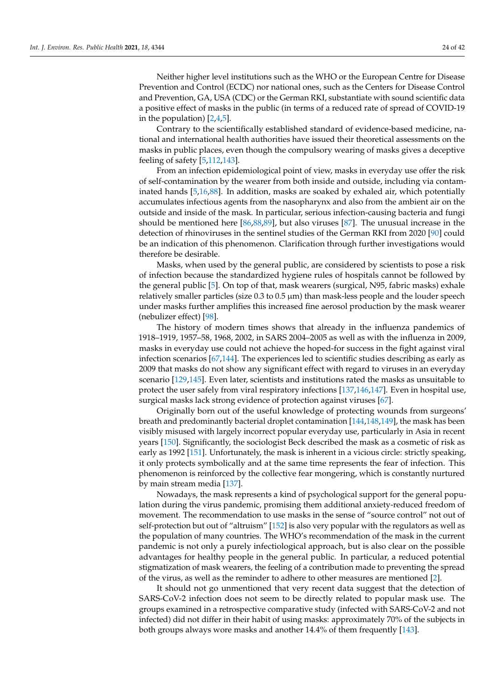Neither higher level institutions such as the WHO or the European Centre for Disease Prevention and Control (ECDC) nor national ones, such as the Centers for Disease Control and Prevention, GA, USA (CDC) or the German RKI, substantiate with sound scientific data a positive effect of masks in the public (in terms of a reduced rate of spread of COVID-19 in the population) [\[2,](#page-34-1)[4,](#page-34-3)[5\]](#page-34-4).

Contrary to the scientifically established standard of evidence-based medicine, national and international health authorities have issued their theoretical assessments on the masks in public places, even though the compulsory wearing of masks gives a deceptive feeling of safety [\[5](#page-34-4)[,112](#page-38-21)[,143\]](#page-40-1).

From an infection epidemiological point of view, masks in everyday use offer the risk of self-contamination by the wearer from both inside and outside, including via contaminated hands [\[5](#page-34-4)[,16](#page-35-24)[,88\]](#page-37-24). In addition, masks are soaked by exhaled air, which potentially accumulates infectious agents from the nasopharynx and also from the ambient air on the outside and inside of the mask. In particular, serious infection-causing bacteria and fungi should be mentioned here [\[86,](#page-37-21)[88,](#page-37-24)[89\]](#page-37-22), but also viruses [\[87\]](#page-37-25). The unusual increase in the detection of rhinoviruses in the sentinel studies of the German RKI from 2020 [\[90\]](#page-38-0) could be an indication of this phenomenon. Clarification through further investigations would therefore be desirable.

Masks, when used by the general public, are considered by scientists to pose a risk of infection because the standardized hygiene rules of hospitals cannot be followed by the general public [\[5\]](#page-34-4). On top of that, mask wearers (surgical, N95, fabric masks) exhale relatively smaller particles (size  $0.3$  to  $0.5 \mu m$ ) than mask-less people and the louder speech under masks further amplifies this increased fine aerosol production by the mask wearer (nebulizer effect) [\[98\]](#page-38-8).

The history of modern times shows that already in the influenza pandemics of 1918–1919, 1957–58, 1968, 2002, in SARS 2004–2005 as well as with the influenza in 2009, masks in everyday use could not achieve the hoped-for success in the fight against viral infection scenarios [\[67](#page-37-3)[,144\]](#page-40-2). The experiences led to scientific studies describing as early as 2009 that masks do not show any significant effect with regard to viruses in an everyday scenario [\[129](#page-39-14)[,145\]](#page-40-3). Even later, scientists and institutions rated the masks as unsuitable to protect the user safely from viral respiratory infections [\[137,](#page-39-22)[146](#page-40-4)[,147\]](#page-40-5). Even in hospital use, surgical masks lack strong evidence of protection against viruses [\[67\]](#page-37-3).

Originally born out of the useful knowledge of protecting wounds from surgeons' breath and predominantly bacterial droplet contamination [\[144,](#page-40-2)[148,](#page-40-6)[149\]](#page-40-7), the mask has been visibly misused with largely incorrect popular everyday use, particularly in Asia in recent years [\[150\]](#page-40-8). Significantly, the sociologist Beck described the mask as a cosmetic of risk as early as 1992 [\[151\]](#page-40-9). Unfortunately, the mask is inherent in a vicious circle: strictly speaking, it only protects symbolically and at the same time represents the fear of infection. This phenomenon is reinforced by the collective fear mongering, which is constantly nurtured by main stream media [\[137\]](#page-39-22).

Nowadays, the mask represents a kind of psychological support for the general population during the virus pandemic, promising them additional anxiety-reduced freedom of movement. The recommendation to use masks in the sense of "source control" not out of self-protection but out of "altruism" [\[152\]](#page-40-10) is also very popular with the regulators as well as the population of many countries. The WHO's recommendation of the mask in the current pandemic is not only a purely infectiological approach, but is also clear on the possible advantages for healthy people in the general public. In particular, a reduced potential stigmatization of mask wearers, the feeling of a contribution made to preventing the spread of the virus, as well as the reminder to adhere to other measures are mentioned [\[2\]](#page-34-1).

It should not go unmentioned that very recent data suggest that the detection of SARS-CoV-2 infection does not seem to be directly related to popular mask use. The groups examined in a retrospective comparative study (infected with SARS-CoV-2 and not infected) did not differ in their habit of using masks: approximately 70% of the subjects in both groups always wore masks and another 14.4% of them frequently [\[143\]](#page-40-1).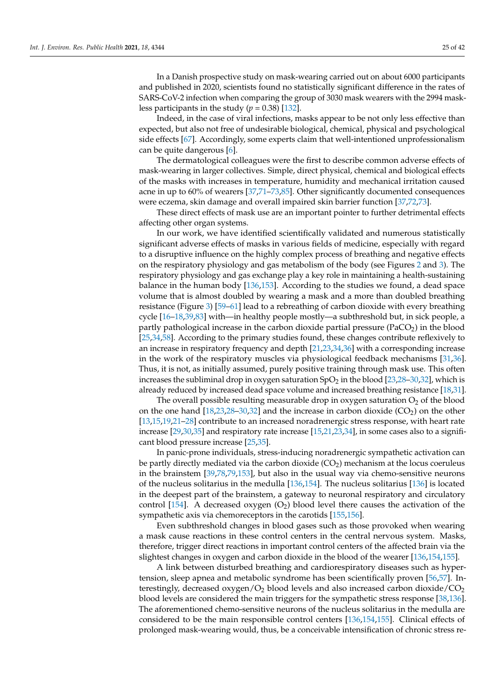Indeed, in the case of viral infections, masks appear to be not only less effective than expected, but also not free of undesirable biological, chemical, physical and psychological side effects [\[67\]](#page-37-3). Accordingly, some experts claim that well-intentioned unprofessionalism can be quite dangerous [\[6\]](#page-34-5).

The dermatological colleagues were the first to describe common adverse effects of mask-wearing in larger collectives. Simple, direct physical, chemical and biological effects of the masks with increases in temperature, humidity and mechanical irritation caused acne in up to 60% of wearers [\[37,](#page-36-3)[71](#page-37-7)[–73](#page-37-8)[,85\]](#page-37-20). Other significantly documented consequences were eczema, skin damage and overall impaired skin barrier function [\[37](#page-36-3)[,72](#page-37-23)[,73\]](#page-37-8).

These direct effects of mask use are an important pointer to further detrimental effects affecting other organ systems.

In our work, we have identified scientifically validated and numerous statistically significant adverse effects of masks in various fields of medicine, especially with regard to a disruptive influence on the highly complex process of breathing and negative effects on the respiratory physiology and gas metabolism of the body (see Figures [2](#page-3-0) and [3\)](#page-8-1). The respiratory physiology and gas exchange play a key role in maintaining a health-sustaining balance in the human body [\[136,](#page-39-21)[153\]](#page-40-11). According to the studies we found, a dead space volume that is almost doubled by wearing a mask and a more than doubled breathing resistance (Figure [3\)](#page-8-1) [\[59–](#page-36-19)[61\]](#page-36-21) lead to a rebreathing of carbon dioxide with every breathing cycle [\[16](#page-35-24)[–18,](#page-35-8)[39,](#page-36-0)[83\]](#page-37-18) with—in healthy people mostly—a subthreshold but, in sick people, a partly pathological increase in the carbon dioxide partial pressure ( $PaCO<sub>2</sub>$ ) in the blood [\[25,](#page-35-15)[34](#page-35-18)[,58\]](#page-36-18). According to the primary studies found, these changes contribute reflexively to an increase in respiratory frequency and depth [\[21,](#page-35-11)[23,](#page-35-13)[34,](#page-35-18)[36\]](#page-35-21) with a corresponding increase in the work of the respiratory muscles via physiological feedback mechanisms [\[31,](#page-35-23)[36\]](#page-35-21). Thus, it is not, as initially assumed, purely positive training through mask use. This often increases the subliminal drop in oxygen saturation  $SpO<sub>2</sub>$  in the blood [\[23,](#page-35-13)[28–](#page-35-16)[30](#page-35-19)[,32\]](#page-35-22), which is already reduced by increased dead space volume and increased breathing resistance [\[18](#page-35-8)[,31\]](#page-35-23).

The overall possible resulting measurable drop in oxygen saturation  $O<sub>2</sub>$  of the blood on the one hand  $[18,23,28-30,32]$  $[18,23,28-30,32]$  $[18,23,28-30,32]$  $[18,23,28-30,32]$  $[18,23,28-30,32]$  and the increase in carbon dioxide (CO<sub>2</sub>) on the other [\[13,](#page-35-4)[15,](#page-35-6)[19,](#page-35-9)[21](#page-35-11)[–28\]](#page-35-16) contribute to an increased noradrenergic stress response, with heart rate increase [\[29](#page-35-17)[,30,](#page-35-19)[35\]](#page-35-20) and respiratory rate increase [\[15](#page-35-6)[,21](#page-35-11)[,23,](#page-35-13)[34\]](#page-35-18), in some cases also to a significant blood pressure increase [\[25](#page-35-15)[,35\]](#page-35-20).

In panic-prone individuals, stress-inducing noradrenergic sympathetic activation can be partly directly mediated via the carbon dioxide  $(CO<sub>2</sub>)$  mechanism at the locus coeruleus in the brainstem [\[39,](#page-36-0)[78,](#page-37-13)[79,](#page-37-14)[153\]](#page-40-11), but also in the usual way via chemo-sensitive neurons of the nucleus solitarius in the medulla [\[136](#page-39-21)[,154\]](#page-40-12). The nucleus solitarius [\[136\]](#page-39-21) is located in the deepest part of the brainstem, a gateway to neuronal respiratory and circulatory control [\[154\]](#page-40-12). A decreased oxygen  $(O<sub>2</sub>)$  blood level there causes the activation of the sympathetic axis via chemoreceptors in the carotids [\[155](#page-40-13)[,156\]](#page-40-14).

Even subthreshold changes in blood gases such as those provoked when wearing a mask cause reactions in these control centers in the central nervous system. Masks, therefore, trigger direct reactions in important control centers of the affected brain via the slightest changes in oxygen and carbon dioxide in the blood of the wearer [\[136](#page-39-21)[,154](#page-40-12)[,155\]](#page-40-13).

A link between disturbed breathing and cardiorespiratory diseases such as hypertension, sleep apnea and metabolic syndrome has been scientifically proven [\[56,](#page-36-16)[57\]](#page-36-17). Interestingly, decreased oxygen/ $O_2$  blood levels and also increased carbon dioxide/ $CO_2$ blood levels are considered the main triggers for the sympathetic stress response [\[38](#page-36-1)[,136\]](#page-39-21). The aforementioned chemo-sensitive neurons of the nucleus solitarius in the medulla are considered to be the main responsible control centers [\[136,](#page-39-21)[154,](#page-40-12)[155\]](#page-40-13). Clinical effects of prolonged mask-wearing would, thus, be a conceivable intensification of chronic stress re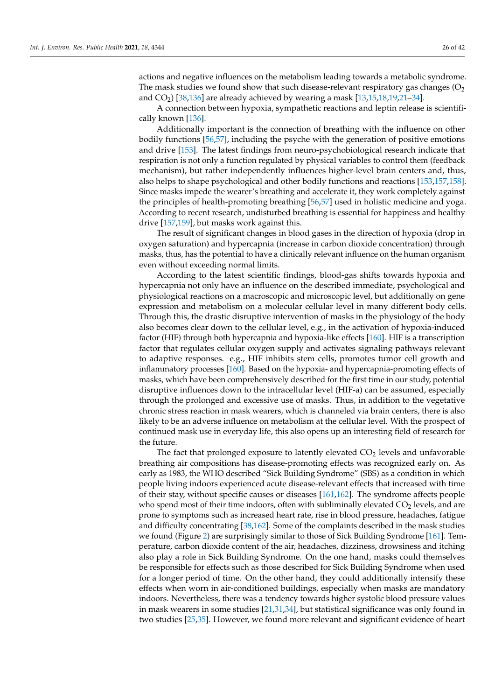actions and negative influences on the metabolism leading towards a metabolic syndrome. The mask studies we found show that such disease-relevant respiratory gas changes  $(O<sub>2</sub>)$ and  $CO<sub>2</sub>$ ) [\[38](#page-36-1)[,136\]](#page-39-21) are already achieved by wearing a mask [\[13,](#page-35-4)[15](#page-35-6)[,18](#page-35-8)[,19](#page-35-9)[,21](#page-35-11)[–34\]](#page-35-18).

A connection between hypoxia, sympathetic reactions and leptin release is scientifically known [\[136\]](#page-39-21).

Additionally important is the connection of breathing with the influence on other bodily functions [\[56](#page-36-16)[,57\]](#page-36-17), including the psyche with the generation of positive emotions and drive [\[153\]](#page-40-11). The latest findings from neuro-psychobiological research indicate that respiration is not only a function regulated by physical variables to control them (feedback mechanism), but rather independently influences higher-level brain centers and, thus, also helps to shape psychological and other bodily functions and reactions [\[153,](#page-40-11)[157,](#page-40-15)[158\]](#page-40-16). Since masks impede the wearer's breathing and accelerate it, they work completely against the principles of health-promoting breathing [\[56](#page-36-16)[,57\]](#page-36-17) used in holistic medicine and yoga. According to recent research, undisturbed breathing is essential for happiness and healthy drive [\[157](#page-40-15)[,159\]](#page-40-17), but masks work against this.

The result of significant changes in blood gases in the direction of hypoxia (drop in oxygen saturation) and hypercapnia (increase in carbon dioxide concentration) through masks, thus, has the potential to have a clinically relevant influence on the human organism even without exceeding normal limits.

According to the latest scientific findings, blood-gas shifts towards hypoxia and hypercapnia not only have an influence on the described immediate, psychological and physiological reactions on a macroscopic and microscopic level, but additionally on gene expression and metabolism on a molecular cellular level in many different body cells. Through this, the drastic disruptive intervention of masks in the physiology of the body also becomes clear down to the cellular level, e.g., in the activation of hypoxia-induced factor (HIF) through both hypercapnia and hypoxia-like effects [\[160\]](#page-40-18). HIF is a transcription factor that regulates cellular oxygen supply and activates signaling pathways relevant to adaptive responses. e.g., HIF inhibits stem cells, promotes tumor cell growth and inflammatory processes [\[160\]](#page-40-18). Based on the hypoxia- and hypercapnia-promoting effects of masks, which have been comprehensively described for the first time in our study, potential disruptive influences down to the intracellular level (HIF-a) can be assumed, especially through the prolonged and excessive use of masks. Thus, in addition to the vegetative chronic stress reaction in mask wearers, which is channeled via brain centers, there is also likely to be an adverse influence on metabolism at the cellular level. With the prospect of continued mask use in everyday life, this also opens up an interesting field of research for the future.

The fact that prolonged exposure to latently elevated  $CO<sub>2</sub>$  levels and unfavorable breathing air compositions has disease-promoting effects was recognized early on. As early as 1983, the WHO described "Sick Building Syndrome" (SBS) as a condition in which people living indoors experienced acute disease-relevant effects that increased with time of their stay, without specific causes or diseases [\[161](#page-40-19)[,162\]](#page-40-20). The syndrome affects people who spend most of their time indoors, often with subliminally elevated  $CO<sub>2</sub>$  levels, and are prone to symptoms such as increased heart rate, rise in blood pressure, headaches, fatigue and difficulty concentrating [\[38,](#page-36-1)[162\]](#page-40-20). Some of the complaints described in the mask studies we found (Figure [2\)](#page-3-0) are surprisingly similar to those of Sick Building Syndrome [\[161\]](#page-40-19). Temperature, carbon dioxide content of the air, headaches, dizziness, drowsiness and itching also play a role in Sick Building Syndrome. On the one hand, masks could themselves be responsible for effects such as those described for Sick Building Syndrome when used for a longer period of time. On the other hand, they could additionally intensify these effects when worn in air-conditioned buildings, especially when masks are mandatory indoors. Nevertheless, there was a tendency towards higher systolic blood pressure values in mask wearers in some studies [\[21](#page-35-11)[,31](#page-35-23)[,34\]](#page-35-18), but statistical significance was only found in two studies [\[25,](#page-35-15)[35\]](#page-35-20). However, we found more relevant and significant evidence of heart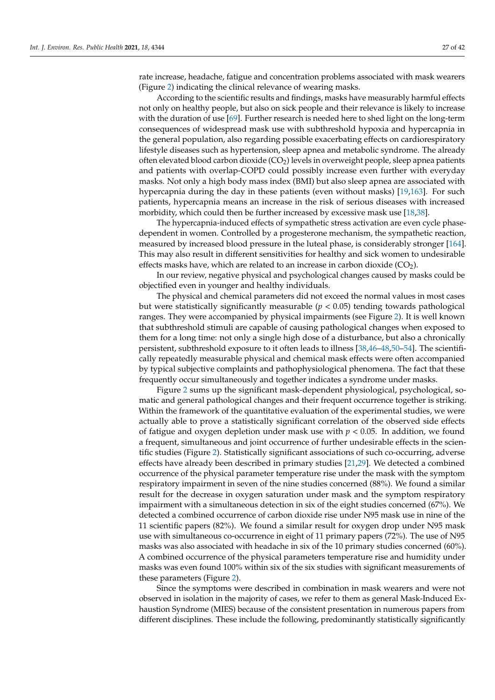According to the scientific results and findings, masks have measurably harmful effects not only on healthy people, but also on sick people and their relevance is likely to increase with the duration of use [\[69\]](#page-37-5). Further research is needed here to shed light on the long-term consequences of widespread mask use with subthreshold hypoxia and hypercapnia in the general population, also regarding possible exacerbating effects on cardiorespiratory lifestyle diseases such as hypertension, sleep apnea and metabolic syndrome. The already often elevated blood carbon dioxide (CO2) levels in overweight people, sleep apnea patients and patients with overlap-COPD could possibly increase even further with everyday masks. Not only a high body mass index (BMI) but also sleep apnea are associated with hypercapnia during the day in these patients (even without masks) [\[19,](#page-35-9)[163\]](#page-40-21). For such patients, hypercapnia means an increase in the risk of serious diseases with increased morbidity, which could then be further increased by excessive mask use [\[18](#page-35-8)[,38\]](#page-36-1).

The hypercapnia-induced effects of sympathetic stress activation are even cycle phasedependent in women. Controlled by a progesterone mechanism, the sympathetic reaction, measured by increased blood pressure in the luteal phase, is considerably stronger [\[164\]](#page-40-22). This may also result in different sensitivities for healthy and sick women to undesirable effects masks have, which are related to an increase in carbon dioxide  $(CO<sub>2</sub>)$ .

In our review, negative physical and psychological changes caused by masks could be objectified even in younger and healthy individuals.

The physical and chemical parameters did not exceed the normal values in most cases but were statistically significantly measurable  $(p < 0.05)$  tending towards pathological ranges. They were accompanied by physical impairments (see Figure [2\)](#page-3-0). It is well known that subthreshold stimuli are capable of causing pathological changes when exposed to them for a long time: not only a single high dose of a disturbance, but also a chronically persistent, subthreshold exposure to it often leads to illness [\[38,](#page-36-1)[46](#page-36-6)[–48](#page-36-8)[,50–](#page-36-10)[54\]](#page-36-14). The scientifically repeatedly measurable physical and chemical mask effects were often accompanied by typical subjective complaints and pathophysiological phenomena. The fact that these frequently occur simultaneously and together indicates a syndrome under masks.

Figure [2](#page-3-0) sums up the significant mask-dependent physiological, psychological, somatic and general pathological changes and their frequent occurrence together is striking. Within the framework of the quantitative evaluation of the experimental studies, we were actually able to prove a statistically significant correlation of the observed side effects of fatigue and oxygen depletion under mask use with  $p < 0.05$ . In addition, we found a frequent, simultaneous and joint occurrence of further undesirable effects in the scientific studies (Figure [2\)](#page-3-0). Statistically significant associations of such co-occurring, adverse effects have already been described in primary studies [\[21,](#page-35-11)[29\]](#page-35-17). We detected a combined occurrence of the physical parameter temperature rise under the mask with the symptom respiratory impairment in seven of the nine studies concerned (88%). We found a similar result for the decrease in oxygen saturation under mask and the symptom respiratory impairment with a simultaneous detection in six of the eight studies concerned (67%). We detected a combined occurrence of carbon dioxide rise under N95 mask use in nine of the 11 scientific papers (82%). We found a similar result for oxygen drop under N95 mask use with simultaneous co-occurrence in eight of 11 primary papers (72%). The use of N95 masks was also associated with headache in six of the 10 primary studies concerned (60%). A combined occurrence of the physical parameters temperature rise and humidity under masks was even found 100% within six of the six studies with significant measurements of these parameters (Figure [2\)](#page-3-0).

Since the symptoms were described in combination in mask wearers and were not observed in isolation in the majority of cases, we refer to them as general Mask-Induced Exhaustion Syndrome (MIES) because of the consistent presentation in numerous papers from different disciplines. These include the following, predominantly statistically significantly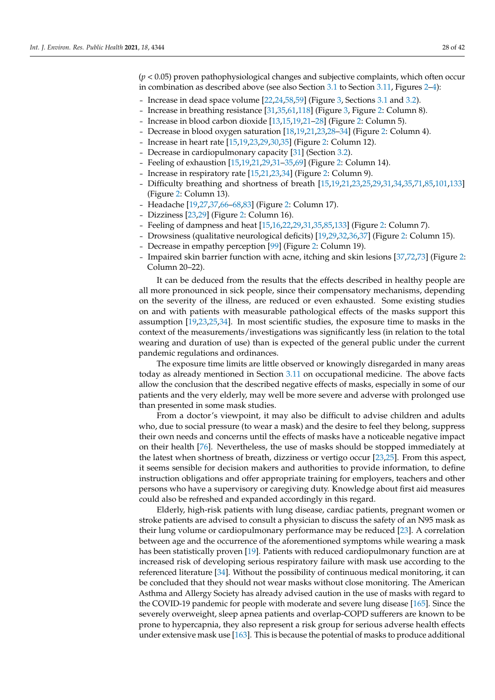(*p* < 0.05) proven pathophysiological changes and subjective complaints, which often occur in combination as described above (see also Section [3.1](#page-4-0) to Section [3.11,](#page-17-0) Figures [2](#page-3-0)[–4\)](#page-28-0):

- Increase in dead space volume [\[22,](#page-35-12)[24,](#page-35-14)[58](#page-36-18)[,59\]](#page-36-19) (Figure [3,](#page-8-1) Sections [3.1](#page-4-0) and [3.2\)](#page-8-0).
- Increase in breathing resistance [\[31,](#page-35-23)[35,](#page-35-20)[61,](#page-36-21)[118\]](#page-39-3) (Figure [3,](#page-8-1) Figure [2:](#page-3-0) Column 8).
- Increase in blood carbon dioxide [\[13,](#page-35-4)[15](#page-35-6)[,19](#page-35-9)[,21](#page-35-11)[–28\]](#page-35-16) (Figure [2:](#page-3-0) Column 5).
- Decrease in blood oxygen saturation [\[18](#page-35-8)[,19](#page-35-9)[,21](#page-35-11)[,23](#page-35-13)[,28–](#page-35-16)[34\]](#page-35-18) (Figure [2:](#page-3-0) Column 4).
- Increase in heart rate [\[15](#page-35-6)[,19](#page-35-9)[,23](#page-35-13)[,29](#page-35-17)[,30,](#page-35-19)[35\]](#page-35-20) (Figure [2:](#page-3-0) Column 12).
- Decrease in cardiopulmonary capacity [\[31\]](#page-35-23) (Section [3.2\)](#page-8-0).
- Feeling of exhaustion [\[15](#page-35-6)[,19,](#page-35-9)[21,](#page-35-11)[29,](#page-35-17)[31–](#page-35-23)[35,](#page-35-20)[69\]](#page-37-5) (Figure [2:](#page-3-0) Column 14).
- Increase in respiratory rate [\[15](#page-35-6)[,21](#page-35-11)[,23](#page-35-13)[,34\]](#page-35-18) (Figure [2:](#page-3-0) Column 9).
- Difficulty breathing and shortness of breath [\[15](#page-35-6)[,19](#page-35-9)[,21](#page-35-11)[,23](#page-35-13)[,25](#page-35-15)[,29](#page-35-17)[,31](#page-35-23)[,34](#page-35-18)[,35](#page-35-20)[,71](#page-37-7)[,85](#page-37-20)[,101](#page-38-11)[,133\]](#page-39-18) (Figure [2:](#page-3-0) Column 13).
- Headache [\[19,](#page-35-9)[27,](#page-35-25)[37,](#page-36-3)[66–](#page-37-2)[68](#page-37-4)[,83\]](#page-37-18) (Figure [2:](#page-3-0) Column 17).
- Dizziness [\[23](#page-35-13)[,29\]](#page-35-17) (Figure [2:](#page-3-0) Column 16).
- Feeling of dampness and heat [\[15](#page-35-6)[,16](#page-35-24)[,22](#page-35-12)[,29](#page-35-17)[,31](#page-35-23)[,35,](#page-35-20)[85,](#page-37-20)[133\]](#page-39-18) (Figure [2:](#page-3-0) Column 7).
- Drowsiness (qualitative neurological deficits) [\[19,](#page-35-9)[29,](#page-35-17)[32,](#page-35-22)[36](#page-35-21)[,37\]](#page-36-3) (Figure [2:](#page-3-0) Column 15).
- Decrease in empathy perception [\[99\]](#page-38-9) (Figure [2:](#page-3-0) Column 19).
- Impaired skin barrier function with acne, itching and skin lesions [\[37](#page-36-3)[,72](#page-37-23)[,73\]](#page-37-8) (Figure [2:](#page-3-0) Column 20–22).

It can be deduced from the results that the effects described in healthy people are all more pronounced in sick people, since their compensatory mechanisms, depending on the severity of the illness, are reduced or even exhausted. Some existing studies on and with patients with measurable pathological effects of the masks support this assumption [\[19,](#page-35-9)[23,](#page-35-13)[25,](#page-35-15)[34\]](#page-35-18). In most scientific studies, the exposure time to masks in the context of the measurements/investigations was significantly less (in relation to the total wearing and duration of use) than is expected of the general public under the current pandemic regulations and ordinances.

The exposure time limits are little observed or knowingly disregarded in many areas today as already mentioned in Section [3.11](#page-17-0) on occupational medicine. The above facts allow the conclusion that the described negative effects of masks, especially in some of our patients and the very elderly, may well be more severe and adverse with prolonged use than presented in some mask studies.

From a doctor's viewpoint, it may also be difficult to advise children and adults who, due to social pressure (to wear a mask) and the desire to feel they belong, suppress their own needs and concerns until the effects of masks have a noticeable negative impact on their health [\[76\]](#page-37-11). Nevertheless, the use of masks should be stopped immediately at the latest when shortness of breath, dizziness or vertigo occur [\[23,](#page-35-13)[25\]](#page-35-15). From this aspect, it seems sensible for decision makers and authorities to provide information, to define instruction obligations and offer appropriate training for employers, teachers and other persons who have a supervisory or caregiving duty. Knowledge about first aid measures could also be refreshed and expanded accordingly in this regard.

Elderly, high-risk patients with lung disease, cardiac patients, pregnant women or stroke patients are advised to consult a physician to discuss the safety of an N95 mask as their lung volume or cardiopulmonary performance may be reduced [\[23\]](#page-35-13). A correlation between age and the occurrence of the aforementioned symptoms while wearing a mask has been statistically proven [\[19\]](#page-35-9). Patients with reduced cardiopulmonary function are at increased risk of developing serious respiratory failure with mask use according to the referenced literature [\[34\]](#page-35-18). Without the possibility of continuous medical monitoring, it can be concluded that they should not wear masks without close monitoring. The American Asthma and Allergy Society has already advised caution in the use of masks with regard to the COVID-19 pandemic for people with moderate and severe lung disease [\[165\]](#page-40-23). Since the severely overweight, sleep apnea patients and overlap-COPD sufferers are known to be prone to hypercapnia, they also represent a risk group for serious adverse health effects under extensive mask use [\[163\]](#page-40-21). This is because the potential of masks to produce additional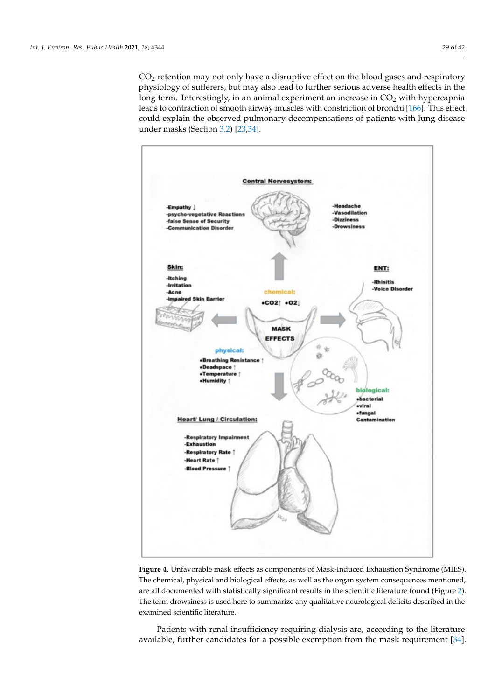CO<sup>2</sup> retention may not only have a disruptive effect on the blood gases and respiratory physiology of sufferers, but may also lead to further serious adverse health effects in the long term. Interestingly, in an animal experiment an increase in  $CO<sub>2</sub>$  with hypercapnia leads to contraction of smooth airway muscles with constriction of bronchi [\[166\]](#page-40-24). This effect could explain the observed pulmonary decompensations of patients with lung disease under masks (Section [3.2\)](#page-8-0) [\[23](#page-35-13)[,34\]](#page-35-18).

<span id="page-28-0"></span>

**Figure 4.** Unfavorable mask effects as components of Mask-Induced Exhaustion Syndrome (MIES). The chemical, physical and biological effects, as well as the organ system consequences mentioned, are all documented with statistically significant results in the scientific literature found (Figure [2\)](#page-3-0). The term drowsiness is used here to summarize any qualitative neurological deficits described in the examined scientific literature.

Patients with renal insufficiency requiring dialysis are, according to the literature available, further candidates for a possible exemption from the mask requirement [\[34\]](#page-35-18).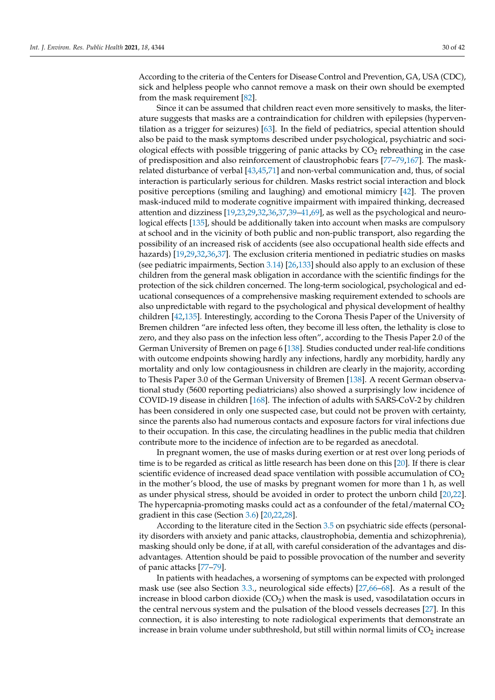According to the criteria of the Centers for Disease Control and Prevention, GA, USA (CDC), sick and helpless people who cannot remove a mask on their own should be exempted from the mask requirement [\[82\]](#page-37-17).

Since it can be assumed that children react even more sensitively to masks, the literature suggests that masks are a contraindication for children with epilepsies (hyperventilation as a trigger for seizures) [\[63\]](#page-36-23). In the field of pediatrics, special attention should also be paid to the mask symptoms described under psychological, psychiatric and sociological effects with possible triggering of panic attacks by  $CO<sub>2</sub>$  rebreathing in the case of predisposition and also reinforcement of claustrophobic fears [\[77](#page-37-12)[–79](#page-37-14)[,167\]](#page-40-25). The maskrelated disturbance of verbal [\[43](#page-36-25)[,45,](#page-36-5)[71\]](#page-37-7) and non-verbal communication and, thus, of social interaction is particularly serious for children. Masks restrict social interaction and block positive perceptions (smiling and laughing) and emotional mimicry [\[42\]](#page-36-4). The proven mask-induced mild to moderate cognitive impairment with impaired thinking, decreased attention and dizziness [\[19,](#page-35-9)[23,](#page-35-13)[29,](#page-35-17)[32](#page-35-22)[,36](#page-35-21)[,37,](#page-36-3)[39](#page-36-0)[–41](#page-36-2)[,69\]](#page-37-5), as well as the psychological and neurological effects [\[135\]](#page-39-20), should be additionally taken into account when masks are compulsory at school and in the vicinity of both public and non-public transport, also regarding the possibility of an increased risk of accidents (see also occupational health side effects and hazards) [\[19,](#page-35-9)[29,](#page-35-17)[32,](#page-35-22)[36,](#page-35-21)[37\]](#page-36-3). The exclusion criteria mentioned in pediatric studies on masks (see pediatric impairments, Section [3.14\)](#page-21-0) [\[26,](#page-35-27)[133\]](#page-39-18) should also apply to an exclusion of these children from the general mask obligation in accordance with the scientific findings for the protection of the sick children concerned. The long-term sociological, psychological and educational consequences of a comprehensive masking requirement extended to schools are also unpredictable with regard to the psychological and physical development of healthy children [\[42,](#page-36-4)[135\]](#page-39-20). Interestingly, according to the Corona Thesis Paper of the University of Bremen children "are infected less often, they become ill less often, the lethality is close to zero, and they also pass on the infection less often", according to the Thesis Paper 2.0 of the German University of Bremen on page 6 [\[138\]](#page-39-23). Studies conducted under real-life conditions with outcome endpoints showing hardly any infections, hardly any morbidity, hardly any mortality and only low contagiousness in children are clearly in the majority, according to Thesis Paper 3.0 of the German University of Bremen [\[138\]](#page-39-23). A recent German observational study (5600 reporting pediatricians) also showed a surprisingly low incidence of COVID-19 disease in children [\[168\]](#page-40-26). The infection of adults with SARS-CoV-2 by children has been considered in only one suspected case, but could not be proven with certainty, since the parents also had numerous contacts and exposure factors for viral infections due to their occupation. In this case, the circulating headlines in the public media that children contribute more to the incidence of infection are to be regarded as anecdotal.

In pregnant women, the use of masks during exertion or at rest over long periods of time is to be regarded as critical as little research has been done on this [\[20\]](#page-35-10). If there is clear scientific evidence of increased dead space ventilation with possible accumulation of  $CO<sub>2</sub>$ in the mother's blood, the use of masks by pregnant women for more than 1 h, as well as under physical stress, should be avoided in order to protect the unborn child [\[20,](#page-35-10)[22\]](#page-35-12). The hypercapnia-promoting masks could act as a confounder of the fetal/maternal  $CO<sub>2</sub>$ gradient in this case (Section [3.6\)](#page-12-1) [\[20](#page-35-10)[,22](#page-35-12)[,28\]](#page-35-16).

According to the literature cited in the Section [3.5](#page-12-0) on psychiatric side effects (personality disorders with anxiety and panic attacks, claustrophobia, dementia and schizophrenia), masking should only be done, if at all, with careful consideration of the advantages and disadvantages. Attention should be paid to possible provocation of the number and severity of panic attacks [\[77](#page-37-12)[–79\]](#page-37-14).

In patients with headaches, a worsening of symptoms can be expected with prolonged mask use (see also Section [3.3.](#page-10-0), neurological side effects) [\[27](#page-35-25)[,66–](#page-37-2)[68\]](#page-37-4). As a result of the increase in blood carbon dioxide  $(CO<sub>2</sub>)$  when the mask is used, vasodilatation occurs in the central nervous system and the pulsation of the blood vessels decreases [\[27\]](#page-35-25). In this connection, it is also interesting to note radiological experiments that demonstrate an increase in brain volume under subthreshold, but still within normal limits of  $CO<sub>2</sub>$  increase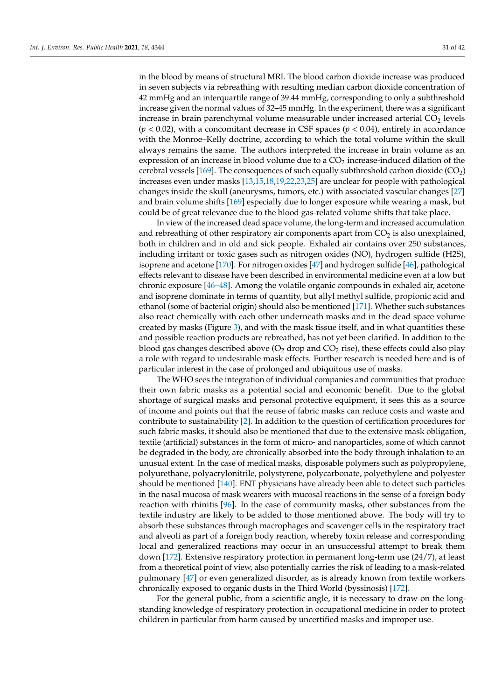in the blood by means of structural MRI. The blood carbon dioxide increase was produced in seven subjects via rebreathing with resulting median carbon dioxide concentration of 42 mmHg and an interquartile range of 39.44 mmHg, corresponding to only a subthreshold increase given the normal values of 32–45 mmHg. In the experiment, there was a significant increase in brain parenchymal volume measurable under increased arterial  $CO<sub>2</sub>$  levels  $(p < 0.02)$ , with a concomitant decrease in CSF spaces  $(p < 0.04)$ , entirely in accordance with the Monroe–Kelly doctrine, according to which the total volume within the skull always remains the same. The authors interpreted the increase in brain volume as an expression of an increase in blood volume due to a  $CO<sub>2</sub>$  increase-induced dilation of the cerebral vessels  $[169]$ . The consequences of such equally subthreshold carbon dioxide  $(CO_2)$ increases even under masks [\[13](#page-35-4)[,15](#page-35-6)[,18](#page-35-8)[,19,](#page-35-9)[22,](#page-35-12)[23,](#page-35-13)[25\]](#page-35-15) are unclear for people with pathological changes inside the skull (aneurysms, tumors, etc.) with associated vascular changes [\[27\]](#page-35-25) and brain volume shifts [\[169\]](#page-40-27) especially due to longer exposure while wearing a mask, but could be of great relevance due to the blood gas-related volume shifts that take place.

In view of the increased dead space volume, the long-term and increased accumulation and rebreathing of other respiratory air components apart from  $CO<sub>2</sub>$  is also unexplained, both in children and in old and sick people. Exhaled air contains over 250 substances, including irritant or toxic gases such as nitrogen oxides (NO), hydrogen sulfide (H2S), isoprene and acetone [\[170\]](#page-41-0). For nitrogen oxides [\[47\]](#page-36-7) and hydrogen sulfide [\[46\]](#page-36-6), pathological effects relevant to disease have been described in environmental medicine even at a low but chronic exposure [\[46–](#page-36-6)[48\]](#page-36-8). Among the volatile organic compounds in exhaled air, acetone and isoprene dominate in terms of quantity, but allyl methyl sulfide, propionic acid and ethanol (some of bacterial origin) should also be mentioned [\[171\]](#page-41-1). Whether such substances also react chemically with each other underneath masks and in the dead space volume created by masks (Figure [3\)](#page-8-1), and with the mask tissue itself, and in what quantities these and possible reaction products are rebreathed, has not yet been clarified. In addition to the blood gas changes described above ( $O_2$  drop and  $CO_2$  rise), these effects could also play a role with regard to undesirable mask effects. Further research is needed here and is of particular interest in the case of prolonged and ubiquitous use of masks.

The WHO sees the integration of individual companies and communities that produce their own fabric masks as a potential social and economic benefit. Due to the global shortage of surgical masks and personal protective equipment, it sees this as a source of income and points out that the reuse of fabric masks can reduce costs and waste and contribute to sustainability [\[2\]](#page-34-1). In addition to the question of certification procedures for such fabric masks, it should also be mentioned that due to the extensive mask obligation, textile (artificial) substances in the form of micro- and nanoparticles, some of which cannot be degraded in the body, are chronically absorbed into the body through inhalation to an unusual extent. In the case of medical masks, disposable polymers such as polypropylene, polyurethane, polyacrylonitrile, polystyrene, polycarbonate, polyethylene and polyester should be mentioned [\[140\]](#page-39-25). ENT physicians have already been able to detect such particles in the nasal mucosa of mask wearers with mucosal reactions in the sense of a foreign body reaction with rhinitis [\[96\]](#page-38-6). In the case of community masks, other substances from the textile industry are likely to be added to those mentioned above. The body will try to absorb these substances through macrophages and scavenger cells in the respiratory tract and alveoli as part of a foreign body reaction, whereby toxin release and corresponding local and generalized reactions may occur in an unsuccessful attempt to break them down [\[172\]](#page-41-2). Extensive respiratory protection in permanent long-term use (24/7), at least from a theoretical point of view, also potentially carries the risk of leading to a mask-related pulmonary [\[47\]](#page-36-7) or even generalized disorder, as is already known from textile workers chronically exposed to organic dusts in the Third World (byssinosis) [\[172\]](#page-41-2).

For the general public, from a scientific angle, it is necessary to draw on the longstanding knowledge of respiratory protection in occupational medicine in order to protect children in particular from harm caused by uncertified masks and improper use.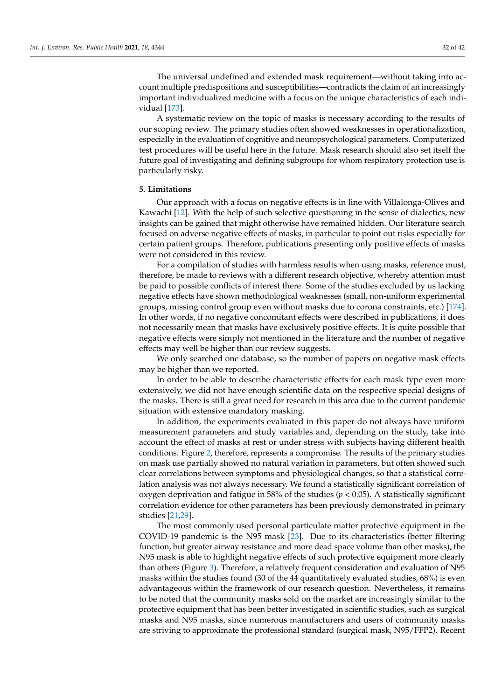The universal undefined and extended mask requirement—without taking into account multiple predispositions and susceptibilities—contradicts the claim of an increasingly important individualized medicine with a focus on the unique characteristics of each individual [\[173\]](#page-41-3).

A systematic review on the topic of masks is necessary according to the results of our scoping review. The primary studies often showed weaknesses in operationalization, especially in the evaluation of cognitive and neuropsychological parameters. Computerized test procedures will be useful here in the future. Mask research should also set itself the future goal of investigating and defining subgroups for whom respiratory protection use is particularly risky.

## **5. Limitations**

Our approach with a focus on negative effects is in line with Villalonga-Olives and Kawachi [\[12\]](#page-35-3). With the help of such selective questioning in the sense of dialectics, new insights can be gained that might otherwise have remained hidden. Our literature search focused on adverse negative effects of masks, in particular to point out risks especially for certain patient groups. Therefore, publications presenting only positive effects of masks were not considered in this review.

For a compilation of studies with harmless results when using masks, reference must, therefore, be made to reviews with a different research objective, whereby attention must be paid to possible conflicts of interest there. Some of the studies excluded by us lacking negative effects have shown methodological weaknesses (small, non-uniform experimental groups, missing control group even without masks due to corona constraints, etc.) [\[174\]](#page-41-4). In other words, if no negative concomitant effects were described in publications, it does not necessarily mean that masks have exclusively positive effects. It is quite possible that negative effects were simply not mentioned in the literature and the number of negative effects may well be higher than our review suggests.

We only searched one database, so the number of papers on negative mask effects may be higher than we reported.

In order to be able to describe characteristic effects for each mask type even more extensively, we did not have enough scientific data on the respective special designs of the masks. There is still a great need for research in this area due to the current pandemic situation with extensive mandatory masking.

In addition, the experiments evaluated in this paper do not always have uniform measurement parameters and study variables and, depending on the study, take into account the effect of masks at rest or under stress with subjects having different health conditions. Figure [2,](#page-3-0) therefore, represents a compromise. The results of the primary studies on mask use partially showed no natural variation in parameters, but often showed such clear correlations between symptoms and physiological changes, so that a statistical correlation analysis was not always necessary. We found a statistically significant correlation of oxygen deprivation and fatigue in 58% of the studies (*p* < 0.05). A statistically significant correlation evidence for other parameters has been previously demonstrated in primary studies [\[21](#page-35-11)[,29\]](#page-35-17).

The most commonly used personal particulate matter protective equipment in the COVID-19 pandemic is the N95 mask [\[23\]](#page-35-13). Due to its characteristics (better filtering function, but greater airway resistance and more dead space volume than other masks), the N95 mask is able to highlight negative effects of such protective equipment more clearly than others (Figure [3\)](#page-8-1). Therefore, a relatively frequent consideration and evaluation of N95 masks within the studies found (30 of the 44 quantitatively evaluated studies, 68%) is even advantageous within the framework of our research question. Nevertheless, it remains to be noted that the community masks sold on the market are increasingly similar to the protective equipment that has been better investigated in scientific studies, such as surgical masks and N95 masks, since numerous manufacturers and users of community masks are striving to approximate the professional standard (surgical mask, N95/FFP2). Recent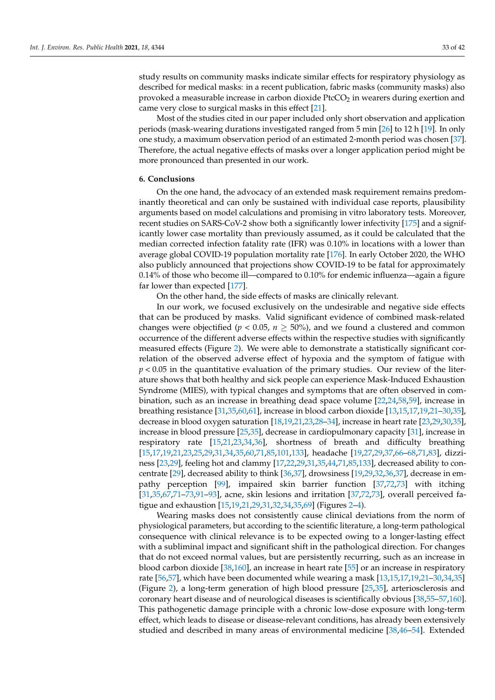study results on community masks indicate similar effects for respiratory physiology as described for medical masks: in a recent publication, fabric masks (community masks) also provoked a measurable increase in carbon dioxide PtcCO<sub>2</sub> in wearers during exertion and came very close to surgical masks in this effect [\[21\]](#page-35-11).

Most of the studies cited in our paper included only short observation and application periods (mask-wearing durations investigated ranged from 5 min [\[26\]](#page-35-27) to 12 h [\[19\]](#page-35-9). In only one study, a maximum observation period of an estimated 2-month period was chosen [\[37\]](#page-36-3). Therefore, the actual negative effects of masks over a longer application period might be more pronounced than presented in our work.

#### **6. Conclusions**

On the one hand, the advocacy of an extended mask requirement remains predominantly theoretical and can only be sustained with individual case reports, plausibility arguments based on model calculations and promising in vitro laboratory tests. Moreover, recent studies on SARS-CoV-2 show both a significantly lower infectivity [\[175\]](#page-41-5) and a significantly lower case mortality than previously assumed, as it could be calculated that the median corrected infection fatality rate (IFR) was 0.10% in locations with a lower than average global COVID-19 population mortality rate [\[176\]](#page-41-6). In early October 2020, the WHO also publicly announced that projections show COVID-19 to be fatal for approximately 0.14% of those who become ill—compared to 0.10% for endemic influenza—again a figure far lower than expected [\[177\]](#page-41-7).

On the other hand, the side effects of masks are clinically relevant.

In our work, we focused exclusively on the undesirable and negative side effects that can be produced by masks. Valid significant evidence of combined mask-related changes were objectified ( $p < 0.05$ ,  $n \ge 50$ %), and we found a clustered and common occurrence of the different adverse effects within the respective studies with significantly measured effects (Figure [2\)](#page-3-0). We were able to demonstrate a statistically significant correlation of the observed adverse effect of hypoxia and the symptom of fatigue with  $p < 0.05$  in the quantitative evaluation of the primary studies. Our review of the literature shows that both healthy and sick people can experience Mask-Induced Exhaustion Syndrome (MIES), with typical changes and symptoms that are often observed in combination, such as an increase in breathing dead space volume [\[22,](#page-35-12)[24](#page-35-14)[,58,](#page-36-18)[59\]](#page-36-19), increase in breathing resistance [\[31,](#page-35-23)[35,](#page-35-20)[60,](#page-36-20)[61\]](#page-36-21), increase in blood carbon dioxide [\[13](#page-35-4)[,15](#page-35-6)[,17](#page-35-7)[,19,](#page-35-9)[21](#page-35-11)[–30,](#page-35-19)[35\]](#page-35-20), decrease in blood oxygen saturation [\[18](#page-35-8)[,19](#page-35-9)[,21](#page-35-11)[,23,](#page-35-13)[28–](#page-35-16)[34\]](#page-35-18), increase in heart rate [\[23](#page-35-13)[,29](#page-35-17)[,30](#page-35-19)[,35\]](#page-35-20), increase in blood pressure [\[25,](#page-35-15)[35\]](#page-35-20), decrease in cardiopulmonary capacity [\[31\]](#page-35-23), increase in respiratory rate [\[15,](#page-35-6)[21](#page-35-11)[,23](#page-35-13)[,34](#page-35-18)[,36\]](#page-35-21), shortness of breath and difficulty breathing [\[15,](#page-35-6)[17,](#page-35-7)[19,](#page-35-9)[21,](#page-35-11)[23,](#page-35-13)[25,](#page-35-15)[29,](#page-35-17)[31,](#page-35-23)[34,](#page-35-18)[35,](#page-35-20)[60,](#page-36-20)[71,](#page-37-7)[85,](#page-37-20)[101,](#page-38-11)[133\]](#page-39-18), headache [\[19,](#page-35-9)[27,](#page-35-25)[29,](#page-35-17)[37,](#page-36-3)[66](#page-37-2)[–68](#page-37-4)[,71](#page-37-7)[,83\]](#page-37-18), dizziness [\[23](#page-35-13)[,29\]](#page-35-17), feeling hot and clammy [\[17](#page-35-7)[,22](#page-35-12)[,29](#page-35-17)[,31,](#page-35-23)[35,](#page-35-20)[44,](#page-36-24)[71,](#page-37-7)[85](#page-37-20)[,133\]](#page-39-18), decreased ability to concentrate [\[29\]](#page-35-17), decreased ability to think [\[36](#page-35-21)[,37\]](#page-36-3), drowsiness [\[19](#page-35-9)[,29](#page-35-17)[,32,](#page-35-22)[36,](#page-35-21)[37\]](#page-36-3), decrease in empathy perception [\[99\]](#page-38-9), impaired skin barrier function [\[37,](#page-36-3)[72,](#page-37-23)[73\]](#page-37-8) with itching [\[31,](#page-35-23)[35,](#page-35-20)[67,](#page-37-3)[71](#page-37-7)[–73,](#page-37-8)[91–](#page-38-1)[93\]](#page-38-3), acne, skin lesions and irritation [\[37,](#page-36-3)[72](#page-37-23)[,73\]](#page-37-8), overall perceived fatigue and exhaustion [\[15,](#page-35-6)[19,](#page-35-9)[21,](#page-35-11)[29,](#page-35-17)[31](#page-35-23)[,32](#page-35-22)[,34](#page-35-18)[,35](#page-35-20)[,69\]](#page-37-5) (Figures [2–](#page-3-0)[4\)](#page-28-0).

Wearing masks does not consistently cause clinical deviations from the norm of physiological parameters, but according to the scientific literature, a long-term pathological consequence with clinical relevance is to be expected owing to a longer-lasting effect with a subliminal impact and significant shift in the pathological direction. For changes that do not exceed normal values, but are persistently recurring, such as an increase in blood carbon dioxide [\[38](#page-36-1)[,160\]](#page-40-18), an increase in heart rate [\[55\]](#page-36-15) or an increase in respiratory rate [\[56](#page-36-16)[,57\]](#page-36-17), which have been documented while wearing a mask [\[13](#page-35-4)[,15](#page-35-6)[,17](#page-35-7)[,19](#page-35-9)[,21](#page-35-11)[–30,](#page-35-19)[34,](#page-35-18)[35\]](#page-35-20) (Figure [2\)](#page-3-0), a long-term generation of high blood pressure [\[25,](#page-35-15)[35\]](#page-35-20), arteriosclerosis and coronary heart disease and of neurological diseases is scientifically obvious [\[38,](#page-36-1)[55–](#page-36-15)[57](#page-36-17)[,160\]](#page-40-18). This pathogenetic damage principle with a chronic low-dose exposure with long-term effect, which leads to disease or disease-relevant conditions, has already been extensively studied and described in many areas of environmental medicine [\[38](#page-36-1)[,46](#page-36-6)[–54\]](#page-36-14). Extended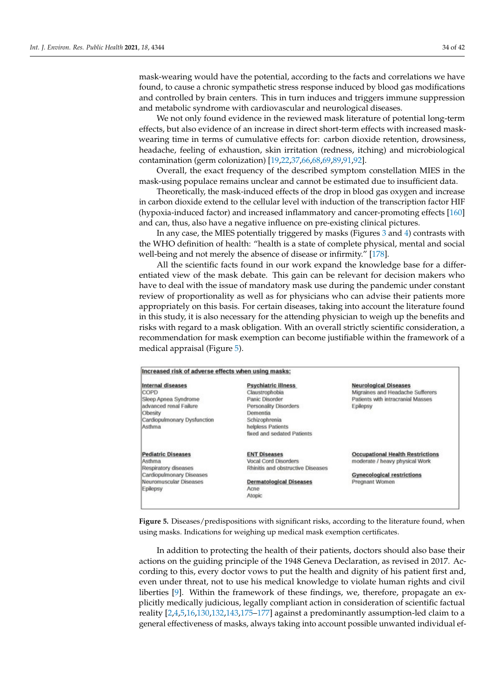mask-wearing would have the potential, according to the facts and correlations we have found, to cause a chronic sympathetic stress response induced by blood gas modifications and controlled by brain centers. This in turn induces and triggers immune suppression and metabolic syndrome with cardiovascular and neurological diseases.

We not only found evidence in the reviewed mask literature of potential long-term effects, but also evidence of an increase in direct short-term effects with increased maskwearing time in terms of cumulative effects for: carbon dioxide retention, drowsiness, headache, feeling of exhaustion, skin irritation (redness, itching) and microbiological contamination (germ colonization) [\[19,](#page-35-9)[22,](#page-35-12)[37,](#page-36-3)[66,](#page-37-2)[68,](#page-37-4)[69](#page-37-5)[,89](#page-37-22)[,91](#page-38-1)[,92\]](#page-38-2).

Overall, the exact frequency of the described symptom constellation MIES in the mask-using populace remains unclear and cannot be estimated due to insufficient data.

Theoretically, the mask-induced effects of the drop in blood gas oxygen and increase in carbon dioxide extend to the cellular level with induction of the transcription factor HIF (hypoxia-induced factor) and increased inflammatory and cancer-promoting effects [\[160\]](#page-40-18) and can, thus, also have a negative influence on pre-existing clinical pictures.

In any case, the MIES potentially triggered by masks (Figures [3](#page-8-1) and [4\)](#page-28-0) contrasts with the WHO definition of health: "health is a state of complete physical, mental and social well-being and not merely the absence of disease or infirmity." [\[178\]](#page-41-8).

All the scientific facts found in our work expand the knowledge base for a differentiated view of the mask debate. This gain can be relevant for decision makers who have to deal with the issue of mandatory mask use during the pandemic under constant review of proportionality as well as for physicians who can advise their patients more appropriately on this basis. For certain diseases, taking into account the literature found in this study, it is also necessary for the attending physician to weigh up the benefits and risks with regard to a mask obligation. With an overall strictly scientific consideration, a recommendation for mask exemption can become justifiable within the framework of a medical appraisal (Figure [5\)](#page-33-0).

<span id="page-33-0"></span>

| Increased risk of adverse effects when using masks: |                                   |                                         |
|-----------------------------------------------------|-----------------------------------|-----------------------------------------|
| <b>Internal diseases</b>                            | <b>Psychiatric illness</b>        | <b>Neurological Diseases</b>            |
| COPD                                                | Claustrophobia                    | Migraines and Headache Sufferers        |
| Sleep Apnea Syndrome                                | Panic Disorder                    | Patients with intracranial Masses       |
| advanced renal Failure                              | Personality Disorders             | Epilepsy                                |
| Obesity                                             | Dementia                          |                                         |
| Cardiopulmonary Dysfunction                         | Schizophrenia                     |                                         |
| Asthma                                              | helpless Patients                 |                                         |
|                                                     | fixed and sedated Patients        |                                         |
| <b>Pediatric Diseases</b>                           | <b>ENT Diseases</b>               | <b>Occupational Health Restrictions</b> |
| Asthma                                              | <b>Vocal Cord Disorders</b>       | moderate / heavy physical Work          |
| Respiratory diseases                                | Rhinitis and obstructive Diseases |                                         |
| Cardiopulmonary Diseases                            |                                   | <b>Gynecological restrictions</b>       |
| Neuromuscular Diseases                              | <b>Dermatological Diseases</b>    | Pregnant Women                          |
| Epilepsy                                            | Acne                              |                                         |
|                                                     | Atopic                            |                                         |

**Figure 5.** Diseases/predispositions with significant risks, according to the literature found, when using masks. Indications for weighing up medical mask exemption certificates.

In addition to protecting the health of their patients, doctors should also base their actions on the guiding principle of the 1948 Geneva Declaration, as revised in 2017. According to this, every doctor vows to put the health and dignity of his patient first and, even under threat, not to use his medical knowledge to violate human rights and civil liberties [\[9\]](#page-35-1). Within the framework of these findings, we, therefore, propagate an explicitly medically judicious, legally compliant action in consideration of scientific factual reality [\[2](#page-34-1)[,4](#page-34-3)[,5](#page-34-4)[,16](#page-35-24)[,130](#page-39-15)[,132](#page-39-17)[,143](#page-40-1)[,175](#page-41-5)[–177\]](#page-41-7) against a predominantly assumption-led claim to a general effectiveness of masks, always taking into account possible unwanted individual ef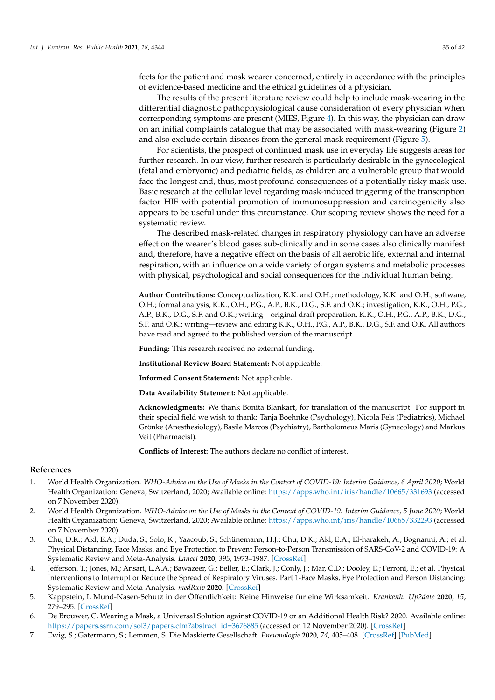fects for the patient and mask wearer concerned, entirely in accordance with the principles of evidence-based medicine and the ethical guidelines of a physician.

The results of the present literature review could help to include mask-wearing in the differential diagnostic pathophysiological cause consideration of every physician when corresponding symptoms are present (MIES, Figure [4\)](#page-28-0). In this way, the physician can draw on an initial complaints catalogue that may be associated with mask-wearing (Figure [2\)](#page-3-0) and also exclude certain diseases from the general mask requirement (Figure [5\)](#page-33-0).

For scientists, the prospect of continued mask use in everyday life suggests areas for further research. In our view, further research is particularly desirable in the gynecological (fetal and embryonic) and pediatric fields, as children are a vulnerable group that would face the longest and, thus, most profound consequences of a potentially risky mask use. Basic research at the cellular level regarding mask-induced triggering of the transcription factor HIF with potential promotion of immunosuppression and carcinogenicity also appears to be useful under this circumstance. Our scoping review shows the need for a systematic review.

The described mask-related changes in respiratory physiology can have an adverse effect on the wearer's blood gases sub-clinically and in some cases also clinically manifest and, therefore, have a negative effect on the basis of all aerobic life, external and internal respiration, with an influence on a wide variety of organ systems and metabolic processes with physical, psychological and social consequences for the individual human being.

**Author Contributions:** Conceptualization, K.K. and O.H.; methodology, K.K. and O.H.; software, O.H.; formal analysis, K.K., O.H., P.G., A.P., B.K., D.G., S.F. and O.K.; investigation, K.K., O.H., P.G., A.P., B.K., D.G., S.F. and O.K.; writing—original draft preparation, K.K., O.H., P.G., A.P., B.K., D.G., S.F. and O.K.; writing—review and editing K.K., O.H., P.G., A.P., B.K., D.G., S.F. and O.K. All authors have read and agreed to the published version of the manuscript.

**Funding:** This research received no external funding.

**Institutional Review Board Statement:** Not applicable.

**Informed Consent Statement:** Not applicable.

**Data Availability Statement:** Not applicable.

**Acknowledgments:** We thank Bonita Blankart, for translation of the manuscript. For support in their special field we wish to thank: Tanja Boehnke (Psychology), Nicola Fels (Pediatrics), Michael Grönke (Anesthesiology), Basile Marcos (Psychiatry), Bartholomeus Maris (Gynecology) and Markus Veit (Pharmacist).

**Conflicts of Interest:** The authors declare no conflict of interest.

#### **References**

- <span id="page-34-0"></span>1. World Health Organization. *WHO-Advice on the Use of Masks in the Context of COVID-19: Interim Guidance, 6 April 2020*; World Health Organization: Geneva, Switzerland, 2020; Available online: https://apps.who.int/iris/handle/10665/331693 (accessed on 7 November 2020).
- <span id="page-34-1"></span>2. World Health Organization. *WHO-Advice on the Use of Masks in the Context of COVID-19: Interim Guidance, 5 June 2020*; World Health Organization: Geneva, Switzerland, 2020; Available online: https://apps.who.int/iris/handle/10665/332293 (accessed on 7 November 2020).
- <span id="page-34-2"></span>3. Chu, D.K.; Akl, E.A.; Duda, S.; Solo, K.; Yaacoub, S.; Schünemann, H.J.; Chu, D.K.; Akl, E.A.; El-harakeh, A.; Bognanni, A.; et al. Physical Distancing, Face Masks, and Eye Protection to Prevent Person-to-Person Transmission of SARS-CoV-2 and COVID-19: A Systematic Review and Meta-Analysis. *Lancet* **2020**, *395*, 1973–1987. [CrossRef]
- <span id="page-34-3"></span>Jefferson, T.; Jones, M.; Ansari, L.A.A.; Bawazeer, G.; Beller, E.; Clark, J.; Conly, J.; Mar, C.D.; Dooley, E.; Ferroni, E.; et al. Physical Interventions to Interrupt or Reduce the Spread of Respiratory Viruses. Part 1-Face Masks, Eye Protection and Person Distancing: Systematic Review and Meta-Analysis. *medRxiv* **2020**. [CrossRef]
- <span id="page-34-4"></span>5. Kappstein, I. Mund-Nasen-Schutz in der Öffentlichkeit: Keine Hinweise für eine Wirksamkeit. *Krankenh. Up2date* **2020**, *15*, 279–295. [CrossRef]
- <span id="page-34-5"></span>6. De Brouwer, C. Wearing a Mask, a Universal Solution against COVID-19 or an Additional Health Risk? 2020. Available online: https://papers.ssrn.com/sol3/papers.cfm?abstract\_id=3676885 (accessed on 12 November 2020). [CrossRef]
- 7. Ewig, S.; Gatermann, S.; Lemmen, S. Die Maskierte Gesellschaft. *Pneumologie* **2020**, *74*, 405–408. [CrossRef] [PubMed]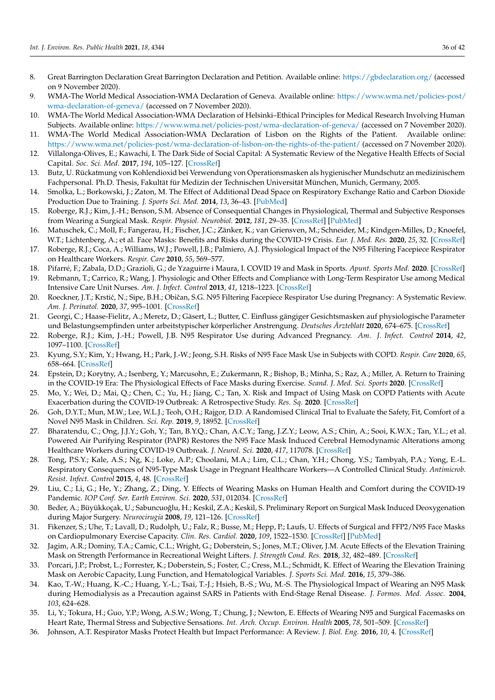- <span id="page-35-0"></span>8. Great Barrington Declaration Great Barrington Declaration and Petition. Available online: https://gbdeclaration.org/ (accessed on 9 November 2020).
- <span id="page-35-1"></span>9. WMA-The World Medical Association-WMA Declaration of Geneva. Available online: https://www.wma.net/policies-post/ wma-declaration-of-geneva/ (accessed on 7 November 2020).
- 10. WMA-The World Medical Association-WMA Declaration of Helsinki–Ethical Principles for Medical Research Involving Human Subjects. Available online: https://www.wma.net/policies-post/wma-declaration-of-geneva/ (accessed on 7 November 2020).
- <span id="page-35-2"></span>11. WMA-The World Medical Association-WMA Declaration of Lisbon on the Rights of the Patient. Available online: https://www.wma.net/policies-post/wma-declaration-of-lisbon-on-the-rights-of-the-patient/ (accessed on 7 November 2020).
- <span id="page-35-3"></span>12. Villalonga-Olives, E.; Kawachi, I. The Dark Side of Social Capital: A Systematic Review of the Negative Health Effects of Social Capital. *Soc. Sci. Med.* **2017**, *194*, 105–127. [CrossRef]
- <span id="page-35-4"></span>13. Butz, U. Rückatmung von Kohlendioxid bei Verwendung von Operationsmasken als hygienischer Mundschutz an medizinischem Fachpersonal. Ph.D. Thesis, Fakultät für Medizin der Technischen Universität München, Munich, Germany, 2005.
- <span id="page-35-5"></span>14. Smolka, L.; Borkowski, J.; Zaton, M. The Effect of Additional Dead Space on Respiratory Exchange Ratio and Carbon Dioxide Production Due to Training. *J. Sports Sci. Med.* **2014**, *13*, 36–43. [PubMed]
- <span id="page-35-6"></span>15. Roberge, R.J.; Kim, J.-H.; Benson, S.M. Absence of Consequential Changes in Physiological, Thermal and Subjective Responses from Wearing a Surgical Mask. *Respir. Physiol. Neurobiol.* **2012**, *181*, 29–35. [CrossRef] [PubMed]
- <span id="page-35-24"></span>16. Matuschek, C.; Moll, F.; Fangerau, H.; Fischer, J.C.; Zänker, K.; van Griensven, M.; Schneider, M.; Kindgen-Milles, D.; Knoefel, W.T.; Lichtenberg, A.; et al. Face Masks: Benefits and Risks during the COVID-19 Crisis. *Eur. J. Med. Res.* **2020**, *25*, 32. [CrossRef]
- <span id="page-35-7"></span>17. Roberge, R.J.; Coca, A.; Williams, W.J.; Powell, J.B.; Palmiero, A.J. Physiological Impact of the N95 Filtering Facepiece Respirator on Healthcare Workers. *Respir. Care* **2010**, *55*, 569–577.
- <span id="page-35-8"></span>18. Pifarré, F.; Zabala, D.D.; Grazioli, G.; de Yzaguirre i Maura, I. COVID 19 and Mask in Sports. *Apunt. Sports Med.* **2020**. [CrossRef]
- <span id="page-35-9"></span>19. Rebmann, T.; Carrico, R.; Wang, J. Physiologic and Other Effects and Compliance with Long-Term Respirator Use among Medical Intensive Care Unit Nurses. *Am. J. Infect. Control* **2013**, *41*, 1218–1223. [CrossRef]
- <span id="page-35-10"></span>20. Roeckner, J.T.; Krstić, N.; Sipe, B.H.; Običan, S.G. N95 Filtering Facepiece Respirator Use during Pregnancy: A Systematic Review. *Am. J. Perinatol.* **2020**, *37*, 995–1001. [CrossRef]
- <span id="page-35-11"></span>21. Georgi, C.; Haase-Fielitz, A.; Meretz, D.; Gäsert, L.; Butter, C. Einfluss gängiger Gesichtsmasken auf physiologische Parameter und Belastungsempfinden unter arbeitstypischer körperlicher Anstrengung. *Deutsches Ärzteblatt* **2020**, 674–675. [CrossRef]
- <span id="page-35-12"></span>22. Roberge, R.J.; Kim, J.-H.; Powell, J.B. N95 Respirator Use during Advanced Pregnancy. *Am. J. Infect. Control* **2014**, *42*, 1097–1100. [CrossRef]
- <span id="page-35-13"></span>23. Kyung, S.Y.; Kim, Y.; Hwang, H.; Park, J.-W.; Jeong, S.H. Risks of N95 Face Mask Use in Subjects with COPD. *Respir. Care* **2020**, *65*, 658–664. [CrossRef]
- <span id="page-35-14"></span>24. Epstein, D.; Korytny, A.; Isenberg, Y.; Marcusohn, E.; Zukermann, R.; Bishop, B.; Minha, S.; Raz, A.; Miller, A. Return to Training in the COVID-19 Era: The Physiological Effects of Face Masks during Exercise. *Scand. J. Med. Sci. Sports* **2020**. [CrossRef]
- <span id="page-35-15"></span>25. Mo, Y.; Wei, D.; Mai, Q.; Chen, C.; Yu, H.; Jiang, C.; Tan, X. Risk and Impact of Using Mask on COPD Patients with Acute Exacerbation during the COVID-19 Outbreak: A Retrospective Study. *Res. Sq.* **2020**. [CrossRef]
- <span id="page-35-27"></span>26. Goh, D.Y.T.; Mun, M.W.; Lee, W.L.J.; Teoh, O.H.; Rajgor, D.D. A Randomised Clinical Trial to Evaluate the Safety, Fit, Comfort of a Novel N95 Mask in Children. *Sci. Rep.* **2019**, *9*, 18952. [CrossRef]
- <span id="page-35-25"></span>27. Bharatendu, C.; Ong, J.J.Y.; Goh, Y.; Tan, B.Y.Q.; Chan, A.C.Y.; Tang, J.Z.Y.; Leow, A.S.; Chin, A.; Sooi, K.W.X.; Tan, Y.L.; et al. Powered Air Purifying Respirator (PAPR) Restores the N95 Face Mask Induced Cerebral Hemodynamic Alterations among Healthcare Workers during COVID-19 Outbreak. *J. Neurol. Sci.* **2020**, *417*, 117078. [CrossRef]
- <span id="page-35-16"></span>28. Tong, P.S.Y.; Kale, A.S.; Ng, K.; Loke, A.P.; Choolani, M.A.; Lim, C.L.; Chan, Y.H.; Chong, Y.S.; Tambyah, P.A.; Yong, E.-L. Respiratory Consequences of N95-Type Mask Usage in Pregnant Healthcare Workers—A Controlled Clinical Study. *Antimicrob. Resist. Infect. Control* **2015**, *4*, 48. [CrossRef]
- <span id="page-35-17"></span>29. Liu, C.; Li, G.; He, Y.; Zhang, Z.; Ding, Y. Effects of Wearing Masks on Human Health and Comfort during the COVID-19 Pandemic. *IOP Conf. Ser. Earth Environ. Sci.* **2020**, *531*, 012034. [CrossRef]
- <span id="page-35-19"></span>30. Beder, A.; Büyükkoçak, U.; Sabuncuoğlu, H.; Keskil, Z.A.; Keskil, S. Preliminary Report on Surgical Mask Induced Deoxygenation during Major Surgery. *Neurocirugía* **2008**, *19*, 121–126. [CrossRef]
- <span id="page-35-23"></span>31. Fikenzer, S.; Uhe, T.; Lavall, D.; Rudolph, U.; Falz, R.; Busse, M.; Hepp, P.; Laufs, U. Effects of Surgical and FFP2/N95 Face Masks on Cardiopulmonary Exercise Capacity. *Clin. Res. Cardiol.* **2020**, *109*, 1522–1530. [CrossRef] [PubMed]
- <span id="page-35-22"></span>32. Jagim, A.R.; Dominy, T.A.; Camic, C.L.; Wright, G.; Doberstein, S.; Jones, M.T.; Oliver, J.M. Acute Effects of the Elevation Training Mask on Strength Performance in Recreational Weight Lifters. *J. Strength Cond. Res.* **2018**, *32*, 482–489. [CrossRef]
- <span id="page-35-26"></span>33. Porcari, J.P.; Probst, L.; Forrester, K.; Doberstein, S.; Foster, C.; Cress, M.L.; Schmidt, K. Effect of Wearing the Elevation Training Mask on Aerobic Capacity, Lung Function, and Hematological Variables. *J. Sports Sci. Med.* **2016**, *15*, 379–386.
- <span id="page-35-18"></span>34. Kao, T.-W.; Huang, K.-C.; Huang, Y.-L.; Tsai, T.-J.; Hsieh, B.-S.; Wu, M.-S. The Physiological Impact of Wearing an N95 Mask during Hemodialysis as a Precaution against SARS in Patients with End-Stage Renal Disease. *J. Formos. Med. Assoc.* **2004**, *103*, 624–628.
- <span id="page-35-20"></span>35. Li, Y.; Tokura, H.; Guo, Y.P.; Wong, A.S.W.; Wong, T.; Chung, J.; Newton, E. Effects of Wearing N95 and Surgical Facemasks on Heart Rate, Thermal Stress and Subjective Sensations. *Int. Arch. Occup. Environ. Health* **2005**, *78*, 501–509. [CrossRef]
- <span id="page-35-21"></span>36. Johnson, A.T. Respirator Masks Protect Health but Impact Performance: A Review. *J. Biol. Eng.* **2016**, *10*, 4. [CrossRef]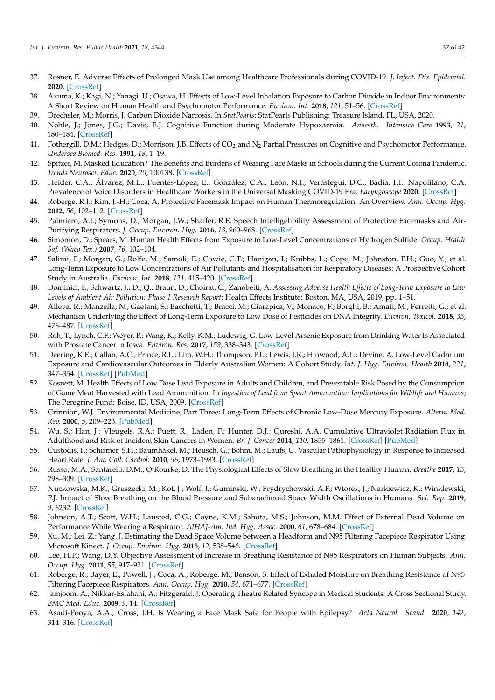- <span id="page-36-3"></span>37. Rosner, E. Adverse Effects of Prolonged Mask Use among Healthcare Professionals during COVID-19. *J. Infect. Dis. Epidemiol.* **2020**. [CrossRef]
- <span id="page-36-1"></span>38. Azuma, K.; Kagi, N.; Yanagi, U.; Osawa, H. Effects of Low-Level Inhalation Exposure to Carbon Dioxide in Indoor Environments: A Short Review on Human Health and Psychomotor Performance. *Environ. Int.* **2018**, *121*, 51–56. [CrossRef]
- <span id="page-36-0"></span>39. Drechsler, M.; Morris, J. Carbon Dioxide Narcosis. In *StatPearls*; StatPearls Publishing: Treasure Island, FL, USA, 2020.
- 40. Noble, J.; Jones, J.G.; Davis, E.J. Cognitive Function during Moderate Hypoxaemia. *Anaesth. Intensive Care* **1993**, *21*, 180–184. [CrossRef]
- <span id="page-36-2"></span>41. Fothergill, D.M.; Hedges, D.; Morrison, J.B. Effects of CO<sub>2</sub> and N<sub>2</sub> Partial Pressures on Cognitive and Psychomotor Performance. *Undersea Biomed. Res.* **1991**, *18*, 1–19.
- <span id="page-36-4"></span>42. Spitzer, M. Masked Education? The Benefits and Burdens of Wearing Face Masks in Schools during the Current Corona Pandemic. *Trends Neurosci. Educ.* **2020**, *20*, 100138. [CrossRef]
- <span id="page-36-25"></span>43. Heider, C.A.; Álvarez, M.L.; Fuentes-López, E.; González, C.A.; León, N.I.; Verástegui, D.C.; Badía, P.I.; Napolitano, C.A. Prevalence of Voice Disorders in Healthcare Workers in the Universal Masking COVID-19 Era. *Laryngoscope* **2020**. [CrossRef]
- <span id="page-36-24"></span>44. Roberge, R.J.; Kim, J.-H.; Coca, A. Protective Facemask Impact on Human Thermoregulation: An Overview. *Ann. Occup. Hyg.* **2012**, *56*, 102–112. [CrossRef]
- <span id="page-36-5"></span>45. Palmiero, A.J.; Symons, D.; Morgan, J.W.; Shaffer, R.E. Speech Intelligelibility Assessment of Protective Facemasks and Air-Purifying Respirators. *J. Occup. Environ. Hyg.* **2016**, *13*, 960–968. [CrossRef]
- <span id="page-36-6"></span>46. Simonton, D.; Spears, M. Human Health Effects from Exposure to Low-Level Concentrations of Hydrogen Sulfide. *Occup. Health Saf. (Waco Tex.)* **2007**, *76*, 102–104.
- <span id="page-36-7"></span>47. Salimi, F.; Morgan, G.; Rolfe, M.; Samoli, E.; Cowie, C.T.; Hanigan, I.; Knibbs, L.; Cope, M.; Johnston, F.H.; Guo, Y.; et al. Long-Term Exposure to Low Concentrations of Air Pollutants and Hospitalisation for Respiratory Diseases: A Prospective Cohort Study in Australia. *Environ. Int.* **2018**, *121*, 415–420. [CrossRef]
- <span id="page-36-8"></span>48. Dominici, F.; Schwartz, J.; Di, Q.; Braun, D.; Choirat, C.; Zanobetti, A. *Assessing Adverse Health Effects of Long-Term Exposure to Low Levels of Ambient Air Pollution: Phase 1 Research Report*; Health Effects Institute: Boston, MA, USA, 2019; pp. 1–51.
- <span id="page-36-9"></span>49. Alleva, R.; Manzella, N.; Gaetani, S.; Bacchetti, T.; Bracci, M.; Ciarapica, V.; Monaco, F.; Borghi, B.; Amati, M.; Ferretti, G.; et al. Mechanism Underlying the Effect of Long-Term Exposure to Low Dose of Pesticides on DNA Integrity. *Environ. Toxicol.* **2018**, *33*, 476–487. [CrossRef]
- <span id="page-36-10"></span>50. Roh, T.; Lynch, C.F.; Weyer, P.; Wang, K.; Kelly, K.M.; Ludewig, G. Low-Level Arsenic Exposure from Drinking Water Is Associated with Prostate Cancer in Iowa. *Environ. Res.* **2017**, *159*, 338–343. [CrossRef]
- <span id="page-36-11"></span>51. Deering, K.E.; Callan, A.C.; Prince, R.L.; Lim, W.H.; Thompson, P.L.; Lewis, J.R.; Hinwood, A.L.; Devine, A. Low-Level Cadmium Exposure and Cardiovascular Outcomes in Elderly Australian Women: A Cohort Study. *Int. J. Hyg. Environ. Health* **2018**, *221*, 347–354. [CrossRef] [PubMed]
- <span id="page-36-12"></span>52. Kosnett, M. Health Effects of Low Dose Lead Exposure in Adults and Children, and Preventable Risk Posed by the Consumption of Game Meat Harvested with Lead Ammunition. In *Ingestion of Lead from Spent Ammunition: Implications for Wildlife and Humans*; The Peregrine Fund: Boise, ID, USA, 2009. [CrossRef]
- <span id="page-36-13"></span>53. Crinnion, W.J. Environmental Medicine, Part Three: Long-Term Effects of Chronic Low-Dose Mercury Exposure. *Altern. Med. Rev.* **2000**, *5*, 209–223. [PubMed]
- <span id="page-36-14"></span>54. Wu, S.; Han, J.; Vleugels, R.A.; Puett, R.; Laden, F.; Hunter, D.J.; Qureshi, A.A. Cumulative Ultraviolet Radiation Flux in Adulthood and Risk of Incident Skin Cancers in Women. *Br. J. Cancer* **2014**, *110*, 1855–1861. [CrossRef] [PubMed]
- <span id="page-36-15"></span>55. Custodis, F.; Schirmer, S.H.; Baumhäkel, M.; Heusch, G.; Böhm, M.; Laufs, U. Vascular Pathophysiology in Response to Increased Heart Rate. *J. Am. Coll. Cardiol.* **2010**, *56*, 1973–1983. [CrossRef]
- <span id="page-36-16"></span>56. Russo, M.A.; Santarelli, D.M.; O'Rourke, D. The Physiological Effects of Slow Breathing in the Healthy Human. *Breathe* **2017**, *13*, 298–309. [CrossRef]
- <span id="page-36-17"></span>57. Nuckowska, M.K.; Gruszecki, M.; Kot, J.; Wolf, J.; Guminski, W.; Frydrychowski, A.F.; Wtorek, J.; Narkiewicz, K.; Winklewski, P.J. Impact of Slow Breathing on the Blood Pressure and Subarachnoid Space Width Oscillations in Humans. *Sci. Rep.* **2019**, *9*, 6232. [CrossRef]
- <span id="page-36-18"></span>58. Johnson, A.T.; Scott, W.H.; Lausted, C.G.; Coyne, K.M.; Sahota, M.S.; Johnson, M.M. Effect of External Dead Volume on Performance While Wearing a Respirator. *AIHAJ-Am. Ind. Hyg. Assoc.* **2000**, *61*, 678–684. [CrossRef]
- <span id="page-36-19"></span>59. Xu, M.; Lei, Z.; Yang, J. Estimating the Dead Space Volume between a Headform and N95 Filtering Facepiece Respirator Using Microsoft Kinect. *J. Occup. Environ. Hyg.* **2015**, *12*, 538–546. [CrossRef]
- <span id="page-36-20"></span>60. Lee, H.P.; Wang, D.Y. Objective Assessment of Increase in Breathing Resistance of N95 Respirators on Human Subjects. *Ann. Occup. Hyg.* **2011**, *55*, 917–921. [CrossRef]
- <span id="page-36-21"></span>61. Roberge, R.; Bayer, E.; Powell, J.; Coca, A.; Roberge, M.; Benson, S. Effect of Exhaled Moisture on Breathing Resistance of N95 Filtering Facepiece Respirators. *Ann. Occup. Hyg.* **2010**, *54*, 671–677. [CrossRef]
- <span id="page-36-22"></span>62. Jamjoom, A.; Nikkar-Esfahani, A.; Fitzgerald, J. Operating Theatre Related Syncope in Medical Students: A Cross Sectional Study. *BMC Med. Educ.* **2009**, *9*, 14. [CrossRef]
- <span id="page-36-23"></span>63. Asadi-Pooya, A.A.; Cross, J.H. Is Wearing a Face Mask Safe for People with Epilepsy? *Acta Neurol. Scand.* **2020**, *142*, 314–316. [CrossRef]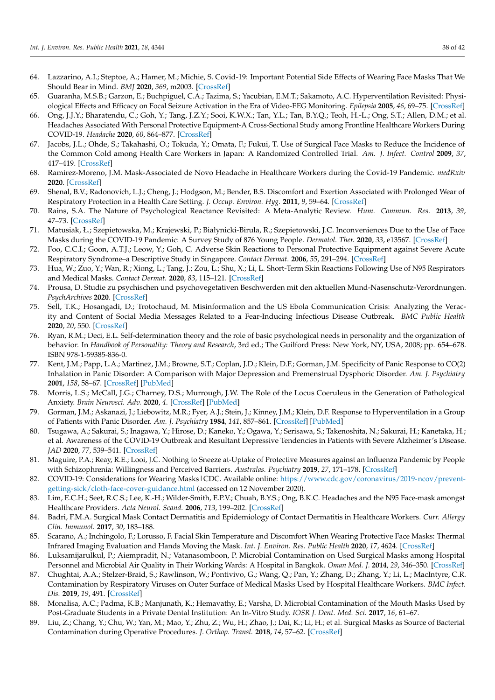- <span id="page-37-0"></span>64. Lazzarino, A.I.; Steptoe, A.; Hamer, M.; Michie, S. Covid-19: Important Potential Side Effects of Wearing Face Masks That We Should Bear in Mind. *BMJ* **2020**, *369*, m2003. [CrossRef]
- <span id="page-37-1"></span>65. Guaranha, M.S.B.; Garzon, E.; Buchpiguel, C.A.; Tazima, S.; Yacubian, E.M.T.; Sakamoto, A.C. Hyperventilation Revisited: Physiological Effects and Efficacy on Focal Seizure Activation in the Era of Video-EEG Monitoring. *Epilepsia* **2005**, *46*, 69–75. [CrossRef]
- <span id="page-37-2"></span>66. Ong, J.J.Y.; Bharatendu, C.; Goh, Y.; Tang, J.Z.Y.; Sooi, K.W.X.; Tan, Y.L.; Tan, B.Y.Q.; Teoh, H.-L.; Ong, S.T.; Allen, D.M.; et al. Headaches Associated With Personal Protective Equipment-A Cross-Sectional Study among Frontline Healthcare Workers During COVID-19. *Headache* **2020**, *60*, 864–877. [CrossRef]
- <span id="page-37-3"></span>Jacobs, J.L.; Ohde, S.; Takahashi, O.; Tokuda, Y.; Omata, F.; Fukui, T. Use of Surgical Face Masks to Reduce the Incidence of the Common Cold among Health Care Workers in Japan: A Randomized Controlled Trial. *Am. J. Infect. Control* **2009**, *37*, 417–419. [CrossRef]
- <span id="page-37-4"></span>68. Ramirez-Moreno, J.M. Mask-Associated de Novo Headache in Healthcare Workers during the Covid-19 Pandemic. *medRxiv* **2020**. [CrossRef]
- <span id="page-37-5"></span>69. Shenal, B.V.; Radonovich, L.J.; Cheng, J.; Hodgson, M.; Bender, B.S. Discomfort and Exertion Associated with Prolonged Wear of Respiratory Protection in a Health Care Setting. *J. Occup. Environ. Hyg.* **2011**, *9*, 59–64. [CrossRef]
- <span id="page-37-6"></span>70. Rains, S.A. The Nature of Psychological Reactance Revisited: A Meta-Analytic Review. *Hum. Commun. Res.* **2013**, *39*, 47–73. [CrossRef]
- <span id="page-37-7"></span>71. Matusiak, Ł.; Szepietowska, M.; Krajewski, P.; Białynicki-Birula, R.; Szepietowski, J.C. Inconveniences Due to the Use of Face Masks during the COVID-19 Pandemic: A Survey Study of 876 Young People. *Dermatol. Ther.* **2020**, *33*, e13567. [CrossRef]
- <span id="page-37-23"></span>72. Foo, C.C.I.; Goon, A.T.J.; Leow, Y.; Goh, C. Adverse Skin Reactions to Personal Protective Equipment against Severe Acute Respiratory Syndrome–a Descriptive Study in Singapore. *Contact Dermat.* **2006**, *55*, 291–294. [CrossRef]
- <span id="page-37-8"></span>73. Hua, W.; Zuo, Y.; Wan, R.; Xiong, L.; Tang, J.; Zou, L.; Shu, X.; Li, L. Short-Term Skin Reactions Following Use of N95 Respirators and Medical Masks. *Contact Dermat.* **2020**, *83*, 115–121. [CrossRef]
- <span id="page-37-9"></span>74. Prousa, D. Studie zu psychischen und psychovegetativen Beschwerden mit den aktuellen Mund-Nasenschutz-Verordnungen. *PsychArchives* **2020**. [CrossRef]
- <span id="page-37-10"></span>75. Sell, T.K.; Hosangadi, D.; Trotochaud, M. Misinformation and the US Ebola Communication Crisis: Analyzing the Veracity and Content of Social Media Messages Related to a Fear-Inducing Infectious Disease Outbreak. *BMC Public Health* **2020**, *20*, 550. [CrossRef]
- <span id="page-37-11"></span>76. Ryan, R.M.; Deci, E.L. Self-determination theory and the role of basic psychological needs in personality and the organization of behavior. In *Handbook of Personality: Theory and Research*, 3rd ed.; The Guilford Press: New York, NY, USA, 2008; pp. 654–678. ISBN 978-1-59385-836-0.
- <span id="page-37-12"></span>77. Kent, J.M.; Papp, L.A.; Martinez, J.M.; Browne, S.T.; Coplan, J.D.; Klein, D.F.; Gorman, J.M. Specificity of Panic Response to CO(2) Inhalation in Panic Disorder: A Comparison with Major Depression and Premenstrual Dysphoric Disorder. *Am. J. Psychiatry* **2001**, *158*, 58–67. [CrossRef] [PubMed]
- <span id="page-37-13"></span>78. Morris, L.S.; McCall, J.G.; Charney, D.S.; Murrough, J.W. The Role of the Locus Coeruleus in the Generation of Pathological Anxiety. *Brain Neurosci. Adv.* **2020**, *4*. [CrossRef] [PubMed]
- <span id="page-37-14"></span>79. Gorman, J.M.; Askanazi, J.; Liebowitz, M.R.; Fyer, A.J.; Stein, J.; Kinney, J.M.; Klein, D.F. Response to Hyperventilation in a Group of Patients with Panic Disorder. *Am. J. Psychiatry* **1984**, *141*, 857–861. [CrossRef] [PubMed]
- <span id="page-37-15"></span>80. Tsugawa, A.; Sakurai, S.; Inagawa, Y.; Hirose, D.; Kaneko, Y.; Ogawa, Y.; Serisawa, S.; Takenoshita, N.; Sakurai, H.; Kanetaka, H.; et al. Awareness of the COVID-19 Outbreak and Resultant Depressive Tendencies in Patients with Severe Alzheimer's Disease. *JAD* **2020**, *77*, 539–541. [CrossRef]
- <span id="page-37-16"></span>81. Maguire, P.A.; Reay, R.E.; Looi, J.C. Nothing to Sneeze at-Uptake of Protective Measures against an Influenza Pandemic by People with Schizophrenia: Willingness and Perceived Barriers. *Australas. Psychiatry* **2019**, *27*, 171–178. [CrossRef]
- <span id="page-37-17"></span>82. COVID-19: Considerations for Wearing Masks | CDC. Available online: https://www.cdc.gov/coronavirus/2019-ncov/preventgetting-sick/cloth-face-cover-guidance.html (accessed on 12 November 2020).
- <span id="page-37-18"></span>83. Lim, E.C.H.; Seet, R.C.S.; Lee, K.-H.; Wilder-Smith, E.P.V.; Chuah, B.Y.S.; Ong, B.K.C. Headaches and the N95 Face-mask amongst Healthcare Providers. *Acta Neurol. Scand.* **2006**, *113*, 199–202. [CrossRef]
- <span id="page-37-19"></span>84. Badri, F.M.A. Surgical Mask Contact Dermatitis and Epidemiology of Contact Dermatitis in Healthcare Workers. *Curr. Allergy Clin. Immunol.* **2017**, *30*, 183–188.
- <span id="page-37-20"></span>85. Scarano, A.; Inchingolo, F.; Lorusso, F. Facial Skin Temperature and Discomfort When Wearing Protective Face Masks: Thermal Infrared Imaging Evaluation and Hands Moving the Mask. *Int. J. Environ. Res. Public Health* **2020**, *17*, 4624. [CrossRef]
- <span id="page-37-21"></span>86. Luksamijarulkul, P.; Aiempradit, N.; Vatanasomboon, P. Microbial Contamination on Used Surgical Masks among Hospital Personnel and Microbial Air Quality in Their Working Wards: A Hospital in Bangkok. *Oman Med. J.* **2014**, *29*, 346–350. [CrossRef]
- <span id="page-37-25"></span>87. Chughtai, A.A.; Stelzer-Braid, S.; Rawlinson, W.; Pontivivo, G.; Wang, Q.; Pan, Y.; Zhang, D.; Zhang, Y.; Li, L.; MacIntyre, C.R. Contamination by Respiratory Viruses on Outer Surface of Medical Masks Used by Hospital Healthcare Workers. *BMC Infect. Dis.* **2019**, *19*, 491. [CrossRef]
- <span id="page-37-24"></span>88. Monalisa, A.C.; Padma, K.B.; Manjunath, K.; Hemavathy, E.; Varsha, D. Microbial Contamination of the Mouth Masks Used by Post-Graduate Students in a Private Dental Institution: An In-Vitro Study. *IOSR J. Dent. Med. Sci.* **2017**, *16*, 61–67.
- <span id="page-37-22"></span>Liu, Z.; Chang, Y.; Chu, W.; Yan, M.; Mao, Y.; Zhu, Z.; Wu, H.; Zhao, J.; Dai, K.; Li, H.; et al. Surgical Masks as Source of Bacterial Contamination during Operative Procedures. *J. Orthop. Transl.* **2018**, *14*, 57–62. [CrossRef]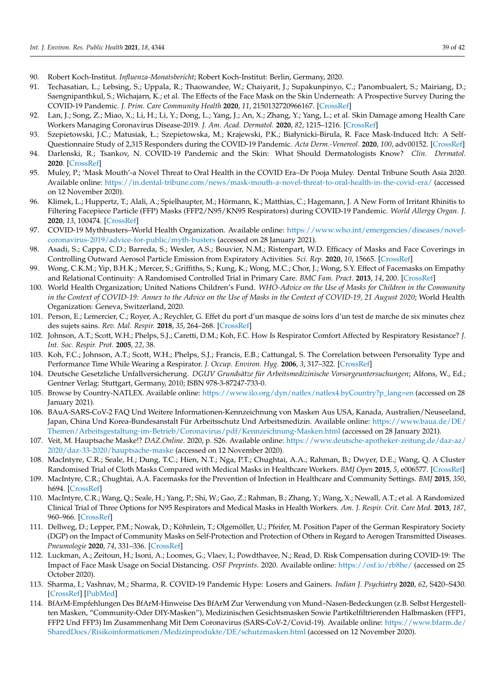- <span id="page-38-0"></span>90. Robert Koch-Institut. *Influenza-Monatsbericht*; Robert Koch-Institut: Berlin, Germany, 2020.
- <span id="page-38-1"></span>91. Techasatian, L.; Lebsing, S.; Uppala, R.; Thaowandee, W.; Chaiyarit, J.; Supakunpinyo, C.; Panombualert, S.; Mairiang, D.; Saengnipanthkul, S.; Wichajarn, K.; et al. The Effects of the Face Mask on the Skin Underneath: A Prospective Survey During the COVID-19 Pandemic. *J. Prim. Care Community Health* **2020**, *11*, 2150132720966167. [CrossRef]
- <span id="page-38-2"></span>92. Lan, J.; Song, Z.; Miao, X.; Li, H.; Li, Y.; Dong, L.; Yang, J.; An, X.; Zhang, Y.; Yang, L.; et al. Skin Damage among Health Care Workers Managing Coronavirus Disease-2019. *J. Am. Acad. Dermatol.* **2020**, *82*, 1215–1216. [CrossRef]
- <span id="page-38-3"></span>93. Szepietowski, J.C.; Matusiak, Ł.; Szepietowska, M.; Krajewski, P.K.; Białynicki-Birula, R. Face Mask-Induced Itch: A Self-Questionnaire Study of 2,315 Responders during the COVID-19 Pandemic. *Acta Derm.-Venereol.* **2020**, *100*, adv00152. [CrossRef]
- <span id="page-38-4"></span>94. Darlenski, R.; Tsankov, N. COVID-19 Pandemic and the Skin: What Should Dermatologists Know? *Clin. Dermatol.* **2020**. [CrossRef]
- <span id="page-38-5"></span>95. Muley, P.; 'Mask Mouth'-a Novel Threat to Oral Health in the COVID Era–Dr Pooja Muley. Dental Tribune South Asia 2020. Available online: https://in.dental-tribune.com/news/mask-mouth-a-novel-threat-to-oral-health-in-the-covid-era/ (accessed on 12 November 2020).
- <span id="page-38-6"></span>96. Klimek, L.; Huppertz, T.; Alali, A.; Spielhaupter, M.; Hörmann, K.; Matthias, C.; Hagemann, J. A New Form of Irritant Rhinitis to Filtering Facepiece Particle (FFP) Masks (FFP2/N95/KN95 Respirators) during COVID-19 Pandemic. *World Allergy Organ. J.* **2020**, *13*, 100474. [CrossRef]
- <span id="page-38-7"></span>97. COVID-19 Mythbusters–World Health Organization. Available online: https://www.who.int/emergencies/diseases/novelcoronavirus-2019/advice-for-public/myth-busters (accessed on 28 January 2021).
- <span id="page-38-8"></span>98. Asadi, S.; Cappa, C.D.; Barreda, S.; Wexler, A.S.; Bouvier, N.M.; Ristenpart, W.D. Efficacy of Masks and Face Coverings in Controlling Outward Aerosol Particle Emission from Expiratory Activities. *Sci. Rep.* **2020**, *10*, 15665. [CrossRef]
- <span id="page-38-9"></span>99. Wong, C.K.M.; Yip, B.H.K.; Mercer, S.; Griffiths, S.; Kung, K.; Wong, M.C.; Chor, J.; Wong, S.Y. Effect of Facemasks on Empathy and Relational Continuity: A Randomised Controlled Trial in Primary Care. *BMC Fam. Pract.* **2013**, *14*, 200. [CrossRef]
- <span id="page-38-10"></span>100. World Health Organization; United Nations Children's Fund. *WHO-Advice on the Use of Masks for Children in the Community in the Context of COVID-19: Annex to the Advice on the Use of Masks in the Context of COVID-19, 21 August 2020*; World Health Organization: Geneva, Switzerland, 2020.
- <span id="page-38-11"></span>101. Person, E.; Lemercier, C.; Royer, A.; Reychler, G. Effet du port d'un masque de soins lors d'un test de marche de six minutes chez des sujets sains. *Rev. Mal. Respir.* **2018**, *35*, 264–268. [CrossRef]
- <span id="page-38-12"></span>102. Johnson, A.T.; Scott, W.H.; Phelps, S.J.; Caretti, D.M.; Koh, F.C. How Is Respirator Comfort Affected by Respiratory Resistance? *J. Int. Soc. Respir. Prot.* **2005**, *22*, 38.
- <span id="page-38-13"></span>103. Koh, F.C.; Johnson, A.T.; Scott, W.H.; Phelps, S.J.; Francis, E.B.; Cattungal, S. The Correlation between Personality Type and Performance Time While Wearing a Respirator. *J. Occup. Environ. Hyg.* **2006**, *3*, 317–322. [CrossRef]
- <span id="page-38-14"></span>104. Deutsche Gesetzliche Unfallversicherung. *DGUV Grundsätze für Arbeitsmedizinische Vorsorgeuntersuchungen*; Alfons, W., Ed.; Gentner Verlag: Stuttgart, Germany, 2010; ISBN 978-3-87247-733-0.
- <span id="page-38-15"></span>105. Browse by Country-NATLEX. Available online: https://www.ilo.org/dyn/natlex/natlex4.byCountry?p\_lang=en (accessed on 28 January 2021).
- <span id="page-38-16"></span>106. BAuA-SARS-CoV-2 FAQ Und Weitere Informationen-Kennzeichnung von Masken Aus USA, Kanada, Australien/Neuseeland, Japan, China Und Korea-Bundesanstalt Für Arbeitsschutz Und Arbeitsmedizin. Available online: https://www.baua.de/DE/ Themen/Arbeitsgestaltung-im-Betrieb/Coronavirus/pdf/Kennzeichnung-Masken.html (accessed on 28 January 2021).
- <span id="page-38-17"></span>107. Veit, M. Hauptsache Maske!? *DAZ.Online*. 2020, p. S26. Available online: https://www.deutsche-apotheker-zeitung.de/daz-az/ 2020/daz-33-2020/hauptsache-maske (accessed on 12 November 2020).
- <span id="page-38-18"></span>108. MacIntyre, C.R.; Seale, H.; Dung, T.C.; Hien, N.T.; Nga, P.T.; Chughtai, A.A.; Rahman, B.; Dwyer, D.E.; Wang, Q. A Cluster Randomised Trial of Cloth Masks Compared with Medical Masks in Healthcare Workers. *BMJ Open* **2015**, *5*, e006577. [CrossRef]
- <span id="page-38-24"></span>109. MacIntyre, C.R.; Chughtai, A.A. Facemasks for the Prevention of Infection in Healthcare and Community Settings. *BMJ* **2015**, *350*, h694. [CrossRef]
- <span id="page-38-19"></span>110. MacIntyre, C.R.; Wang, Q.; Seale, H.; Yang, P.; Shi, W.; Gao, Z.; Rahman, B.; Zhang, Y.; Wang, X.; Newall, A.T.; et al. A Randomized Clinical Trial of Three Options for N95 Respirators and Medical Masks in Health Workers. *Am. J. Respir. Crit. Care Med.* **2013**, *187*, 960–966. [CrossRef]
- <span id="page-38-20"></span>111. Dellweg, D.; Lepper, P.M.; Nowak, D.; Köhnlein, T.; Olgemöller, U.; Pfeifer, M. Position Paper of the German Respiratory Society (DGP) on the Impact of Community Masks on Self-Protection and Protection of Others in Regard to Aerogen Transmitted Diseases. *Pneumologie* **2020**, *74*, 331–336. [CrossRef]
- <span id="page-38-21"></span>112. Luckman, A.; Zeitoun, H.; Isoni, A.; Loomes, G.; Vlaev, I.; Powdthavee, N.; Read, D. Risk Compensation during COVID-19: The Impact of Face Mask Usage on Social Distancing. *OSF Preprints*. 2020. Available online: https://osf.io/rb8he/ (accessed on 25 October 2020).
- <span id="page-38-22"></span>113. Sharma, I.; Vashnav, M.; Sharma, R. COVID-19 Pandemic Hype: Losers and Gainers. *Indian J. Psychiatry* **2020**, *62*, S420–S430. [CrossRef] [PubMed]
- <span id="page-38-23"></span>114. BfArM-Empfehlungen Des BfArM-Hinweise Des BfArM Zur Verwendung von Mund–Nasen-Bedeckungen (z.B. Selbst Hergestellten Masken, "Community-Oder DIY-Masken"), Medizinischen Gesichtsmasken Sowie Partikelfiltrierenden Halbmasken (FFP1, FFP2 Und FFP3) Im Zusammenhang Mit Dem Coronavirus (SARS-CoV-2/Covid-19). Available online: https://www.bfarm.de/ SharedDocs/Risikoinformationen/Medizinprodukte/DE/schutzmasken.html (accessed on 12 November 2020).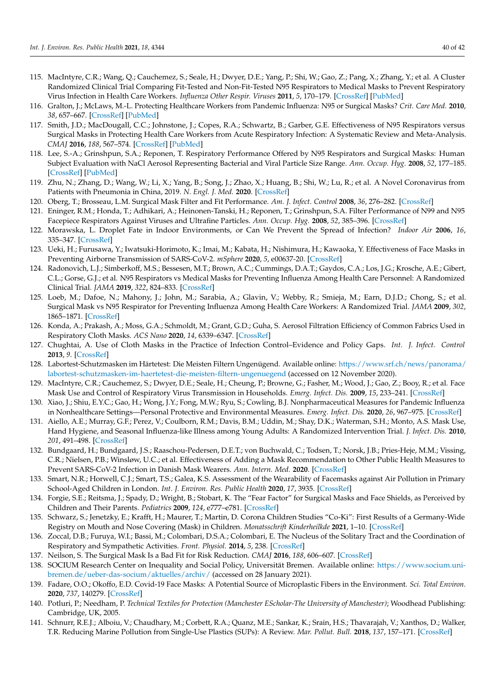- <span id="page-39-0"></span>115. MacIntyre, C.R.; Wang, Q.; Cauchemez, S.; Seale, H.; Dwyer, D.E.; Yang, P.; Shi, W.; Gao, Z.; Pang, X.; Zhang, Y.; et al. A Cluster Randomized Clinical Trial Comparing Fit-Tested and Non-Fit-Tested N95 Respirators to Medical Masks to Prevent Respiratory Virus Infection in Health Care Workers. *Influenza Other Respir. Viruses* **2011**, *5*, 170–179. [CrossRef] [PubMed]
- <span id="page-39-1"></span>116. Gralton, J.; McLaws, M.-L. Protecting Healthcare Workers from Pandemic Influenza: N95 or Surgical Masks? *Crit. Care Med.* **2010**, *38*, 657–667. [CrossRef] [PubMed]
- <span id="page-39-2"></span>117. Smith, J.D.; MacDougall, C.C.; Johnstone, J.; Copes, R.A.; Schwartz, B.; Garber, G.E. Effectiveness of N95 Respirators versus Surgical Masks in Protecting Health Care Workers from Acute Respiratory Infection: A Systematic Review and Meta-Analysis. *CMAJ* **2016**, *188*, 567–574. [CrossRef] [PubMed]
- <span id="page-39-3"></span>118. Lee, S.-A.; Grinshpun, S.A.; Reponen, T. Respiratory Performance Offered by N95 Respirators and Surgical Masks: Human Subject Evaluation with NaCl Aerosol Representing Bacterial and Viral Particle Size Range. *Ann. Occup. Hyg.* **2008**, *52*, 177–185. [CrossRef] [PubMed]
- <span id="page-39-4"></span>119. Zhu, N.; Zhang, D.; Wang, W.; Li, X.; Yang, B.; Song, J.; Zhao, X.; Huang, B.; Shi, W.; Lu, R.; et al. A Novel Coronavirus from Patients with Pneumonia in China, 2019. *N. Engl. J. Med.* **2020**. [CrossRef]
- <span id="page-39-5"></span>120. Oberg, T.; Brosseau, L.M. Surgical Mask Filter and Fit Performance. *Am. J. Infect. Control* **2008**, *36*, 276–282. [CrossRef]
- <span id="page-39-6"></span>121. Eninger, R.M.; Honda, T.; Adhikari, A.; Heinonen-Tanski, H.; Reponen, T.; Grinshpun, S.A. Filter Performance of N99 and N95 Facepiece Respirators Against Viruses and Ultrafine Particles. *Ann. Occup. Hyg.* **2008**, *52*, 385–396. [CrossRef]
- <span id="page-39-7"></span>122. Morawska, L. Droplet Fate in Indoor Environments, or Can We Prevent the Spread of Infection? *Indoor Air* **2006**, *16*, 335–347. [CrossRef]
- <span id="page-39-8"></span>123. Ueki, H.; Furusawa, Y.; Iwatsuki-Horimoto, K.; Imai, M.; Kabata, H.; Nishimura, H.; Kawaoka, Y. Effectiveness of Face Masks in Preventing Airborne Transmission of SARS-CoV-2. *mSphere* **2020**, *5*, e00637-20. [CrossRef]
- <span id="page-39-9"></span>124. Radonovich, L.J.; Simberkoff, M.S.; Bessesen, M.T.; Brown, A.C.; Cummings, D.A.T.; Gaydos, C.A.; Los, J.G.; Krosche, A.E.; Gibert, C.L.; Gorse, G.J.; et al. N95 Respirators vs Medical Masks for Preventing Influenza Among Health Care Personnel: A Randomized Clinical Trial. *JAMA* **2019**, *322*, 824–833. [CrossRef]
- <span id="page-39-10"></span>125. Loeb, M.; Dafoe, N.; Mahony, J.; John, M.; Sarabia, A.; Glavin, V.; Webby, R.; Smieja, M.; Earn, D.J.D.; Chong, S.; et al. Surgical Mask vs N95 Respirator for Preventing Influenza Among Health Care Workers: A Randomized Trial. *JAMA* **2009**, *302*, 1865–1871. [CrossRef]
- <span id="page-39-11"></span>126. Konda, A.; Prakash, A.; Moss, G.A.; Schmoldt, M.; Grant, G.D.; Guha, S. Aerosol Filtration Efficiency of Common Fabrics Used in Respiratory Cloth Masks. *ACS Nano* **2020**, *14*, 6339–6347. [CrossRef]
- <span id="page-39-12"></span>127. Chughtai, A. Use of Cloth Masks in the Practice of Infection Control–Evidence and Policy Gaps. *Int. J. Infect. Control* **2013**, *9*. [CrossRef]
- <span id="page-39-13"></span>128. Labortest-Schutzmasken im Härtetest: Die Meisten Filtern Ungenügend. Available online: https://www.srf.ch/news/panorama/ labortest-schutzmasken-im-haertetest-die-meisten-filtern-ungenuegend (accessed on 12 November 2020).
- <span id="page-39-14"></span>129. MacIntyre, C.R.; Cauchemez, S.; Dwyer, D.E.; Seale, H.; Cheung, P.; Browne, G.; Fasher, M.; Wood, J.; Gao, Z.; Booy, R.; et al. Face Mask Use and Control of Respiratory Virus Transmission in Households. *Emerg. Infect. Dis.* **2009**, *15*, 233–241. [CrossRef]
- <span id="page-39-15"></span>130. Xiao, J.; Shiu, E.Y.C.; Gao, H.; Wong, J.Y.; Fong, M.W.; Ryu, S.; Cowling, B.J. Nonpharmaceutical Measures for Pandemic Influenza in Nonhealthcare Settings—Personal Protective and Environmental Measures. *Emerg. Infect. Dis.* **2020**, *26*, 967–975. [CrossRef]
- <span id="page-39-16"></span>131. Aiello, A.E.; Murray, G.F.; Perez, V.; Coulborn, R.M.; Davis, B.M.; Uddin, M.; Shay, D.K.; Waterman, S.H.; Monto, A.S. Mask Use, Hand Hygiene, and Seasonal Influenza-like Illness among Young Adults: A Randomized Intervention Trial. *J. Infect. Dis.* **2010**, *201*, 491–498. [CrossRef]
- <span id="page-39-17"></span>132. Bundgaard, H.; Bundgaard, J.S.; Raaschou-Pedersen, D.E.T.; von Buchwald, C.; Todsen, T.; Norsk, J.B.; Pries-Heje, M.M.; Vissing, C.R.; Nielsen, P.B.; Winsløw, U.C.; et al. Effectiveness of Adding a Mask Recommendation to Other Public Health Measures to Prevent SARS-CoV-2 Infection in Danish Mask Wearers. *Ann. Intern. Med.* **2020**. [CrossRef]
- <span id="page-39-18"></span>133. Smart, N.R.; Horwell, C.J.; Smart, T.S.; Galea, K.S. Assessment of the Wearability of Facemasks against Air Pollution in Primary School-Aged Children in London. *Int. J. Environ. Res. Public Health* **2020**, *17*, 3935. [CrossRef]
- <span id="page-39-19"></span>134. Forgie, S.E.; Reitsma, J.; Spady, D.; Wright, B.; Stobart, K. The "Fear Factor" for Surgical Masks and Face Shields, as Perceived by Children and Their Parents. *Pediatrics* **2009**, *124*, e777–e781. [CrossRef]
- <span id="page-39-20"></span>135. Schwarz, S.; Jenetzky, E.; Krafft, H.; Maurer, T.; Martin, D. Corona Children Studies "Co-Ki": First Results of a Germany-Wide Registry on Mouth and Nose Covering (Mask) in Children. *Monatsschrift Kinderheilkde* **2021**, 1–10. [CrossRef]
- <span id="page-39-21"></span>136. Zoccal, D.B.; Furuya, W.I.; Bassi, M.; Colombari, D.S.A.; Colombari, E. The Nucleus of the Solitary Tract and the Coordination of Respiratory and Sympathetic Activities. *Front. Physiol.* **2014**, *5*, 238. [CrossRef]
- <span id="page-39-22"></span>137. Neilson, S. The Surgical Mask Is a Bad Fit for Risk Reduction. *CMAJ* **2016**, *188*, 606–607. [CrossRef]
- <span id="page-39-23"></span>138. SOCIUM Research Center on Inequality and Social Policy, Universität Bremen. Available online: https://www.socium.unibremen.de/ueber-das-socium/aktuelles/archiv/ (accessed on 28 January 2021).
- <span id="page-39-24"></span>139. Fadare, O.O.; Okoffo, E.D. Covid-19 Face Masks: A Potential Source of Microplastic Fibers in the Environment. *Sci. Total Environ.* **2020**, *737*, 140279. [CrossRef]
- <span id="page-39-25"></span>140. Potluri, P.; Needham, P. *Technical Textiles for Protection (Manchester EScholar-The University of Manchester)*; Woodhead Publishing: Cambridge, UK, 2005.
- <span id="page-39-26"></span>141. Schnurr, R.E.J.; Alboiu, V.; Chaudhary, M.; Corbett, R.A.; Quanz, M.E.; Sankar, K.; Srain, H.S.; Thavarajah, V.; Xanthos, D.; Walker, T.R. Reducing Marine Pollution from Single-Use Plastics (SUPs): A Review. *Mar. Pollut. Bull.* **2018**, *137*, 157–171. [CrossRef]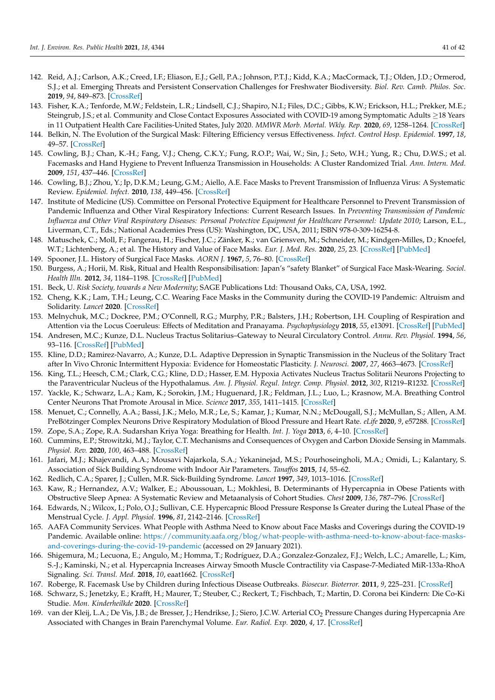- <span id="page-40-0"></span>142. Reid, A.J.; Carlson, A.K.; Creed, I.F.; Eliason, E.J.; Gell, P.A.; Johnson, P.T.J.; Kidd, K.A.; MacCormack, T.J.; Olden, J.D.; Ormerod, S.J.; et al. Emerging Threats and Persistent Conservation Challenges for Freshwater Biodiversity. *Biol. Rev. Camb. Philos. Soc.* **2019**, *94*, 849–873. [CrossRef]
- <span id="page-40-1"></span>143. Fisher, K.A.; Tenforde, M.W.; Feldstein, L.R.; Lindsell, C.J.; Shapiro, N.I.; Files, D.C.; Gibbs, K.W.; Erickson, H.L.; Prekker, M.E.; Steingrub, J.S.; et al. Community and Close Contact Exposures Associated with COVID-19 among Symptomatic Adults ≥18 Years in 11 Outpatient Health Care Facilities-United States, July 2020. *MMWR Morb. Mortal. Wkly. Rep.* **2020**, *69*, 1258–1264. [CrossRef]
- <span id="page-40-2"></span>144. Belkin, N. The Evolution of the Surgical Mask: Filtering Efficiency versus Effectiveness. *Infect. Control Hosp. Epidemiol.* **1997**, *18*, 49–57. [CrossRef]
- <span id="page-40-3"></span>145. Cowling, B.J.; Chan, K.-H.; Fang, V.J.; Cheng, C.K.Y.; Fung, R.O.P.; Wai, W.; Sin, J.; Seto, W.H.; Yung, R.; Chu, D.W.S.; et al. Facemasks and Hand Hygiene to Prevent Influenza Transmission in Households: A Cluster Randomized Trial. *Ann. Intern. Med.* **2009**, *151*, 437–446. [CrossRef]
- <span id="page-40-4"></span>146. Cowling, B.J.; Zhou, Y.; Ip, D.K.M.; Leung, G.M.; Aiello, A.E. Face Masks to Prevent Transmission of Influenza Virus: A Systematic Review. *Epidemiol. Infect.* **2010**, *138*, 449–456. [CrossRef]
- <span id="page-40-5"></span>147. Institute of Medicine (US). Committee on Personal Protective Equipment for Healthcare Personnel to Prevent Transmission of Pandemic Influenza and Other Viral Respiratory Infections: Current Research Issues. In *Preventing Transmission of Pandemic Influenza and Other Viral Respiratory Diseases: Personal Protective Equipment for Healthcare Personnel: Update 2010*; Larson, E.L., Liverman, C.T., Eds.; National Academies Press (US): Washington, DC, USA, 2011; ISBN 978-0-309-16254-8.
- <span id="page-40-6"></span>148. Matuschek, C.; Moll, F.; Fangerau, H.; Fischer, J.C.; Zänker, K.; van Griensven, M.; Schneider, M.; Kindgen-Milles, D.; Knoefel, W.T.; Lichtenberg, A.; et al. The History and Value of Face Masks. *Eur. J. Med. Res.* **2020**, *25*, 23. [CrossRef] [PubMed]
- <span id="page-40-7"></span>149. Spooner, J.L. History of Surgical Face Masks. *AORN J.* **1967**, *5*, 76–80. [CrossRef]
- <span id="page-40-8"></span>150. Burgess, A.; Horii, M. Risk, Ritual and Health Responsibilisation: Japan's "safety Blanket" of Surgical Face Mask-Wearing. *Sociol. Health Illn.* **2012**, *34*, 1184–1198. [CrossRef] [PubMed]
- <span id="page-40-9"></span>151. Beck, U. *Risk Society, towards a New Modernity*; SAGE Publications Ltd: Thousand Oaks, CA, USA, 1992.
- <span id="page-40-10"></span>152. Cheng, K.K.; Lam, T.H.; Leung, C.C. Wearing Face Masks in the Community during the COVID-19 Pandemic: Altruism and Solidarity. *Lancet* **2020**. [CrossRef]
- <span id="page-40-11"></span>153. Melnychuk, M.C.; Dockree, P.M.; O'Connell, R.G.; Murphy, P.R.; Balsters, J.H.; Robertson, I.H. Coupling of Respiration and Attention via the Locus Coeruleus: Effects of Meditation and Pranayama. *Psychophysiology* **2018**, *55*, e13091. [CrossRef] [PubMed]
- <span id="page-40-12"></span>154. Andresen, M.C.; Kunze, D.L. Nucleus Tractus Solitarius–Gateway to Neural Circulatory Control. *Annu. Rev. Physiol.* **1994**, *56*, 93–116. [CrossRef] [PubMed]
- <span id="page-40-13"></span>155. Kline, D.D.; Ramirez-Navarro, A.; Kunze, D.L. Adaptive Depression in Synaptic Transmission in the Nucleus of the Solitary Tract after In Vivo Chronic Intermittent Hypoxia: Evidence for Homeostatic Plasticity. *J. Neurosci.* **2007**, *27*, 4663–4673. [CrossRef]
- <span id="page-40-14"></span>156. King, T.L.; Heesch, C.M.; Clark, C.G.; Kline, D.D.; Hasser, E.M. Hypoxia Activates Nucleus Tractus Solitarii Neurons Projecting to the Paraventricular Nucleus of the Hypothalamus. *Am. J. Physiol. Regul. Integr. Comp. Physiol.* **2012**, *302*, R1219–R1232. [CrossRef]
- <span id="page-40-15"></span>157. Yackle, K.; Schwarz, L.A.; Kam, K.; Sorokin, J.M.; Huguenard, J.R.; Feldman, J.L.; Luo, L.; Krasnow, M.A. Breathing Control Center Neurons That Promote Arousal in Mice. *Science* **2017**, *355*, 1411–1415. [CrossRef]
- <span id="page-40-16"></span>158. Menuet, C.; Connelly, A.A.; Bassi, J.K.; Melo, M.R.; Le, S.; Kamar, J.; Kumar, N.N.; McDougall, S.J.; McMullan, S.; Allen, A.M. PreBötzinger Complex Neurons Drive Respiratory Modulation of Blood Pressure and Heart Rate. *eLife* **2020**, *9*, e57288. [CrossRef]
- <span id="page-40-17"></span>159. Zope, S.A.; Zope, R.A. Sudarshan Kriya Yoga: Breathing for Health. *Int. J. Yoga* **2013**, *6*, 4–10. [CrossRef]
- <span id="page-40-18"></span>160. Cummins, E.P.; Strowitzki, M.J.; Taylor, C.T. Mechanisms and Consequences of Oxygen and Carbon Dioxide Sensing in Mammals. *Physiol. Rev.* **2020**, *100*, 463–488. [CrossRef]
- <span id="page-40-19"></span>161. Jafari, M.J.; Khajevandi, A.A.; Mousavi Najarkola, S.A.; Yekaninejad, M.S.; Pourhoseingholi, M.A.; Omidi, L.; Kalantary, S. Association of Sick Building Syndrome with Indoor Air Parameters. *Tanaffos* **2015**, *14*, 55–62.
- <span id="page-40-20"></span>162. Redlich, C.A.; Sparer, J.; Cullen, M.R. Sick-Building Syndrome. *Lancet* **1997**, *349*, 1013–1016. [CrossRef]
- <span id="page-40-21"></span>163. Kaw, R.; Hernandez, A.V.; Walker, E.; Aboussouan, L.; Mokhlesi, B. Determinants of Hypercapnia in Obese Patients with Obstructive Sleep Apnea: A Systematic Review and Metaanalysis of Cohort Studies. *Chest* **2009**, *136*, 787–796. [CrossRef]
- <span id="page-40-22"></span>164. Edwards, N.; Wilcox, I.; Polo, O.J.; Sullivan, C.E. Hypercapnic Blood Pressure Response Is Greater during the Luteal Phase of the Menstrual Cycle. *J. Appl. Physiol.* **1996**, *81*, 2142–2146. [CrossRef]
- <span id="page-40-23"></span>165. AAFA Community Services. What People with Asthma Need to Know about Face Masks and Coverings during the COVID-19 Pandemic. Available online: https://community.aafa.org/blog/what-people-with-asthma-need-to-know-about-face-masksand-coverings-during-the-covid-19-pandemic (accessed on 29 January 2021).
- <span id="page-40-24"></span>166. Shigemura, M.; Lecuona, E.; Angulo, M.; Homma, T.; Rodríguez, D.A.; Gonzalez-Gonzalez, F.J.; Welch, L.C.; Amarelle, L.; Kim, S.-J.; Kaminski, N.; et al. Hypercapnia Increases Airway Smooth Muscle Contractility via Caspase-7-Mediated MiR-133a-RhoA Signaling. *Sci. Transl. Med.* **2018**, *10*, eaat1662. [CrossRef]
- <span id="page-40-25"></span>167. Roberge, R. Facemask Use by Children during Infectious Disease Outbreaks. *Biosecur. Bioterror.* **2011**, *9*, 225–231. [CrossRef]
- <span id="page-40-26"></span>168. Schwarz, S.; Jenetzky, E.; Krafft, H.; Maurer, T.; Steuber, C.; Reckert, T.; Fischbach, T.; Martin, D. Corona bei Kindern: Die Co-Ki Studie. *Mon. Kinderheilkde* **2020**. [CrossRef]
- <span id="page-40-27"></span>169. van der Kleij, L.A.; De Vis, J.B.; de Bresser, J.; Hendrikse, J.; Siero, J.C.W. Arterial CO<sub>2</sub> Pressure Changes during Hypercapnia Are Associated with Changes in Brain Parenchymal Volume. *Eur. Radiol. Exp.* **2020**, *4*, 17. [CrossRef]